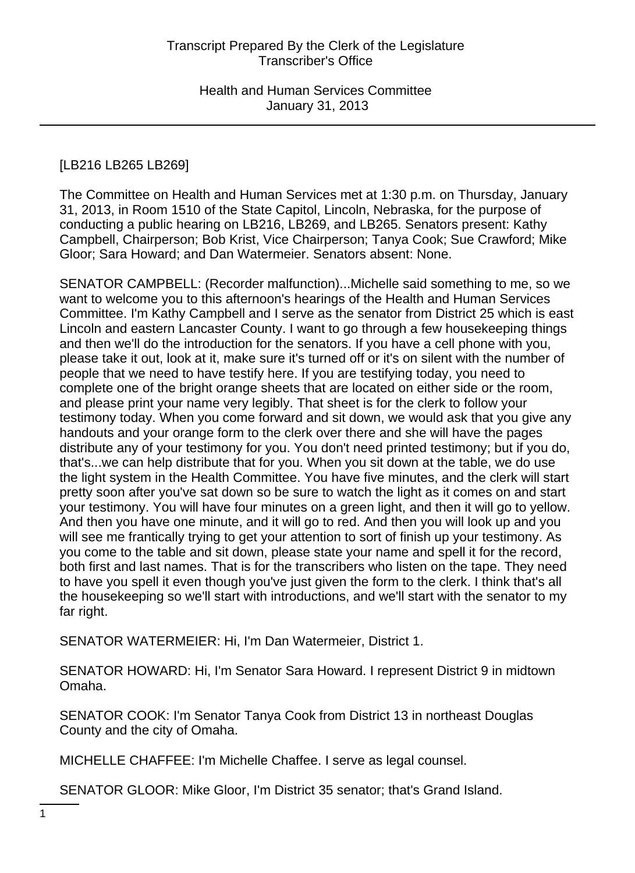# [LB216 LB265 LB269]

The Committee on Health and Human Services met at 1:30 p.m. on Thursday, January 31, 2013, in Room 1510 of the State Capitol, Lincoln, Nebraska, for the purpose of conducting a public hearing on LB216, LB269, and LB265. Senators present: Kathy Campbell, Chairperson; Bob Krist, Vice Chairperson; Tanya Cook; Sue Crawford; Mike Gloor; Sara Howard; and Dan Watermeier. Senators absent: None.

SENATOR CAMPBELL: (Recorder malfunction)...Michelle said something to me, so we want to welcome you to this afternoon's hearings of the Health and Human Services Committee. I'm Kathy Campbell and I serve as the senator from District 25 which is east Lincoln and eastern Lancaster County. I want to go through a few housekeeping things and then we'll do the introduction for the senators. If you have a cell phone with you, please take it out, look at it, make sure it's turned off or it's on silent with the number of people that we need to have testify here. If you are testifying today, you need to complete one of the bright orange sheets that are located on either side or the room, and please print your name very legibly. That sheet is for the clerk to follow your testimony today. When you come forward and sit down, we would ask that you give any handouts and your orange form to the clerk over there and she will have the pages distribute any of your testimony for you. You don't need printed testimony; but if you do, that's...we can help distribute that for you. When you sit down at the table, we do use the light system in the Health Committee. You have five minutes, and the clerk will start pretty soon after you've sat down so be sure to watch the light as it comes on and start your testimony. You will have four minutes on a green light, and then it will go to yellow. And then you have one minute, and it will go to red. And then you will look up and you will see me frantically trying to get your attention to sort of finish up your testimony. As you come to the table and sit down, please state your name and spell it for the record, both first and last names. That is for the transcribers who listen on the tape. They need to have you spell it even though you've just given the form to the clerk. I think that's all the housekeeping so we'll start with introductions, and we'll start with the senator to my far right.

SENATOR WATERMEIER: Hi, I'm Dan Watermeier, District 1.

SENATOR HOWARD: Hi, I'm Senator Sara Howard. I represent District 9 in midtown Omaha.

SENATOR COOK: I'm Senator Tanya Cook from District 13 in northeast Douglas County and the city of Omaha.

MICHELLE CHAFFEE: I'm Michelle Chaffee. I serve as legal counsel.

SENATOR GLOOR: Mike Gloor, I'm District 35 senator; that's Grand Island.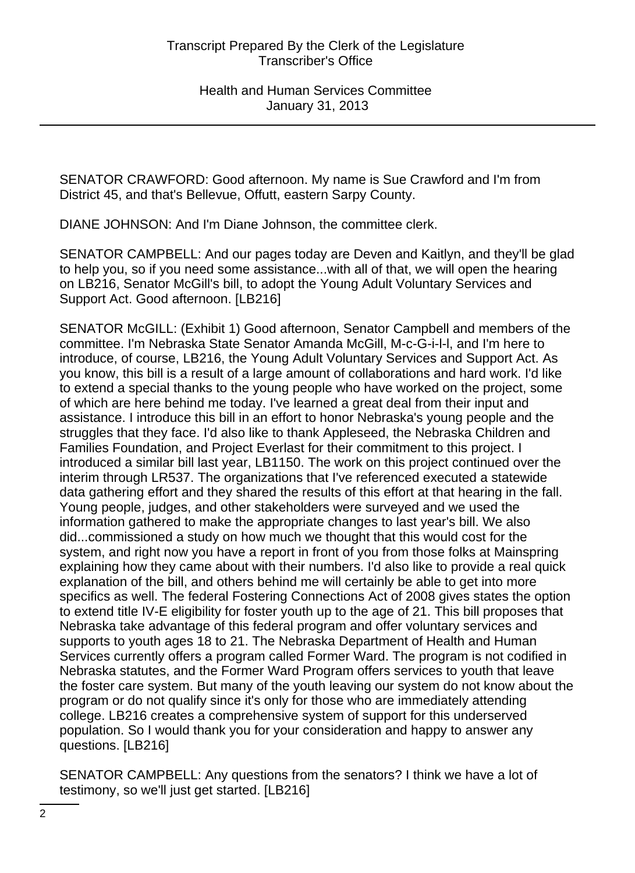SENATOR CRAWFORD: Good afternoon. My name is Sue Crawford and I'm from District 45, and that's Bellevue, Offutt, eastern Sarpy County.

DIANE JOHNSON: And I'm Diane Johnson, the committee clerk.

SENATOR CAMPBELL: And our pages today are Deven and Kaitlyn, and they'll be glad to help you, so if you need some assistance...with all of that, we will open the hearing on LB216, Senator McGill's bill, to adopt the Young Adult Voluntary Services and Support Act. Good afternoon. [LB216]

SENATOR McGILL: (Exhibit 1) Good afternoon, Senator Campbell and members of the committee. I'm Nebraska State Senator Amanda McGill, M-c-G-i-l-l, and I'm here to introduce, of course, LB216, the Young Adult Voluntary Services and Support Act. As you know, this bill is a result of a large amount of collaborations and hard work. I'd like to extend a special thanks to the young people who have worked on the project, some of which are here behind me today. I've learned a great deal from their input and assistance. I introduce this bill in an effort to honor Nebraska's young people and the struggles that they face. I'd also like to thank Appleseed, the Nebraska Children and Families Foundation, and Project Everlast for their commitment to this project. I introduced a similar bill last year, LB1150. The work on this project continued over the interim through LR537. The organizations that I've referenced executed a statewide data gathering effort and they shared the results of this effort at that hearing in the fall. Young people, judges, and other stakeholders were surveyed and we used the information gathered to make the appropriate changes to last year's bill. We also did...commissioned a study on how much we thought that this would cost for the system, and right now you have a report in front of you from those folks at Mainspring explaining how they came about with their numbers. I'd also like to provide a real quick explanation of the bill, and others behind me will certainly be able to get into more specifics as well. The federal Fostering Connections Act of 2008 gives states the option to extend title IV-E eligibility for foster youth up to the age of 21. This bill proposes that Nebraska take advantage of this federal program and offer voluntary services and supports to youth ages 18 to 21. The Nebraska Department of Health and Human Services currently offers a program called Former Ward. The program is not codified in Nebraska statutes, and the Former Ward Program offers services to youth that leave the foster care system. But many of the youth leaving our system do not know about the program or do not qualify since it's only for those who are immediately attending college. LB216 creates a comprehensive system of support for this underserved population. So I would thank you for your consideration and happy to answer any questions. [LB216]

SENATOR CAMPBELL: Any questions from the senators? I think we have a lot of testimony, so we'll just get started. [LB216]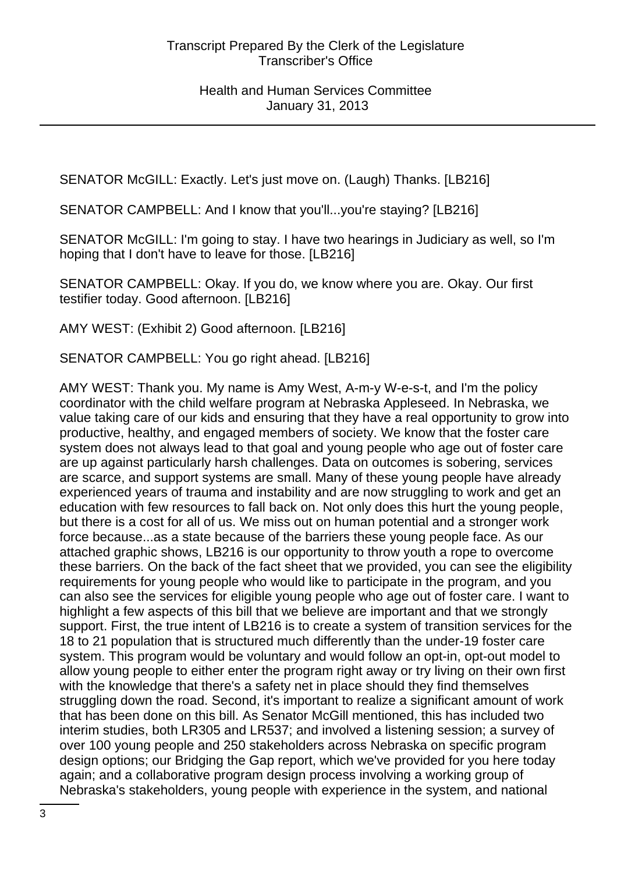SENATOR McGILL: Exactly. Let's just move on. (Laugh) Thanks. [LB216]

SENATOR CAMPBELL: And I know that you'll...you're staying? [LB216]

SENATOR McGILL: I'm going to stay. I have two hearings in Judiciary as well, so I'm hoping that I don't have to leave for those. [LB216]

SENATOR CAMPBELL: Okay. If you do, we know where you are. Okay. Our first testifier today. Good afternoon. [LB216]

AMY WEST: (Exhibit 2) Good afternoon. [LB216]

SENATOR CAMPBELL: You go right ahead. [LB216]

AMY WEST: Thank you. My name is Amy West, A-m-y W-e-s-t, and I'm the policy coordinator with the child welfare program at Nebraska Appleseed. In Nebraska, we value taking care of our kids and ensuring that they have a real opportunity to grow into productive, healthy, and engaged members of society. We know that the foster care system does not always lead to that goal and young people who age out of foster care are up against particularly harsh challenges. Data on outcomes is sobering, services are scarce, and support systems are small. Many of these young people have already experienced years of trauma and instability and are now struggling to work and get an education with few resources to fall back on. Not only does this hurt the young people, but there is a cost for all of us. We miss out on human potential and a stronger work force because...as a state because of the barriers these young people face. As our attached graphic shows, LB216 is our opportunity to throw youth a rope to overcome these barriers. On the back of the fact sheet that we provided, you can see the eligibility requirements for young people who would like to participate in the program, and you can also see the services for eligible young people who age out of foster care. I want to highlight a few aspects of this bill that we believe are important and that we strongly support. First, the true intent of LB216 is to create a system of transition services for the 18 to 21 population that is structured much differently than the under-19 foster care system. This program would be voluntary and would follow an opt-in, opt-out model to allow young people to either enter the program right away or try living on their own first with the knowledge that there's a safety net in place should they find themselves struggling down the road. Second, it's important to realize a significant amount of work that has been done on this bill. As Senator McGill mentioned, this has included two interim studies, both LR305 and LR537; and involved a listening session; a survey of over 100 young people and 250 stakeholders across Nebraska on specific program design options; our Bridging the Gap report, which we've provided for you here today again; and a collaborative program design process involving a working group of Nebraska's stakeholders, young people with experience in the system, and national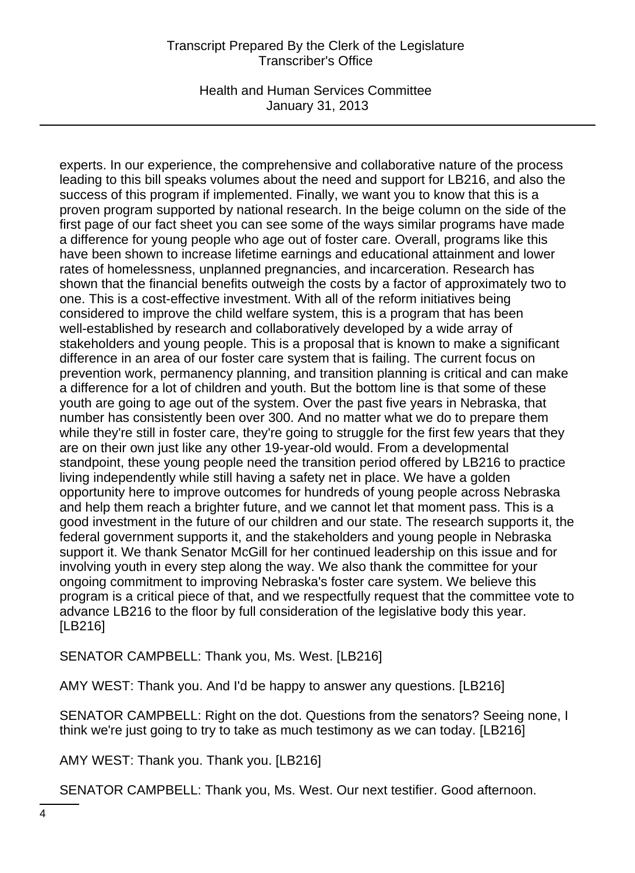Health and Human Services Committee January 31, 2013

experts. In our experience, the comprehensive and collaborative nature of the process leading to this bill speaks volumes about the need and support for LB216, and also the success of this program if implemented. Finally, we want you to know that this is a proven program supported by national research. In the beige column on the side of the first page of our fact sheet you can see some of the ways similar programs have made a difference for young people who age out of foster care. Overall, programs like this have been shown to increase lifetime earnings and educational attainment and lower rates of homelessness, unplanned pregnancies, and incarceration. Research has shown that the financial benefits outweigh the costs by a factor of approximately two to one. This is a cost-effective investment. With all of the reform initiatives being considered to improve the child welfare system, this is a program that has been well-established by research and collaboratively developed by a wide array of stakeholders and young people. This is a proposal that is known to make a significant difference in an area of our foster care system that is failing. The current focus on prevention work, permanency planning, and transition planning is critical and can make a difference for a lot of children and youth. But the bottom line is that some of these youth are going to age out of the system. Over the past five years in Nebraska, that number has consistently been over 300. And no matter what we do to prepare them while they're still in foster care, they're going to struggle for the first few years that they are on their own just like any other 19-year-old would. From a developmental standpoint, these young people need the transition period offered by LB216 to practice living independently while still having a safety net in place. We have a golden opportunity here to improve outcomes for hundreds of young people across Nebraska and help them reach a brighter future, and we cannot let that moment pass. This is a good investment in the future of our children and our state. The research supports it, the federal government supports it, and the stakeholders and young people in Nebraska support it. We thank Senator McGill for her continued leadership on this issue and for involving youth in every step along the way. We also thank the committee for your ongoing commitment to improving Nebraska's foster care system. We believe this program is a critical piece of that, and we respectfully request that the committee vote to advance LB216 to the floor by full consideration of the legislative body this year. [LB216]

SENATOR CAMPBELL: Thank you, Ms. West. [LB216]

AMY WEST: Thank you. And I'd be happy to answer any questions. [LB216]

SENATOR CAMPBELL: Right on the dot. Questions from the senators? Seeing none, I think we're just going to try to take as much testimony as we can today. [LB216]

AMY WEST: Thank you. Thank you. [LB216]

SENATOR CAMPBELL: Thank you, Ms. West. Our next testifier. Good afternoon.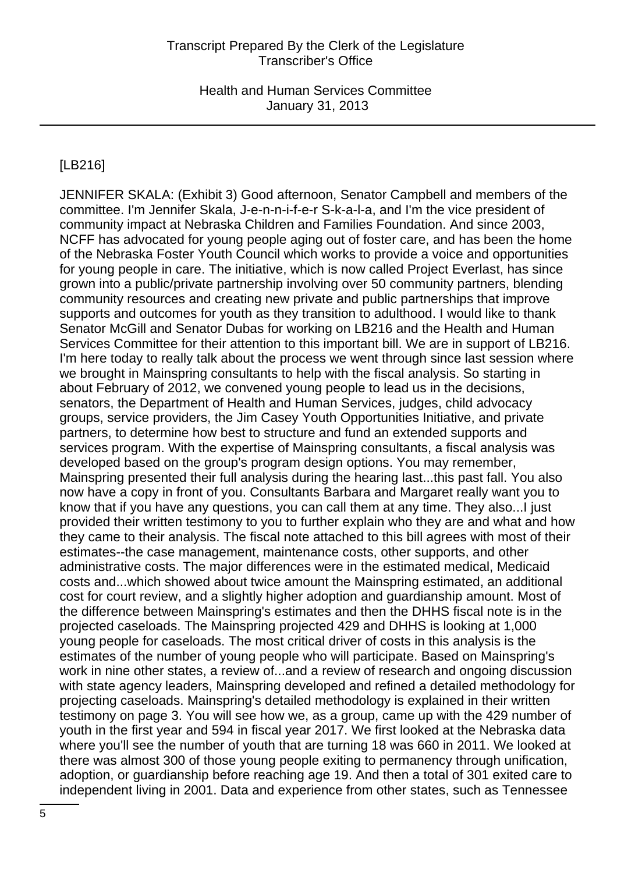# [LB216]

JENNIFER SKALA: (Exhibit 3) Good afternoon, Senator Campbell and members of the committee. I'm Jennifer Skala, J-e-n-n-i-f-e-r S-k-a-l-a, and I'm the vice president of community impact at Nebraska Children and Families Foundation. And since 2003, NCFF has advocated for young people aging out of foster care, and has been the home of the Nebraska Foster Youth Council which works to provide a voice and opportunities for young people in care. The initiative, which is now called Project Everlast, has since grown into a public/private partnership involving over 50 community partners, blending community resources and creating new private and public partnerships that improve supports and outcomes for youth as they transition to adulthood. I would like to thank Senator McGill and Senator Dubas for working on LB216 and the Health and Human Services Committee for their attention to this important bill. We are in support of LB216. I'm here today to really talk about the process we went through since last session where we brought in Mainspring consultants to help with the fiscal analysis. So starting in about February of 2012, we convened young people to lead us in the decisions, senators, the Department of Health and Human Services, judges, child advocacy groups, service providers, the Jim Casey Youth Opportunities Initiative, and private partners, to determine how best to structure and fund an extended supports and services program. With the expertise of Mainspring consultants, a fiscal analysis was developed based on the group's program design options. You may remember, Mainspring presented their full analysis during the hearing last...this past fall. You also now have a copy in front of you. Consultants Barbara and Margaret really want you to know that if you have any questions, you can call them at any time. They also...I just provided their written testimony to you to further explain who they are and what and how they came to their analysis. The fiscal note attached to this bill agrees with most of their estimates--the case management, maintenance costs, other supports, and other administrative costs. The major differences were in the estimated medical, Medicaid costs and...which showed about twice amount the Mainspring estimated, an additional cost for court review, and a slightly higher adoption and guardianship amount. Most of the difference between Mainspring's estimates and then the DHHS fiscal note is in the projected caseloads. The Mainspring projected 429 and DHHS is looking at 1,000 young people for caseloads. The most critical driver of costs in this analysis is the estimates of the number of young people who will participate. Based on Mainspring's work in nine other states, a review of...and a review of research and ongoing discussion with state agency leaders, Mainspring developed and refined a detailed methodology for projecting caseloads. Mainspring's detailed methodology is explained in their written testimony on page 3. You will see how we, as a group, came up with the 429 number of youth in the first year and 594 in fiscal year 2017. We first looked at the Nebraska data where you'll see the number of youth that are turning 18 was 660 in 2011. We looked at there was almost 300 of those young people exiting to permanency through unification, adoption, or guardianship before reaching age 19. And then a total of 301 exited care to independent living in 2001. Data and experience from other states, such as Tennessee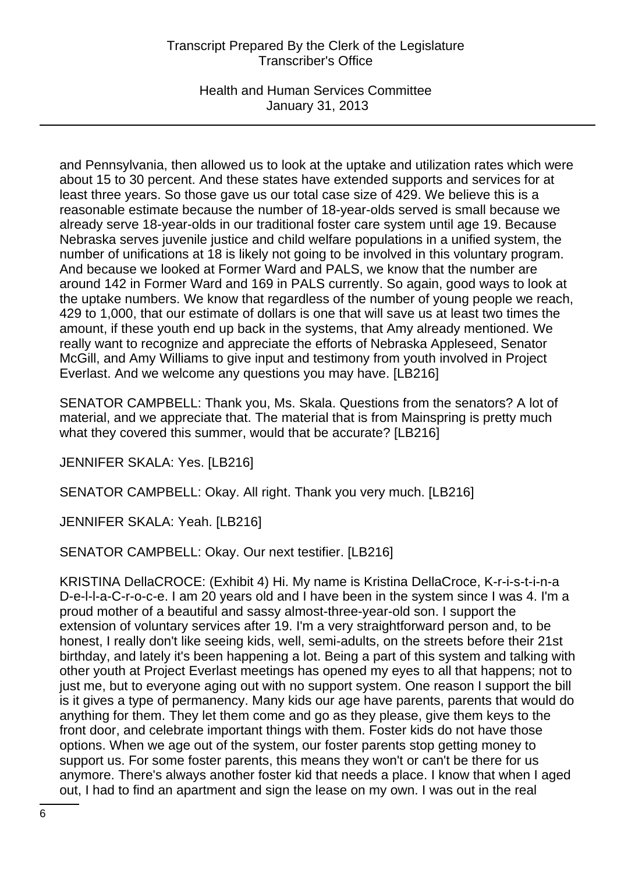Health and Human Services Committee January 31, 2013

and Pennsylvania, then allowed us to look at the uptake and utilization rates which were about 15 to 30 percent. And these states have extended supports and services for at least three years. So those gave us our total case size of 429. We believe this is a reasonable estimate because the number of 18-year-olds served is small because we already serve 18-year-olds in our traditional foster care system until age 19. Because Nebraska serves juvenile justice and child welfare populations in a unified system, the number of unifications at 18 is likely not going to be involved in this voluntary program. And because we looked at Former Ward and PALS, we know that the number are around 142 in Former Ward and 169 in PALS currently. So again, good ways to look at the uptake numbers. We know that regardless of the number of young people we reach, 429 to 1,000, that our estimate of dollars is one that will save us at least two times the amount, if these youth end up back in the systems, that Amy already mentioned. We really want to recognize and appreciate the efforts of Nebraska Appleseed, Senator McGill, and Amy Williams to give input and testimony from youth involved in Project Everlast. And we welcome any questions you may have. [LB216]

SENATOR CAMPBELL: Thank you, Ms. Skala. Questions from the senators? A lot of material, and we appreciate that. The material that is from Mainspring is pretty much what they covered this summer, would that be accurate? [LB216]

JENNIFER SKALA: Yes. [LB216]

SENATOR CAMPBELL: Okay. All right. Thank you very much. [LB216]

JENNIFER SKALA: Yeah. [LB216]

SENATOR CAMPBELL: Okay. Our next testifier. [LB216]

KRISTINA DellaCROCE: (Exhibit 4) Hi. My name is Kristina DellaCroce, K-r-i-s-t-i-n-a D-e-l-l-a-C-r-o-c-e. I am 20 years old and I have been in the system since I was 4. I'm a proud mother of a beautiful and sassy almost-three-year-old son. I support the extension of voluntary services after 19. I'm a very straightforward person and, to be honest, I really don't like seeing kids, well, semi-adults, on the streets before their 21st birthday, and lately it's been happening a lot. Being a part of this system and talking with other youth at Project Everlast meetings has opened my eyes to all that happens; not to just me, but to everyone aging out with no support system. One reason I support the bill is it gives a type of permanency. Many kids our age have parents, parents that would do anything for them. They let them come and go as they please, give them keys to the front door, and celebrate important things with them. Foster kids do not have those options. When we age out of the system, our foster parents stop getting money to support us. For some foster parents, this means they won't or can't be there for us anymore. There's always another foster kid that needs a place. I know that when I aged out, I had to find an apartment and sign the lease on my own. I was out in the real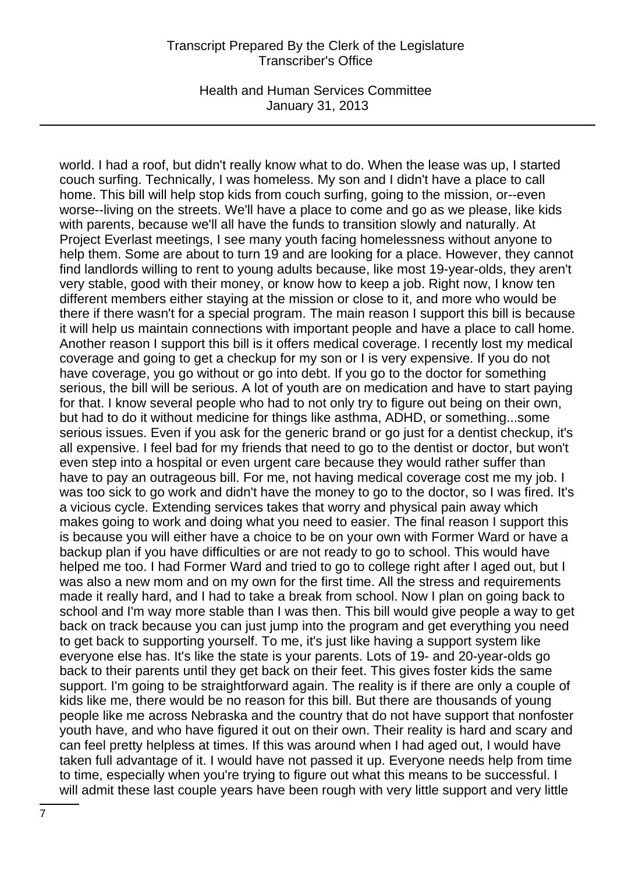Health and Human Services Committee January 31, 2013

world. I had a roof, but didn't really know what to do. When the lease was up, I started couch surfing. Technically, I was homeless. My son and I didn't have a place to call home. This bill will help stop kids from couch surfing, going to the mission, or--even worse--living on the streets. We'll have a place to come and go as we please, like kids with parents, because we'll all have the funds to transition slowly and naturally. At Project Everlast meetings, I see many youth facing homelessness without anyone to help them. Some are about to turn 19 and are looking for a place. However, they cannot find landlords willing to rent to young adults because, like most 19-year-olds, they aren't very stable, good with their money, or know how to keep a job. Right now, I know ten different members either staying at the mission or close to it, and more who would be there if there wasn't for a special program. The main reason I support this bill is because it will help us maintain connections with important people and have a place to call home. Another reason I support this bill is it offers medical coverage. I recently lost my medical coverage and going to get a checkup for my son or I is very expensive. If you do not have coverage, you go without or go into debt. If you go to the doctor for something serious, the bill will be serious. A lot of youth are on medication and have to start paying for that. I know several people who had to not only try to figure out being on their own, but had to do it without medicine for things like asthma, ADHD, or something...some serious issues. Even if you ask for the generic brand or go just for a dentist checkup, it's all expensive. I feel bad for my friends that need to go to the dentist or doctor, but won't even step into a hospital or even urgent care because they would rather suffer than have to pay an outrageous bill. For me, not having medical coverage cost me my job. I was too sick to go work and didn't have the money to go to the doctor, so I was fired. It's a vicious cycle. Extending services takes that worry and physical pain away which makes going to work and doing what you need to easier. The final reason I support this is because you will either have a choice to be on your own with Former Ward or have a backup plan if you have difficulties or are not ready to go to school. This would have helped me too. I had Former Ward and tried to go to college right after I aged out, but I was also a new mom and on my own for the first time. All the stress and requirements made it really hard, and I had to take a break from school. Now I plan on going back to school and I'm way more stable than I was then. This bill would give people a way to get back on track because you can just jump into the program and get everything you need to get back to supporting yourself. To me, it's just like having a support system like everyone else has. It's like the state is your parents. Lots of 19- and 20-year-olds go back to their parents until they get back on their feet. This gives foster kids the same support. I'm going to be straightforward again. The reality is if there are only a couple of kids like me, there would be no reason for this bill. But there are thousands of young people like me across Nebraska and the country that do not have support that nonfoster youth have, and who have figured it out on their own. Their reality is hard and scary and can feel pretty helpless at times. If this was around when I had aged out, I would have taken full advantage of it. I would have not passed it up. Everyone needs help from time to time, especially when you're trying to figure out what this means to be successful. I will admit these last couple years have been rough with very little support and very little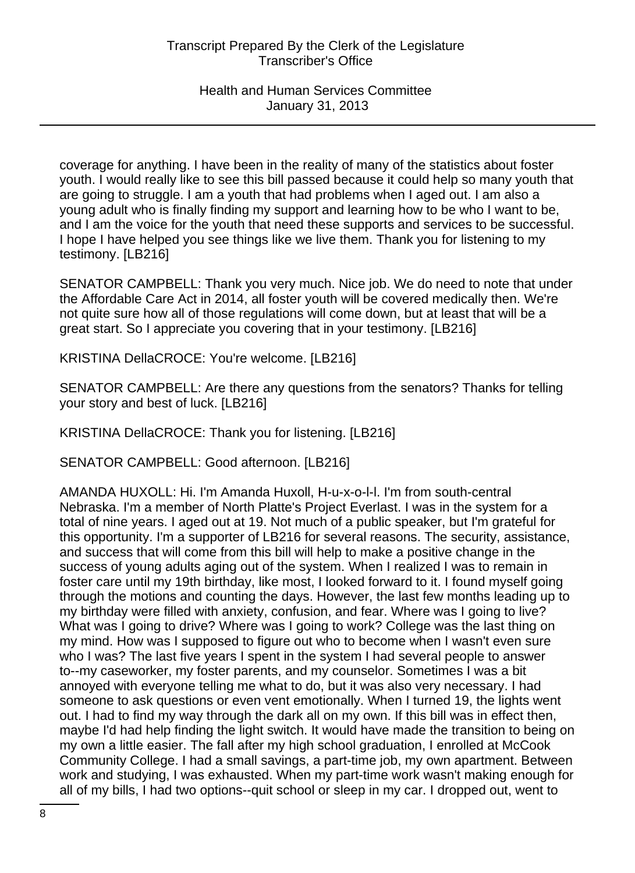coverage for anything. I have been in the reality of many of the statistics about foster youth. I would really like to see this bill passed because it could help so many youth that are going to struggle. I am a youth that had problems when I aged out. I am also a young adult who is finally finding my support and learning how to be who I want to be, and I am the voice for the youth that need these supports and services to be successful. I hope I have helped you see things like we live them. Thank you for listening to my testimony. [LB216]

SENATOR CAMPBELL: Thank you very much. Nice job. We do need to note that under the Affordable Care Act in 2014, all foster youth will be covered medically then. We're not quite sure how all of those regulations will come down, but at least that will be a great start. So I appreciate you covering that in your testimony. [LB216]

KRISTINA DellaCROCE: You're welcome. [LB216]

SENATOR CAMPBELL: Are there any questions from the senators? Thanks for telling your story and best of luck. [LB216]

KRISTINA DellaCROCE: Thank you for listening. [LB216]

SENATOR CAMPBELL: Good afternoon. [LB216]

AMANDA HUXOLL: Hi. I'm Amanda Huxoll, H-u-x-o-l-l. I'm from south-central Nebraska. I'm a member of North Platte's Project Everlast. I was in the system for a total of nine years. I aged out at 19. Not much of a public speaker, but I'm grateful for this opportunity. I'm a supporter of LB216 for several reasons. The security, assistance, and success that will come from this bill will help to make a positive change in the success of young adults aging out of the system. When I realized I was to remain in foster care until my 19th birthday, like most, I looked forward to it. I found myself going through the motions and counting the days. However, the last few months leading up to my birthday were filled with anxiety, confusion, and fear. Where was I going to live? What was I going to drive? Where was I going to work? College was the last thing on my mind. How was I supposed to figure out who to become when I wasn't even sure who I was? The last five years I spent in the system I had several people to answer to--my caseworker, my foster parents, and my counselor. Sometimes I was a bit annoyed with everyone telling me what to do, but it was also very necessary. I had someone to ask questions or even vent emotionally. When I turned 19, the lights went out. I had to find my way through the dark all on my own. If this bill was in effect then, maybe I'd had help finding the light switch. It would have made the transition to being on my own a little easier. The fall after my high school graduation, I enrolled at McCook Community College. I had a small savings, a part-time job, my own apartment. Between work and studying, I was exhausted. When my part-time work wasn't making enough for all of my bills, I had two options--quit school or sleep in my car. I dropped out, went to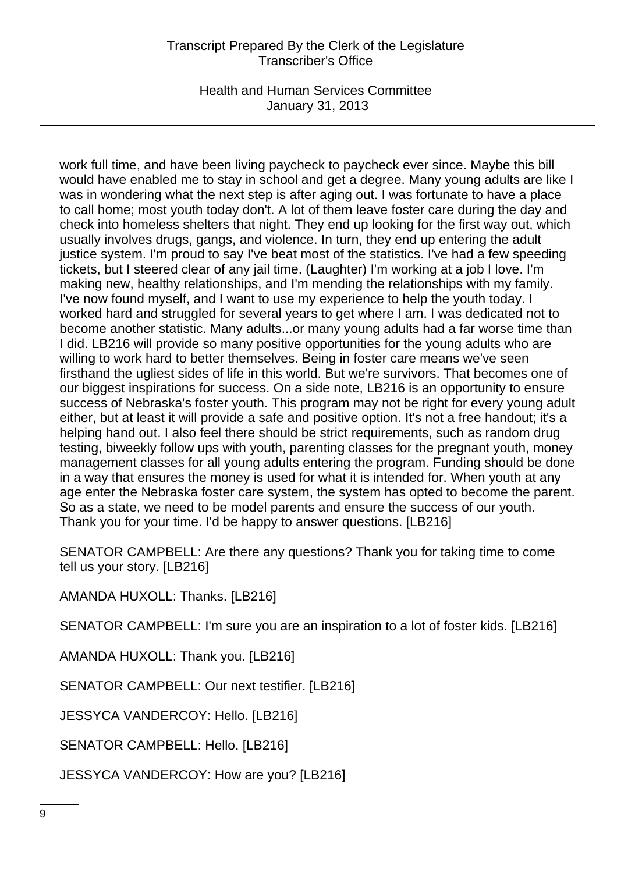Health and Human Services Committee January 31, 2013

work full time, and have been living paycheck to paycheck ever since. Maybe this bill would have enabled me to stay in school and get a degree. Many young adults are like I was in wondering what the next step is after aging out. I was fortunate to have a place to call home; most youth today don't. A lot of them leave foster care during the day and check into homeless shelters that night. They end up looking for the first way out, which usually involves drugs, gangs, and violence. In turn, they end up entering the adult justice system. I'm proud to say I've beat most of the statistics. I've had a few speeding tickets, but I steered clear of any jail time. (Laughter) I'm working at a job I love. I'm making new, healthy relationships, and I'm mending the relationships with my family. I've now found myself, and I want to use my experience to help the youth today. I worked hard and struggled for several years to get where I am. I was dedicated not to become another statistic. Many adults...or many young adults had a far worse time than I did. LB216 will provide so many positive opportunities for the young adults who are willing to work hard to better themselves. Being in foster care means we've seen firsthand the ugliest sides of life in this world. But we're survivors. That becomes one of our biggest inspirations for success. On a side note, LB216 is an opportunity to ensure success of Nebraska's foster youth. This program may not be right for every young adult either, but at least it will provide a safe and positive option. It's not a free handout; it's a helping hand out. I also feel there should be strict requirements, such as random drug testing, biweekly follow ups with youth, parenting classes for the pregnant youth, money management classes for all young adults entering the program. Funding should be done in a way that ensures the money is used for what it is intended for. When youth at any age enter the Nebraska foster care system, the system has opted to become the parent. So as a state, we need to be model parents and ensure the success of our youth. Thank you for your time. I'd be happy to answer questions. [LB216]

SENATOR CAMPBELL: Are there any questions? Thank you for taking time to come tell us your story. [LB216]

AMANDA HUXOLL: Thanks. [LB216]

SENATOR CAMPBELL: I'm sure you are an inspiration to a lot of foster kids. [LB216]

AMANDA HUXOLL: Thank you. [LB216]

SENATOR CAMPBELL: Our next testifier. [LB216]

JESSYCA VANDERCOY: Hello. [LB216]

SENATOR CAMPBELL: Hello. [LB216]

JESSYCA VANDERCOY: How are you? [LB216]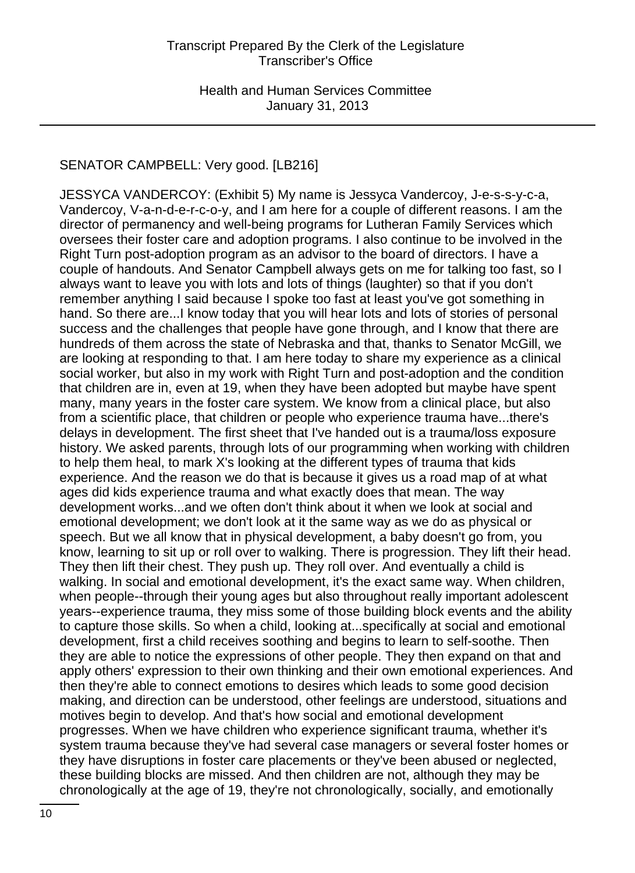# SENATOR CAMPBELL: Very good. [LB216]

JESSYCA VANDERCOY: (Exhibit 5) My name is Jessyca Vandercoy, J-e-s-s-y-c-a, Vandercoy, V-a-n-d-e-r-c-o-y, and I am here for a couple of different reasons. I am the director of permanency and well-being programs for Lutheran Family Services which oversees their foster care and adoption programs. I also continue to be involved in the Right Turn post-adoption program as an advisor to the board of directors. I have a couple of handouts. And Senator Campbell always gets on me for talking too fast, so I always want to leave you with lots and lots of things (laughter) so that if you don't remember anything I said because I spoke too fast at least you've got something in hand. So there are...I know today that you will hear lots and lots of stories of personal success and the challenges that people have gone through, and I know that there are hundreds of them across the state of Nebraska and that, thanks to Senator McGill, we are looking at responding to that. I am here today to share my experience as a clinical social worker, but also in my work with Right Turn and post-adoption and the condition that children are in, even at 19, when they have been adopted but maybe have spent many, many years in the foster care system. We know from a clinical place, but also from a scientific place, that children or people who experience trauma have...there's delays in development. The first sheet that I've handed out is a trauma/loss exposure history. We asked parents, through lots of our programming when working with children to help them heal, to mark X's looking at the different types of trauma that kids experience. And the reason we do that is because it gives us a road map of at what ages did kids experience trauma and what exactly does that mean. The way development works...and we often don't think about it when we look at social and emotional development; we don't look at it the same way as we do as physical or speech. But we all know that in physical development, a baby doesn't go from, you know, learning to sit up or roll over to walking. There is progression. They lift their head. They then lift their chest. They push up. They roll over. And eventually a child is walking. In social and emotional development, it's the exact same way. When children, when people--through their young ages but also throughout really important adolescent years--experience trauma, they miss some of those building block events and the ability to capture those skills. So when a child, looking at...specifically at social and emotional development, first a child receives soothing and begins to learn to self-soothe. Then they are able to notice the expressions of other people. They then expand on that and apply others' expression to their own thinking and their own emotional experiences. And then they're able to connect emotions to desires which leads to some good decision making, and direction can be understood, other feelings are understood, situations and motives begin to develop. And that's how social and emotional development progresses. When we have children who experience significant trauma, whether it's system trauma because they've had several case managers or several foster homes or they have disruptions in foster care placements or they've been abused or neglected, these building blocks are missed. And then children are not, although they may be chronologically at the age of 19, they're not chronologically, socially, and emotionally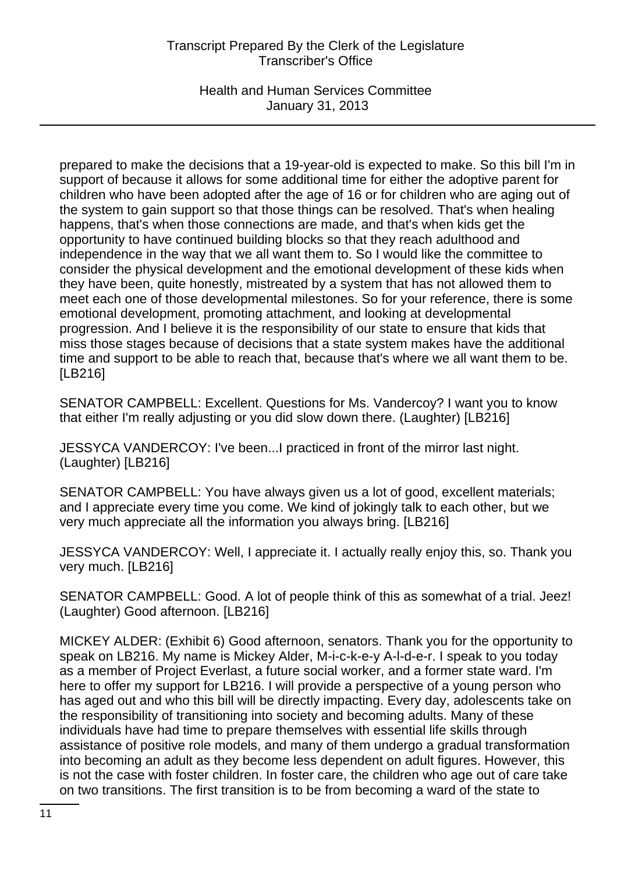Health and Human Services Committee January 31, 2013

prepared to make the decisions that a 19-year-old is expected to make. So this bill I'm in support of because it allows for some additional time for either the adoptive parent for children who have been adopted after the age of 16 or for children who are aging out of the system to gain support so that those things can be resolved. That's when healing happens, that's when those connections are made, and that's when kids get the opportunity to have continued building blocks so that they reach adulthood and independence in the way that we all want them to. So I would like the committee to consider the physical development and the emotional development of these kids when they have been, quite honestly, mistreated by a system that has not allowed them to meet each one of those developmental milestones. So for your reference, there is some emotional development, promoting attachment, and looking at developmental progression. And I believe it is the responsibility of our state to ensure that kids that miss those stages because of decisions that a state system makes have the additional time and support to be able to reach that, because that's where we all want them to be. [LB216]

SENATOR CAMPBELL: Excellent. Questions for Ms. Vandercoy? I want you to know that either I'm really adjusting or you did slow down there. (Laughter) [LB216]

JESSYCA VANDERCOY: I've been...I practiced in front of the mirror last night. (Laughter) [LB216]

SENATOR CAMPBELL: You have always given us a lot of good, excellent materials; and I appreciate every time you come. We kind of jokingly talk to each other, but we very much appreciate all the information you always bring. [LB216]

JESSYCA VANDERCOY: Well, I appreciate it. I actually really enjoy this, so. Thank you very much. [LB216]

SENATOR CAMPBELL: Good. A lot of people think of this as somewhat of a trial. Jeez! (Laughter) Good afternoon. [LB216]

MICKEY ALDER: (Exhibit 6) Good afternoon, senators. Thank you for the opportunity to speak on LB216. My name is Mickey Alder, M-i-c-k-e-y A-l-d-e-r. I speak to you today as a member of Project Everlast, a future social worker, and a former state ward. I'm here to offer my support for LB216. I will provide a perspective of a young person who has aged out and who this bill will be directly impacting. Every day, adolescents take on the responsibility of transitioning into society and becoming adults. Many of these individuals have had time to prepare themselves with essential life skills through assistance of positive role models, and many of them undergo a gradual transformation into becoming an adult as they become less dependent on adult figures. However, this is not the case with foster children. In foster care, the children who age out of care take on two transitions. The first transition is to be from becoming a ward of the state to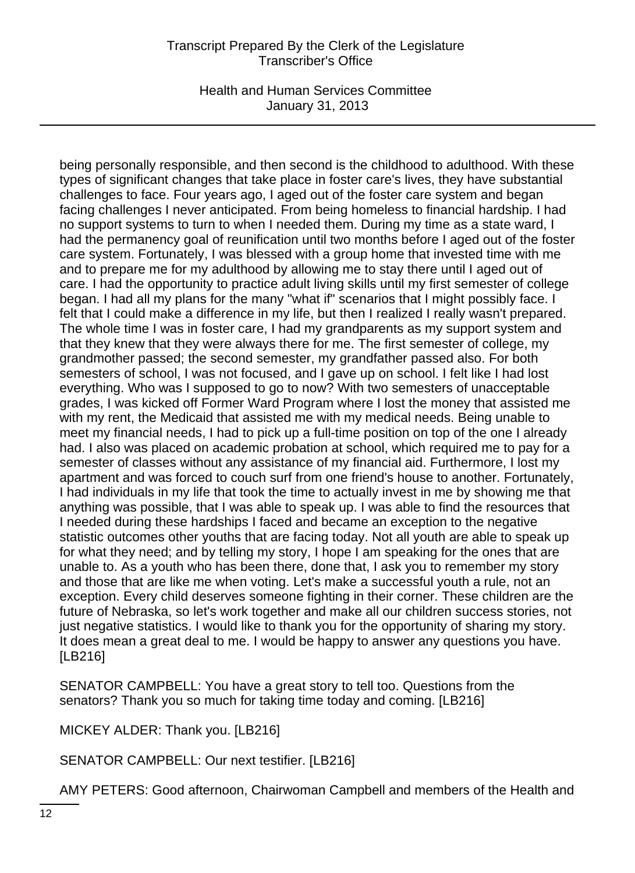Health and Human Services Committee January 31, 2013

being personally responsible, and then second is the childhood to adulthood. With these types of significant changes that take place in foster care's lives, they have substantial challenges to face. Four years ago, I aged out of the foster care system and began facing challenges I never anticipated. From being homeless to financial hardship. I had no support systems to turn to when I needed them. During my time as a state ward, I had the permanency goal of reunification until two months before I aged out of the foster care system. Fortunately, I was blessed with a group home that invested time with me and to prepare me for my adulthood by allowing me to stay there until I aged out of care. I had the opportunity to practice adult living skills until my first semester of college began. I had all my plans for the many "what if" scenarios that I might possibly face. I felt that I could make a difference in my life, but then I realized I really wasn't prepared. The whole time I was in foster care, I had my grandparents as my support system and that they knew that they were always there for me. The first semester of college, my grandmother passed; the second semester, my grandfather passed also. For both semesters of school, I was not focused, and I gave up on school. I felt like I had lost everything. Who was I supposed to go to now? With two semesters of unacceptable grades, I was kicked off Former Ward Program where I lost the money that assisted me with my rent, the Medicaid that assisted me with my medical needs. Being unable to meet my financial needs, I had to pick up a full-time position on top of the one I already had. I also was placed on academic probation at school, which required me to pay for a semester of classes without any assistance of my financial aid. Furthermore, I lost my apartment and was forced to couch surf from one friend's house to another. Fortunately, I had individuals in my life that took the time to actually invest in me by showing me that anything was possible, that I was able to speak up. I was able to find the resources that I needed during these hardships I faced and became an exception to the negative statistic outcomes other youths that are facing today. Not all youth are able to speak up for what they need; and by telling my story, I hope I am speaking for the ones that are unable to. As a youth who has been there, done that, I ask you to remember my story and those that are like me when voting. Let's make a successful youth a rule, not an exception. Every child deserves someone fighting in their corner. These children are the future of Nebraska, so let's work together and make all our children success stories, not just negative statistics. I would like to thank you for the opportunity of sharing my story. It does mean a great deal to me. I would be happy to answer any questions you have. [LB216]

SENATOR CAMPBELL: You have a great story to tell too. Questions from the senators? Thank you so much for taking time today and coming. [LB216]

MICKEY ALDER: Thank you. [LB216]

SENATOR CAMPBELL: Our next testifier. [LB216]

AMY PETERS: Good afternoon, Chairwoman Campbell and members of the Health and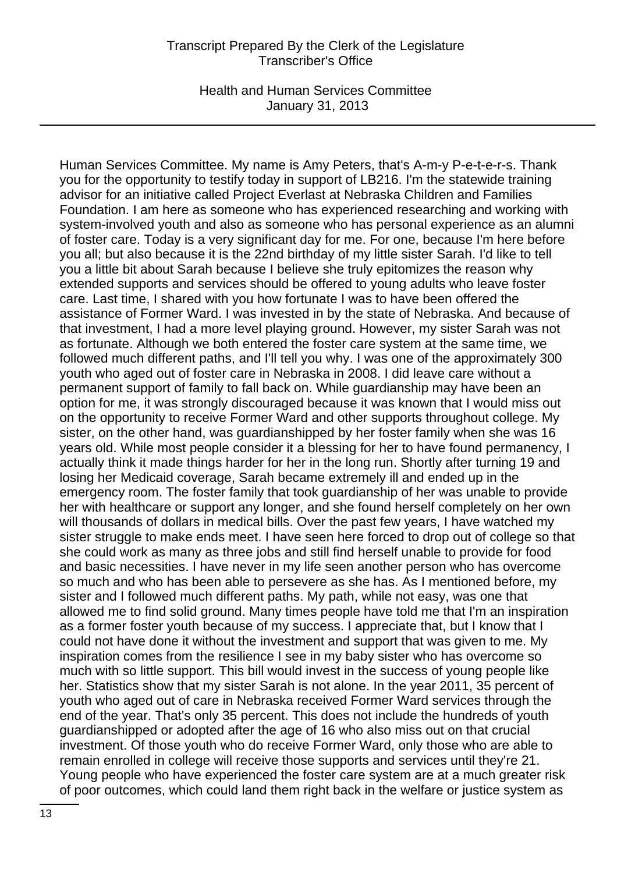Health and Human Services Committee January 31, 2013

Human Services Committee. My name is Amy Peters, that's A-m-y P-e-t-e-r-s. Thank you for the opportunity to testify today in support of LB216. I'm the statewide training advisor for an initiative called Project Everlast at Nebraska Children and Families Foundation. I am here as someone who has experienced researching and working with system-involved youth and also as someone who has personal experience as an alumni of foster care. Today is a very significant day for me. For one, because I'm here before you all; but also because it is the 22nd birthday of my little sister Sarah. I'd like to tell you a little bit about Sarah because I believe she truly epitomizes the reason why extended supports and services should be offered to young adults who leave foster care. Last time, I shared with you how fortunate I was to have been offered the assistance of Former Ward. I was invested in by the state of Nebraska. And because of that investment, I had a more level playing ground. However, my sister Sarah was not as fortunate. Although we both entered the foster care system at the same time, we followed much different paths, and I'll tell you why. I was one of the approximately 300 youth who aged out of foster care in Nebraska in 2008. I did leave care without a permanent support of family to fall back on. While guardianship may have been an option for me, it was strongly discouraged because it was known that I would miss out on the opportunity to receive Former Ward and other supports throughout college. My sister, on the other hand, was guardianshipped by her foster family when she was 16 years old. While most people consider it a blessing for her to have found permanency, I actually think it made things harder for her in the long run. Shortly after turning 19 and losing her Medicaid coverage, Sarah became extremely ill and ended up in the emergency room. The foster family that took guardianship of her was unable to provide her with healthcare or support any longer, and she found herself completely on her own will thousands of dollars in medical bills. Over the past few years, I have watched my sister struggle to make ends meet. I have seen here forced to drop out of college so that she could work as many as three jobs and still find herself unable to provide for food and basic necessities. I have never in my life seen another person who has overcome so much and who has been able to persevere as she has. As I mentioned before, my sister and I followed much different paths. My path, while not easy, was one that allowed me to find solid ground. Many times people have told me that I'm an inspiration as a former foster youth because of my success. I appreciate that, but I know that I could not have done it without the investment and support that was given to me. My inspiration comes from the resilience I see in my baby sister who has overcome so much with so little support. This bill would invest in the success of young people like her. Statistics show that my sister Sarah is not alone. In the year 2011, 35 percent of youth who aged out of care in Nebraska received Former Ward services through the end of the year. That's only 35 percent. This does not include the hundreds of youth guardianshipped or adopted after the age of 16 who also miss out on that crucial investment. Of those youth who do receive Former Ward, only those who are able to remain enrolled in college will receive those supports and services until they're 21. Young people who have experienced the foster care system are at a much greater risk of poor outcomes, which could land them right back in the welfare or justice system as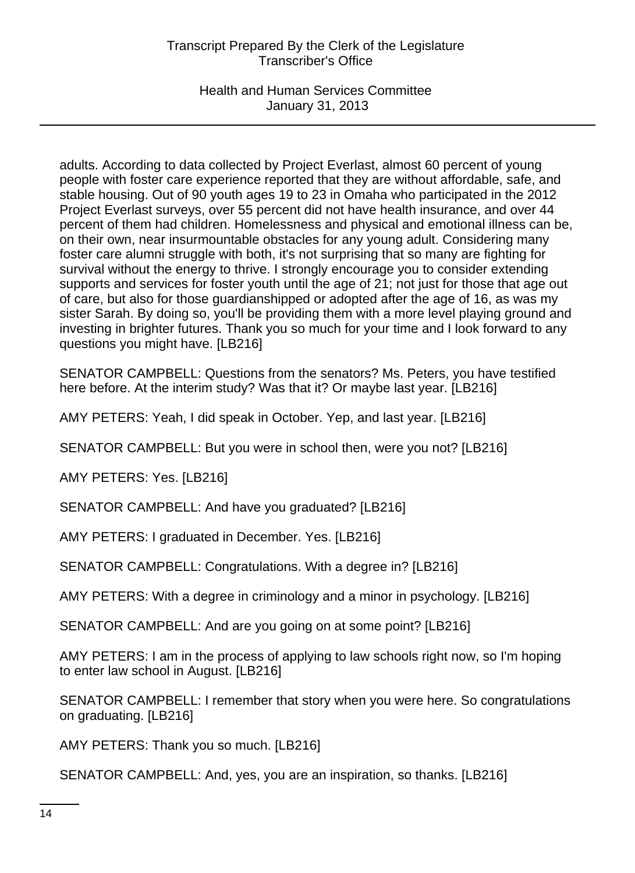Health and Human Services Committee January 31, 2013

adults. According to data collected by Project Everlast, almost 60 percent of young people with foster care experience reported that they are without affordable, safe, and stable housing. Out of 90 youth ages 19 to 23 in Omaha who participated in the 2012 Project Everlast surveys, over 55 percent did not have health insurance, and over 44 percent of them had children. Homelessness and physical and emotional illness can be, on their own, near insurmountable obstacles for any young adult. Considering many foster care alumni struggle with both, it's not surprising that so many are fighting for survival without the energy to thrive. I strongly encourage you to consider extending supports and services for foster youth until the age of 21; not just for those that age out of care, but also for those guardianshipped or adopted after the age of 16, as was my sister Sarah. By doing so, you'll be providing them with a more level playing ground and investing in brighter futures. Thank you so much for your time and I look forward to any questions you might have. [LB216]

SENATOR CAMPBELL: Questions from the senators? Ms. Peters, you have testified here before. At the interim study? Was that it? Or maybe last year. [LB216]

AMY PETERS: Yeah, I did speak in October. Yep, and last year. [LB216]

SENATOR CAMPBELL: But you were in school then, were you not? [LB216]

AMY PETERS: Yes. [LB216]

SENATOR CAMPBELL: And have you graduated? [LB216]

AMY PETERS: I graduated in December. Yes. [LB216]

SENATOR CAMPBELL: Congratulations. With a degree in? [LB216]

AMY PETERS: With a degree in criminology and a minor in psychology. [LB216]

SENATOR CAMPBELL: And are you going on at some point? [LB216]

AMY PETERS: I am in the process of applying to law schools right now, so I'm hoping to enter law school in August. [LB216]

SENATOR CAMPBELL: I remember that story when you were here. So congratulations on graduating. [LB216]

AMY PETERS: Thank you so much. [LB216]

SENATOR CAMPBELL: And, yes, you are an inspiration, so thanks. [LB216]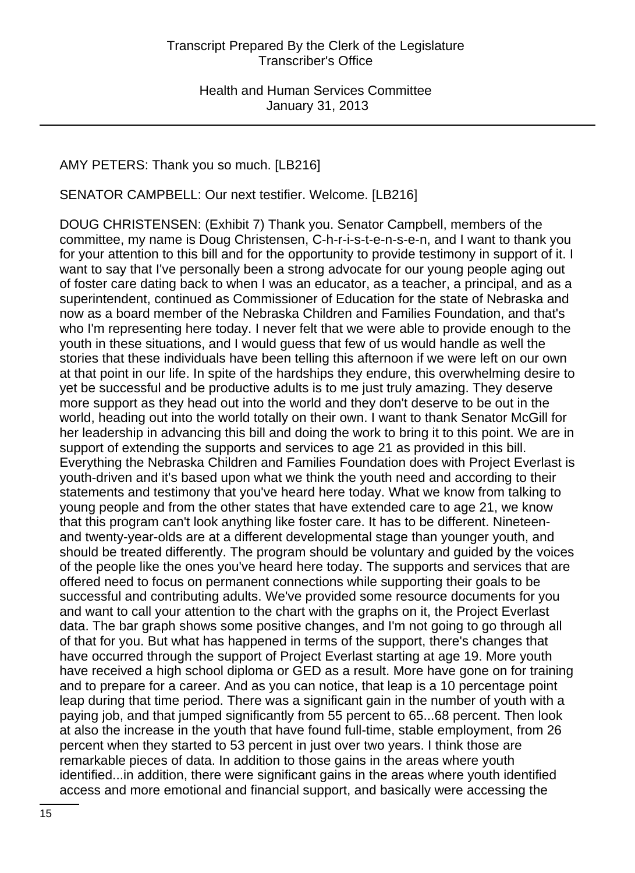### AMY PETERS: Thank you so much. [LB216]

SENATOR CAMPBELL: Our next testifier. Welcome. [LB216]

DOUG CHRISTENSEN: (Exhibit 7) Thank you. Senator Campbell, members of the committee, my name is Doug Christensen, C-h-r-i-s-t-e-n-s-e-n, and I want to thank you for your attention to this bill and for the opportunity to provide testimony in support of it. I want to say that I've personally been a strong advocate for our young people aging out of foster care dating back to when I was an educator, as a teacher, a principal, and as a superintendent, continued as Commissioner of Education for the state of Nebraska and now as a board member of the Nebraska Children and Families Foundation, and that's who I'm representing here today. I never felt that we were able to provide enough to the youth in these situations, and I would guess that few of us would handle as well the stories that these individuals have been telling this afternoon if we were left on our own at that point in our life. In spite of the hardships they endure, this overwhelming desire to yet be successful and be productive adults is to me just truly amazing. They deserve more support as they head out into the world and they don't deserve to be out in the world, heading out into the world totally on their own. I want to thank Senator McGill for her leadership in advancing this bill and doing the work to bring it to this point. We are in support of extending the supports and services to age 21 as provided in this bill. Everything the Nebraska Children and Families Foundation does with Project Everlast is youth-driven and it's based upon what we think the youth need and according to their statements and testimony that you've heard here today. What we know from talking to young people and from the other states that have extended care to age 21, we know that this program can't look anything like foster care. It has to be different. Nineteenand twenty-year-olds are at a different developmental stage than younger youth, and should be treated differently. The program should be voluntary and guided by the voices of the people like the ones you've heard here today. The supports and services that are offered need to focus on permanent connections while supporting their goals to be successful and contributing adults. We've provided some resource documents for you and want to call your attention to the chart with the graphs on it, the Project Everlast data. The bar graph shows some positive changes, and I'm not going to go through all of that for you. But what has happened in terms of the support, there's changes that have occurred through the support of Project Everlast starting at age 19. More youth have received a high school diploma or GED as a result. More have gone on for training and to prepare for a career. And as you can notice, that leap is a 10 percentage point leap during that time period. There was a significant gain in the number of youth with a paying job, and that jumped significantly from 55 percent to 65...68 percent. Then look at also the increase in the youth that have found full-time, stable employment, from 26 percent when they started to 53 percent in just over two years. I think those are remarkable pieces of data. In addition to those gains in the areas where youth identified...in addition, there were significant gains in the areas where youth identified access and more emotional and financial support, and basically were accessing the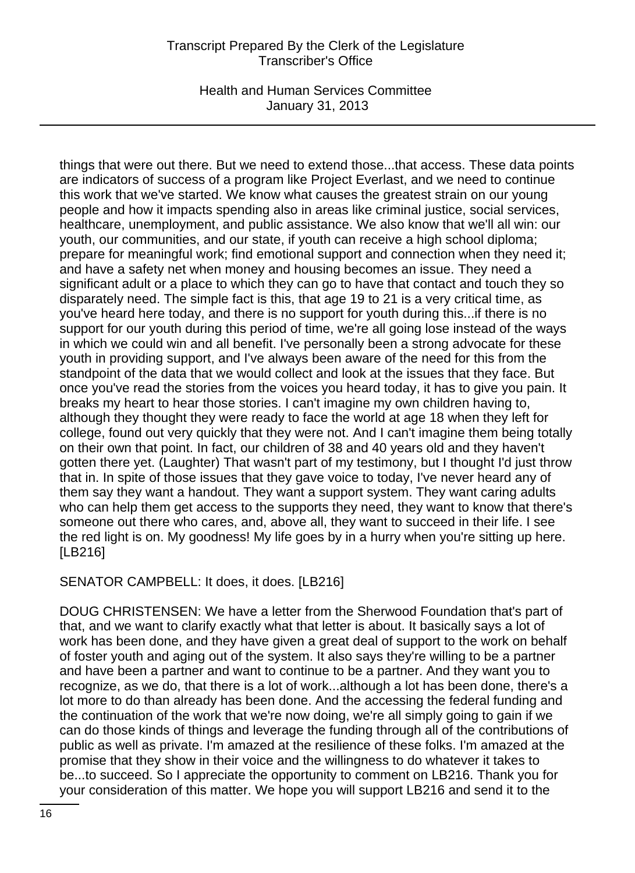Health and Human Services Committee January 31, 2013

things that were out there. But we need to extend those...that access. These data points are indicators of success of a program like Project Everlast, and we need to continue this work that we've started. We know what causes the greatest strain on our young people and how it impacts spending also in areas like criminal justice, social services, healthcare, unemployment, and public assistance. We also know that we'll all win: our youth, our communities, and our state, if youth can receive a high school diploma; prepare for meaningful work; find emotional support and connection when they need it; and have a safety net when money and housing becomes an issue. They need a significant adult or a place to which they can go to have that contact and touch they so disparately need. The simple fact is this, that age 19 to 21 is a very critical time, as you've heard here today, and there is no support for youth during this...if there is no support for our youth during this period of time, we're all going lose instead of the ways in which we could win and all benefit. I've personally been a strong advocate for these youth in providing support, and I've always been aware of the need for this from the standpoint of the data that we would collect and look at the issues that they face. But once you've read the stories from the voices you heard today, it has to give you pain. It breaks my heart to hear those stories. I can't imagine my own children having to, although they thought they were ready to face the world at age 18 when they left for college, found out very quickly that they were not. And I can't imagine them being totally on their own that point. In fact, our children of 38 and 40 years old and they haven't gotten there yet. (Laughter) That wasn't part of my testimony, but I thought I'd just throw that in. In spite of those issues that they gave voice to today, I've never heard any of them say they want a handout. They want a support system. They want caring adults who can help them get access to the supports they need, they want to know that there's someone out there who cares, and, above all, they want to succeed in their life. I see the red light is on. My goodness! My life goes by in a hurry when you're sitting up here. [LB216]

SENATOR CAMPBELL: It does, it does. [LB216]

DOUG CHRISTENSEN: We have a letter from the Sherwood Foundation that's part of that, and we want to clarify exactly what that letter is about. It basically says a lot of work has been done, and they have given a great deal of support to the work on behalf of foster youth and aging out of the system. It also says they're willing to be a partner and have been a partner and want to continue to be a partner. And they want you to recognize, as we do, that there is a lot of work...although a lot has been done, there's a lot more to do than already has been done. And the accessing the federal funding and the continuation of the work that we're now doing, we're all simply going to gain if we can do those kinds of things and leverage the funding through all of the contributions of public as well as private. I'm amazed at the resilience of these folks. I'm amazed at the promise that they show in their voice and the willingness to do whatever it takes to be...to succeed. So I appreciate the opportunity to comment on LB216. Thank you for your consideration of this matter. We hope you will support LB216 and send it to the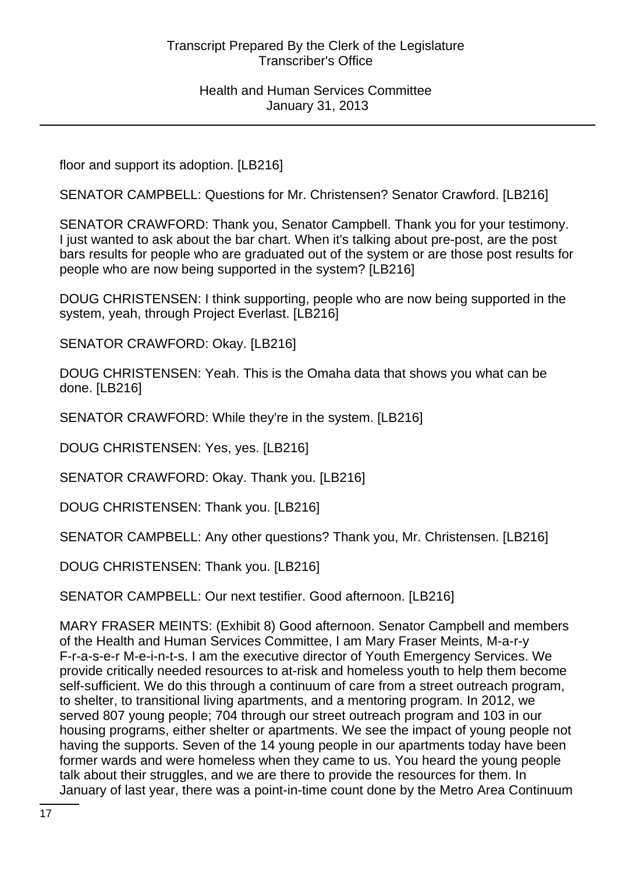floor and support its adoption. [LB216]

SENATOR CAMPBELL: Questions for Mr. Christensen? Senator Crawford. [LB216]

SENATOR CRAWFORD: Thank you, Senator Campbell. Thank you for your testimony. I just wanted to ask about the bar chart. When it's talking about pre-post, are the post bars results for people who are graduated out of the system or are those post results for people who are now being supported in the system? [LB216]

DOUG CHRISTENSEN: I think supporting, people who are now being supported in the system, yeah, through Project Everlast. [LB216]

SENATOR CRAWFORD: Okay. [LB216]

DOUG CHRISTENSEN: Yeah. This is the Omaha data that shows you what can be done. [LB216]

SENATOR CRAWFORD: While they're in the system. [LB216]

DOUG CHRISTENSEN: Yes, yes. [LB216]

SENATOR CRAWFORD: Okay. Thank you. [LB216]

DOUG CHRISTENSEN: Thank you. [LB216]

SENATOR CAMPBELL: Any other questions? Thank you, Mr. Christensen. [LB216]

DOUG CHRISTENSEN: Thank you. [LB216]

SENATOR CAMPBELL: Our next testifier. Good afternoon. [LB216]

MARY FRASER MEINTS: (Exhibit 8) Good afternoon. Senator Campbell and members of the Health and Human Services Committee, I am Mary Fraser Meints, M-a-r-y F-r-a-s-e-r M-e-i-n-t-s. I am the executive director of Youth Emergency Services. We provide critically needed resources to at-risk and homeless youth to help them become self-sufficient. We do this through a continuum of care from a street outreach program, to shelter, to transitional living apartments, and a mentoring program. In 2012, we served 807 young people; 704 through our street outreach program and 103 in our housing programs, either shelter or apartments. We see the impact of young people not having the supports. Seven of the 14 young people in our apartments today have been former wards and were homeless when they came to us. You heard the young people talk about their struggles, and we are there to provide the resources for them. In January of last year, there was a point-in-time count done by the Metro Area Continuum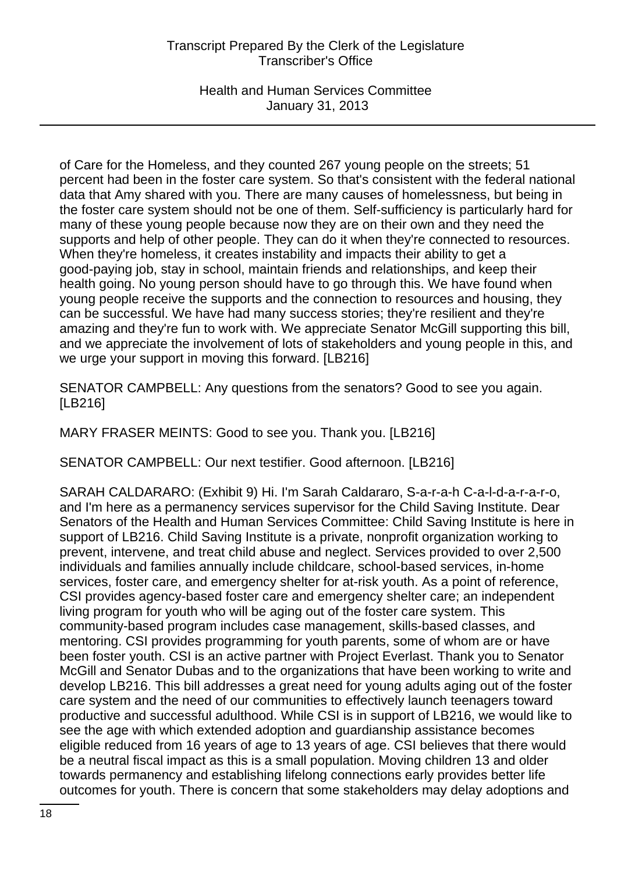Health and Human Services Committee January 31, 2013

of Care for the Homeless, and they counted 267 young people on the streets; 51 percent had been in the foster care system. So that's consistent with the federal national data that Amy shared with you. There are many causes of homelessness, but being in the foster care system should not be one of them. Self-sufficiency is particularly hard for many of these young people because now they are on their own and they need the supports and help of other people. They can do it when they're connected to resources. When they're homeless, it creates instability and impacts their ability to get a good-paying job, stay in school, maintain friends and relationships, and keep their health going. No young person should have to go through this. We have found when young people receive the supports and the connection to resources and housing, they can be successful. We have had many success stories; they're resilient and they're amazing and they're fun to work with. We appreciate Senator McGill supporting this bill, and we appreciate the involvement of lots of stakeholders and young people in this, and we urge your support in moving this forward. [LB216]

SENATOR CAMPBELL: Any questions from the senators? Good to see you again. [LB216]

MARY FRASER MEINTS: Good to see you. Thank you. [LB216]

SENATOR CAMPBELL: Our next testifier. Good afternoon. [LB216]

SARAH CALDARARO: (Exhibit 9) Hi. I'm Sarah Caldararo, S-a-r-a-h C-a-l-d-a-r-a-r-o, and I'm here as a permanency services supervisor for the Child Saving Institute. Dear Senators of the Health and Human Services Committee: Child Saving Institute is here in support of LB216. Child Saving Institute is a private, nonprofit organization working to prevent, intervene, and treat child abuse and neglect. Services provided to over 2,500 individuals and families annually include childcare, school-based services, in-home services, foster care, and emergency shelter for at-risk youth. As a point of reference, CSI provides agency-based foster care and emergency shelter care; an independent living program for youth who will be aging out of the foster care system. This community-based program includes case management, skills-based classes, and mentoring. CSI provides programming for youth parents, some of whom are or have been foster youth. CSI is an active partner with Project Everlast. Thank you to Senator McGill and Senator Dubas and to the organizations that have been working to write and develop LB216. This bill addresses a great need for young adults aging out of the foster care system and the need of our communities to effectively launch teenagers toward productive and successful adulthood. While CSI is in support of LB216, we would like to see the age with which extended adoption and guardianship assistance becomes eligible reduced from 16 years of age to 13 years of age. CSI believes that there would be a neutral fiscal impact as this is a small population. Moving children 13 and older towards permanency and establishing lifelong connections early provides better life outcomes for youth. There is concern that some stakeholders may delay adoptions and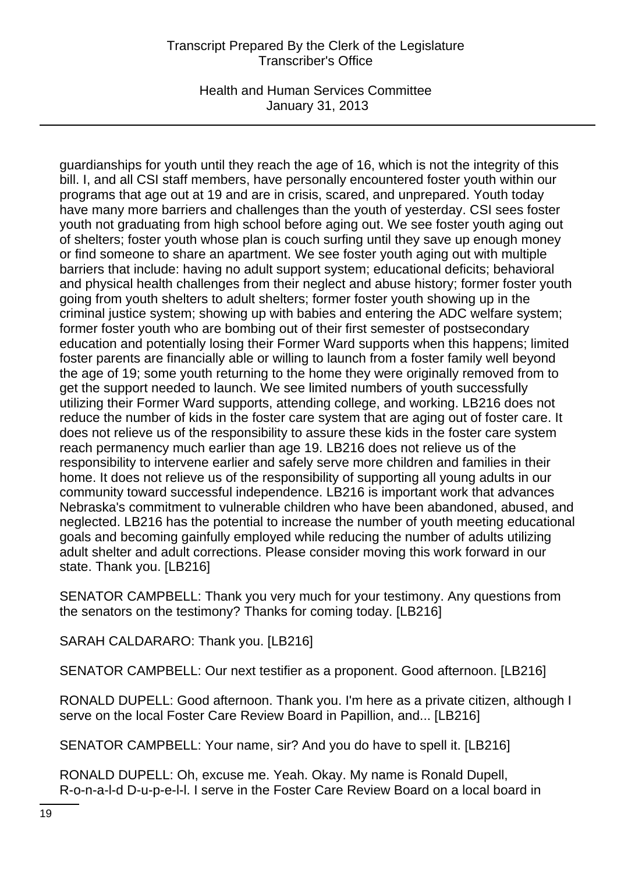Health and Human Services Committee January 31, 2013

guardianships for youth until they reach the age of 16, which is not the integrity of this bill. I, and all CSI staff members, have personally encountered foster youth within our programs that age out at 19 and are in crisis, scared, and unprepared. Youth today have many more barriers and challenges than the youth of yesterday. CSI sees foster youth not graduating from high school before aging out. We see foster youth aging out of shelters; foster youth whose plan is couch surfing until they save up enough money or find someone to share an apartment. We see foster youth aging out with multiple barriers that include: having no adult support system; educational deficits; behavioral and physical health challenges from their neglect and abuse history; former foster youth going from youth shelters to adult shelters; former foster youth showing up in the criminal justice system; showing up with babies and entering the ADC welfare system; former foster youth who are bombing out of their first semester of postsecondary education and potentially losing their Former Ward supports when this happens; limited foster parents are financially able or willing to launch from a foster family well beyond the age of 19; some youth returning to the home they were originally removed from to get the support needed to launch. We see limited numbers of youth successfully utilizing their Former Ward supports, attending college, and working. LB216 does not reduce the number of kids in the foster care system that are aging out of foster care. It does not relieve us of the responsibility to assure these kids in the foster care system reach permanency much earlier than age 19. LB216 does not relieve us of the responsibility to intervene earlier and safely serve more children and families in their home. It does not relieve us of the responsibility of supporting all young adults in our community toward successful independence. LB216 is important work that advances Nebraska's commitment to vulnerable children who have been abandoned, abused, and neglected. LB216 has the potential to increase the number of youth meeting educational goals and becoming gainfully employed while reducing the number of adults utilizing adult shelter and adult corrections. Please consider moving this work forward in our state. Thank you. [LB216]

SENATOR CAMPBELL: Thank you very much for your testimony. Any questions from the senators on the testimony? Thanks for coming today. [LB216]

SARAH CALDARARO: Thank you. [LB216]

SENATOR CAMPBELL: Our next testifier as a proponent. Good afternoon. [LB216]

RONALD DUPELL: Good afternoon. Thank you. I'm here as a private citizen, although I serve on the local Foster Care Review Board in Papillion, and... [LB216]

SENATOR CAMPBELL: Your name, sir? And you do have to spell it. [LB216]

RONALD DUPELL: Oh, excuse me. Yeah. Okay. My name is Ronald Dupell, R-o-n-a-l-d D-u-p-e-l-l. I serve in the Foster Care Review Board on a local board in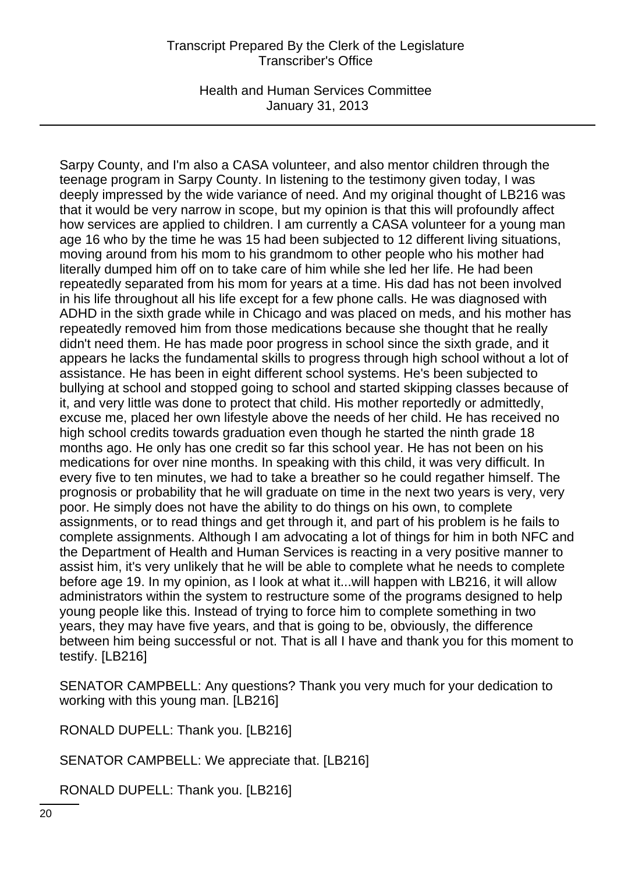Health and Human Services Committee January 31, 2013

Sarpy County, and I'm also a CASA volunteer, and also mentor children through the teenage program in Sarpy County. In listening to the testimony given today, I was deeply impressed by the wide variance of need. And my original thought of LB216 was that it would be very narrow in scope, but my opinion is that this will profoundly affect how services are applied to children. I am currently a CASA volunteer for a young man age 16 who by the time he was 15 had been subjected to 12 different living situations, moving around from his mom to his grandmom to other people who his mother had literally dumped him off on to take care of him while she led her life. He had been repeatedly separated from his mom for years at a time. His dad has not been involved in his life throughout all his life except for a few phone calls. He was diagnosed with ADHD in the sixth grade while in Chicago and was placed on meds, and his mother has repeatedly removed him from those medications because she thought that he really didn't need them. He has made poor progress in school since the sixth grade, and it appears he lacks the fundamental skills to progress through high school without a lot of assistance. He has been in eight different school systems. He's been subjected to bullying at school and stopped going to school and started skipping classes because of it, and very little was done to protect that child. His mother reportedly or admittedly, excuse me, placed her own lifestyle above the needs of her child. He has received no high school credits towards graduation even though he started the ninth grade 18 months ago. He only has one credit so far this school year. He has not been on his medications for over nine months. In speaking with this child, it was very difficult. In every five to ten minutes, we had to take a breather so he could regather himself. The prognosis or probability that he will graduate on time in the next two years is very, very poor. He simply does not have the ability to do things on his own, to complete assignments, or to read things and get through it, and part of his problem is he fails to complete assignments. Although I am advocating a lot of things for him in both NFC and the Department of Health and Human Services is reacting in a very positive manner to assist him, it's very unlikely that he will be able to complete what he needs to complete before age 19. In my opinion, as I look at what it...will happen with LB216, it will allow administrators within the system to restructure some of the programs designed to help young people like this. Instead of trying to force him to complete something in two years, they may have five years, and that is going to be, obviously, the difference between him being successful or not. That is all I have and thank you for this moment to testify. [LB216]

SENATOR CAMPBELL: Any questions? Thank you very much for your dedication to working with this young man. [LB216]

RONALD DUPELL: Thank you. [LB216]

SENATOR CAMPBELL: We appreciate that. [LB216]

RONALD DUPELL: Thank you. [LB216]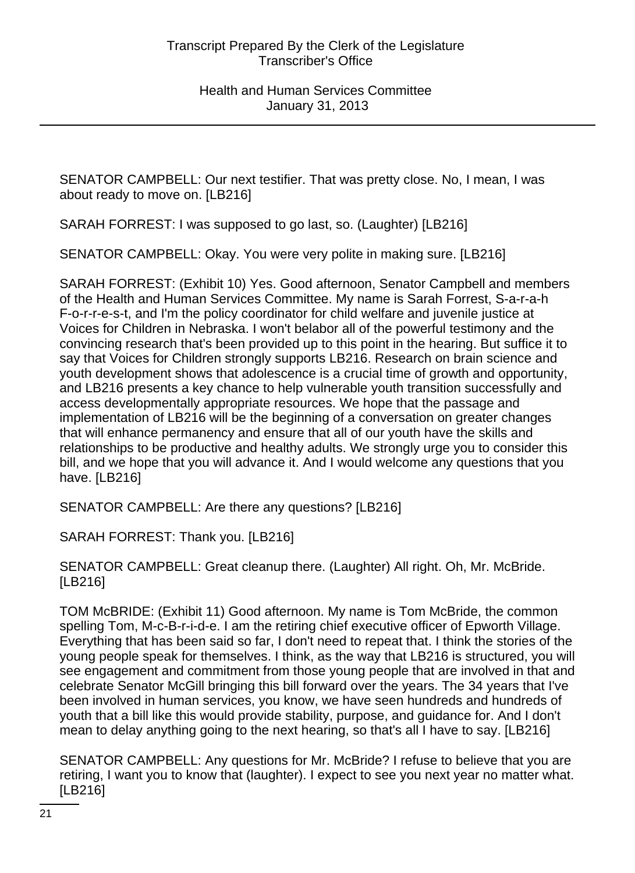SENATOR CAMPBELL: Our next testifier. That was pretty close. No, I mean, I was about ready to move on. [LB216]

SARAH FORREST: I was supposed to go last, so. (Laughter) [LB216]

SENATOR CAMPBELL: Okay. You were very polite in making sure. [LB216]

SARAH FORREST: (Exhibit 10) Yes. Good afternoon, Senator Campbell and members of the Health and Human Services Committee. My name is Sarah Forrest, S-a-r-a-h F-o-r-r-e-s-t, and I'm the policy coordinator for child welfare and juvenile justice at Voices for Children in Nebraska. I won't belabor all of the powerful testimony and the convincing research that's been provided up to this point in the hearing. But suffice it to say that Voices for Children strongly supports LB216. Research on brain science and youth development shows that adolescence is a crucial time of growth and opportunity, and LB216 presents a key chance to help vulnerable youth transition successfully and access developmentally appropriate resources. We hope that the passage and implementation of LB216 will be the beginning of a conversation on greater changes that will enhance permanency and ensure that all of our youth have the skills and relationships to be productive and healthy adults. We strongly urge you to consider this bill, and we hope that you will advance it. And I would welcome any questions that you have. [LB216]

SENATOR CAMPBELL: Are there any questions? [LB216]

SARAH FORREST: Thank you. [LB216]

SENATOR CAMPBELL: Great cleanup there. (Laughter) All right. Oh, Mr. McBride. [LB216]

TOM McBRIDE: (Exhibit 11) Good afternoon. My name is Tom McBride, the common spelling Tom, M-c-B-r-i-d-e. I am the retiring chief executive officer of Epworth Village. Everything that has been said so far, I don't need to repeat that. I think the stories of the young people speak for themselves. I think, as the way that LB216 is structured, you will see engagement and commitment from those young people that are involved in that and celebrate Senator McGill bringing this bill forward over the years. The 34 years that I've been involved in human services, you know, we have seen hundreds and hundreds of youth that a bill like this would provide stability, purpose, and guidance for. And I don't mean to delay anything going to the next hearing, so that's all I have to say. [LB216]

SENATOR CAMPBELL: Any questions for Mr. McBride? I refuse to believe that you are retiring, I want you to know that (laughter). I expect to see you next year no matter what. [LB216]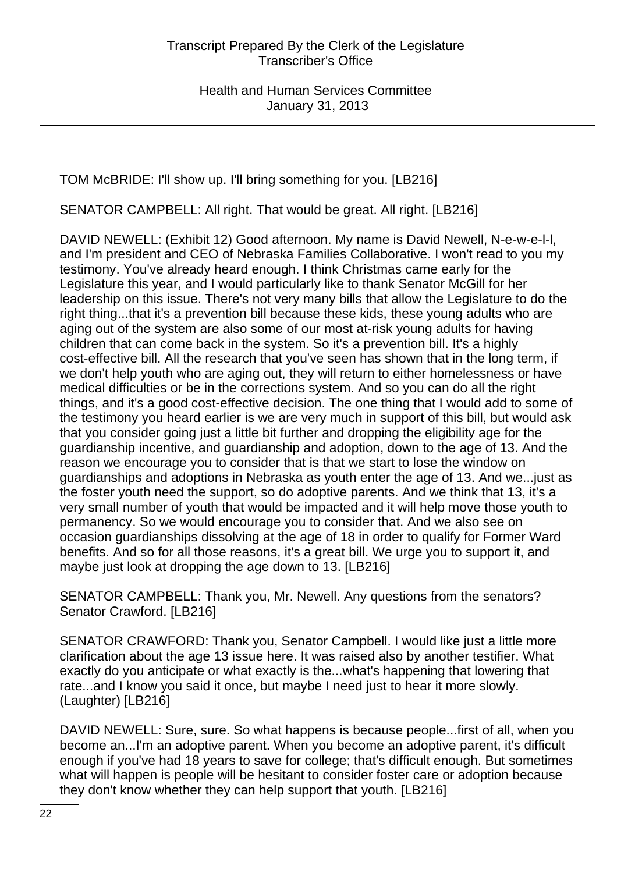TOM McBRIDE: I'll show up. I'll bring something for you. [LB216]

SENATOR CAMPBELL: All right. That would be great. All right. [LB216]

DAVID NEWELL: (Exhibit 12) Good afternoon. My name is David Newell, N-e-w-e-l-l, and I'm president and CEO of Nebraska Families Collaborative. I won't read to you my testimony. You've already heard enough. I think Christmas came early for the Legislature this year, and I would particularly like to thank Senator McGill for her leadership on this issue. There's not very many bills that allow the Legislature to do the right thing...that it's a prevention bill because these kids, these young adults who are aging out of the system are also some of our most at-risk young adults for having children that can come back in the system. So it's a prevention bill. It's a highly cost-effective bill. All the research that you've seen has shown that in the long term, if we don't help youth who are aging out, they will return to either homelessness or have medical difficulties or be in the corrections system. And so you can do all the right things, and it's a good cost-effective decision. The one thing that I would add to some of the testimony you heard earlier is we are very much in support of this bill, but would ask that you consider going just a little bit further and dropping the eligibility age for the guardianship incentive, and guardianship and adoption, down to the age of 13. And the reason we encourage you to consider that is that we start to lose the window on guardianships and adoptions in Nebraska as youth enter the age of 13. And we...just as the foster youth need the support, so do adoptive parents. And we think that 13, it's a very small number of youth that would be impacted and it will help move those youth to permanency. So we would encourage you to consider that. And we also see on occasion guardianships dissolving at the age of 18 in order to qualify for Former Ward benefits. And so for all those reasons, it's a great bill. We urge you to support it, and maybe just look at dropping the age down to 13. [LB216]

SENATOR CAMPBELL: Thank you, Mr. Newell. Any questions from the senators? Senator Crawford. [LB216]

SENATOR CRAWFORD: Thank you, Senator Campbell. I would like just a little more clarification about the age 13 issue here. It was raised also by another testifier. What exactly do you anticipate or what exactly is the...what's happening that lowering that rate...and I know you said it once, but maybe I need just to hear it more slowly. (Laughter) [LB216]

DAVID NEWELL: Sure, sure. So what happens is because people...first of all, when you become an...I'm an adoptive parent. When you become an adoptive parent, it's difficult enough if you've had 18 years to save for college; that's difficult enough. But sometimes what will happen is people will be hesitant to consider foster care or adoption because they don't know whether they can help support that youth. [LB216]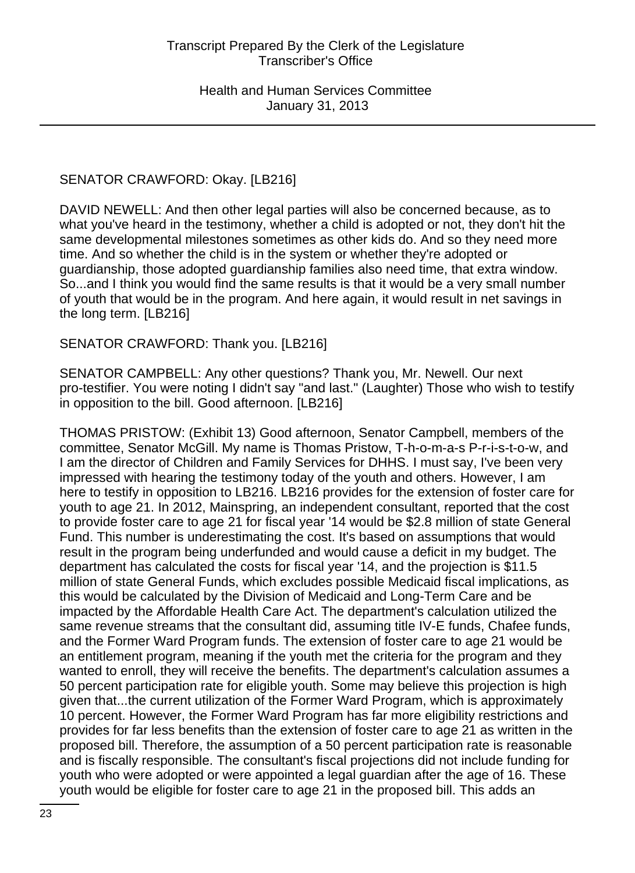# SENATOR CRAWFORD: Okay. [LB216]

DAVID NEWELL: And then other legal parties will also be concerned because, as to what you've heard in the testimony, whether a child is adopted or not, they don't hit the same developmental milestones sometimes as other kids do. And so they need more time. And so whether the child is in the system or whether they're adopted or guardianship, those adopted guardianship families also need time, that extra window. So...and I think you would find the same results is that it would be a very small number of youth that would be in the program. And here again, it would result in net savings in the long term. [LB216]

#### SENATOR CRAWFORD: Thank you. [LB216]

SENATOR CAMPBELL: Any other questions? Thank you, Mr. Newell. Our next pro-testifier. You were noting I didn't say "and last." (Laughter) Those who wish to testify in opposition to the bill. Good afternoon. [LB216]

THOMAS PRISTOW: (Exhibit 13) Good afternoon, Senator Campbell, members of the committee, Senator McGill. My name is Thomas Pristow, T-h-o-m-a-s P-r-i-s-t-o-w, and I am the director of Children and Family Services for DHHS. I must say, I've been very impressed with hearing the testimony today of the youth and others. However, I am here to testify in opposition to LB216. LB216 provides for the extension of foster care for youth to age 21. In 2012, Mainspring, an independent consultant, reported that the cost to provide foster care to age 21 for fiscal year '14 would be \$2.8 million of state General Fund. This number is underestimating the cost. It's based on assumptions that would result in the program being underfunded and would cause a deficit in my budget. The department has calculated the costs for fiscal year '14, and the projection is \$11.5 million of state General Funds, which excludes possible Medicaid fiscal implications, as this would be calculated by the Division of Medicaid and Long-Term Care and be impacted by the Affordable Health Care Act. The department's calculation utilized the same revenue streams that the consultant did, assuming title IV-E funds, Chafee funds, and the Former Ward Program funds. The extension of foster care to age 21 would be an entitlement program, meaning if the youth met the criteria for the program and they wanted to enroll, they will receive the benefits. The department's calculation assumes a 50 percent participation rate for eligible youth. Some may believe this projection is high given that...the current utilization of the Former Ward Program, which is approximately 10 percent. However, the Former Ward Program has far more eligibility restrictions and provides for far less benefits than the extension of foster care to age 21 as written in the proposed bill. Therefore, the assumption of a 50 percent participation rate is reasonable and is fiscally responsible. The consultant's fiscal projections did not include funding for youth who were adopted or were appointed a legal guardian after the age of 16. These youth would be eligible for foster care to age 21 in the proposed bill. This adds an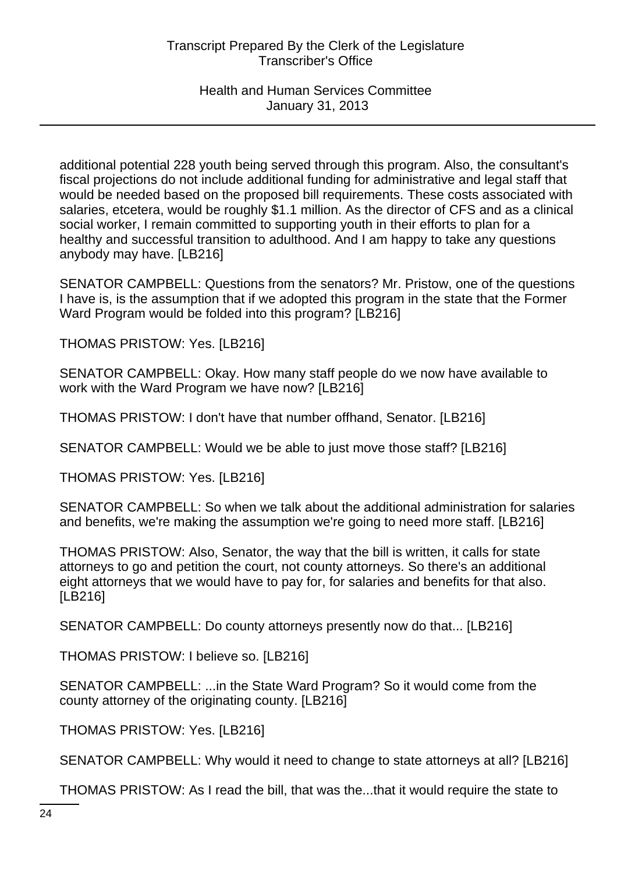additional potential 228 youth being served through this program. Also, the consultant's fiscal projections do not include additional funding for administrative and legal staff that would be needed based on the proposed bill requirements. These costs associated with salaries, etcetera, would be roughly \$1.1 million. As the director of CFS and as a clinical social worker, I remain committed to supporting youth in their efforts to plan for a healthy and successful transition to adulthood. And I am happy to take any questions anybody may have. [LB216]

SENATOR CAMPBELL: Questions from the senators? Mr. Pristow, one of the questions I have is, is the assumption that if we adopted this program in the state that the Former Ward Program would be folded into this program? [LB216]

THOMAS PRISTOW: Yes. [LB216]

SENATOR CAMPBELL: Okay. How many staff people do we now have available to work with the Ward Program we have now? [LB216]

THOMAS PRISTOW: I don't have that number offhand, Senator. [LB216]

SENATOR CAMPBELL: Would we be able to just move those staff? [LB216]

THOMAS PRISTOW: Yes. [LB216]

SENATOR CAMPBELL: So when we talk about the additional administration for salaries and benefits, we're making the assumption we're going to need more staff. [LB216]

THOMAS PRISTOW: Also, Senator, the way that the bill is written, it calls for state attorneys to go and petition the court, not county attorneys. So there's an additional eight attorneys that we would have to pay for, for salaries and benefits for that also. [LB216]

SENATOR CAMPBELL: Do county attorneys presently now do that... [LB216]

THOMAS PRISTOW: I believe so. [LB216]

SENATOR CAMPBELL: ...in the State Ward Program? So it would come from the county attorney of the originating county. [LB216]

THOMAS PRISTOW: Yes. [LB216]

SENATOR CAMPBELL: Why would it need to change to state attorneys at all? [LB216]

THOMAS PRISTOW: As I read the bill, that was the...that it would require the state to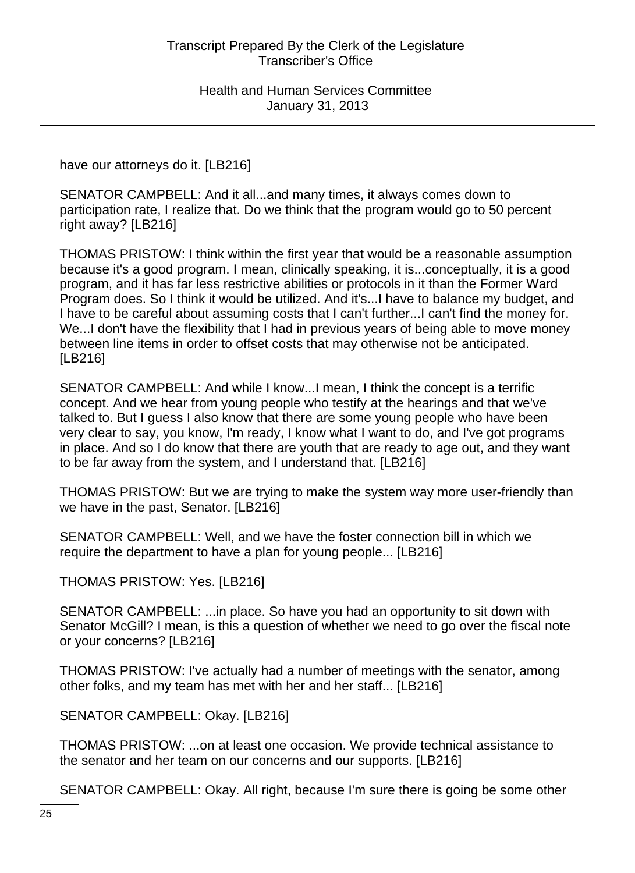have our attorneys do it. [LB216]

SENATOR CAMPBELL: And it all...and many times, it always comes down to participation rate, I realize that. Do we think that the program would go to 50 percent right away? [LB216]

THOMAS PRISTOW: I think within the first year that would be a reasonable assumption because it's a good program. I mean, clinically speaking, it is...conceptually, it is a good program, and it has far less restrictive abilities or protocols in it than the Former Ward Program does. So I think it would be utilized. And it's...I have to balance my budget, and I have to be careful about assuming costs that I can't further...I can't find the money for. We...I don't have the flexibility that I had in previous years of being able to move money between line items in order to offset costs that may otherwise not be anticipated. [LB216]

SENATOR CAMPBELL: And while I know...I mean, I think the concept is a terrific concept. And we hear from young people who testify at the hearings and that we've talked to. But I guess I also know that there are some young people who have been very clear to say, you know, I'm ready, I know what I want to do, and I've got programs in place. And so I do know that there are youth that are ready to age out, and they want to be far away from the system, and I understand that. [LB216]

THOMAS PRISTOW: But we are trying to make the system way more user-friendly than we have in the past, Senator. [LB216]

SENATOR CAMPBELL: Well, and we have the foster connection bill in which we require the department to have a plan for young people... [LB216]

THOMAS PRISTOW: Yes. [LB216]

SENATOR CAMPBELL: ...in place. So have you had an opportunity to sit down with Senator McGill? I mean, is this a question of whether we need to go over the fiscal note or your concerns? [LB216]

THOMAS PRISTOW: I've actually had a number of meetings with the senator, among other folks, and my team has met with her and her staff... [LB216]

SENATOR CAMPBELL: Okay. [LB216]

THOMAS PRISTOW: ...on at least one occasion. We provide technical assistance to the senator and her team on our concerns and our supports. [LB216]

SENATOR CAMPBELL: Okay. All right, because I'm sure there is going be some other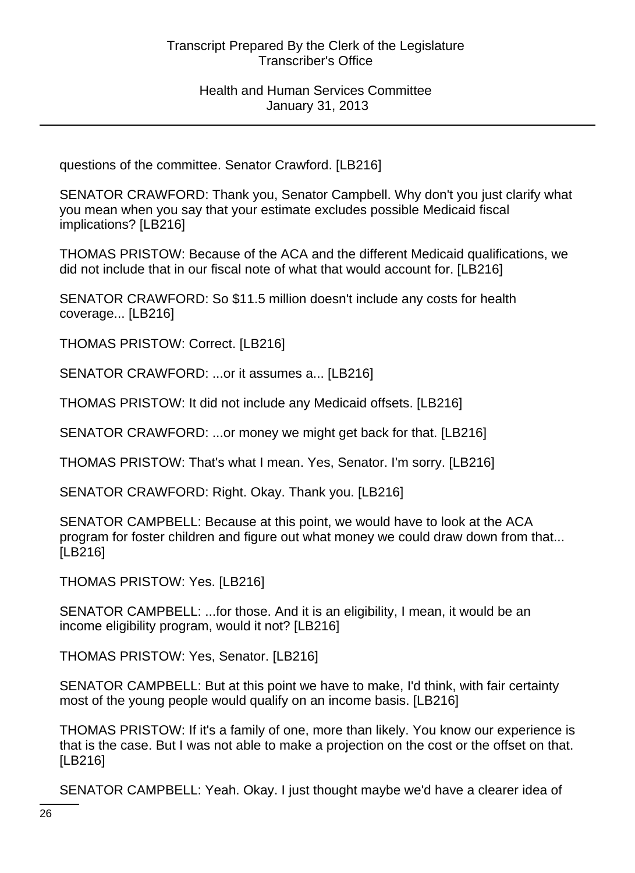questions of the committee. Senator Crawford. [LB216]

SENATOR CRAWFORD: Thank you, Senator Campbell. Why don't you just clarify what you mean when you say that your estimate excludes possible Medicaid fiscal implications? [LB216]

THOMAS PRISTOW: Because of the ACA and the different Medicaid qualifications, we did not include that in our fiscal note of what that would account for. [LB216]

SENATOR CRAWFORD: So \$11.5 million doesn't include any costs for health coverage... [LB216]

THOMAS PRISTOW: Correct. [LB216]

SENATOR CRAWFORD: ...or it assumes a... [LB216]

THOMAS PRISTOW: It did not include any Medicaid offsets. [LB216]

SENATOR CRAWFORD: ...or money we might get back for that. [LB216]

THOMAS PRISTOW: That's what I mean. Yes, Senator. I'm sorry. [LB216]

SENATOR CRAWFORD: Right. Okay. Thank you. [LB216]

SENATOR CAMPBELL: Because at this point, we would have to look at the ACA program for foster children and figure out what money we could draw down from that... [LB216]

THOMAS PRISTOW: Yes. [LB216]

SENATOR CAMPBELL: ...for those. And it is an eligibility, I mean, it would be an income eligibility program, would it not? [LB216]

THOMAS PRISTOW: Yes, Senator. [LB216]

SENATOR CAMPBELL: But at this point we have to make, I'd think, with fair certainty most of the young people would qualify on an income basis. [LB216]

THOMAS PRISTOW: If it's a family of one, more than likely. You know our experience is that is the case. But I was not able to make a projection on the cost or the offset on that. [LB216]

SENATOR CAMPBELL: Yeah. Okay. I just thought maybe we'd have a clearer idea of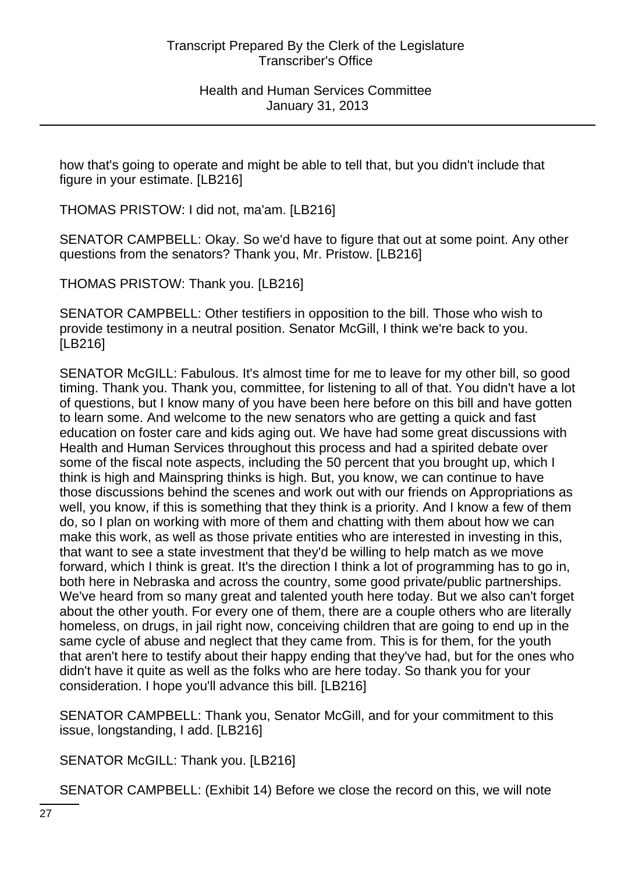how that's going to operate and might be able to tell that, but you didn't include that figure in your estimate. [LB216]

THOMAS PRISTOW: I did not, ma'am. [LB216]

SENATOR CAMPBELL: Okay. So we'd have to figure that out at some point. Any other questions from the senators? Thank you, Mr. Pristow. [LB216]

THOMAS PRISTOW: Thank you. [LB216]

SENATOR CAMPBELL: Other testifiers in opposition to the bill. Those who wish to provide testimony in a neutral position. Senator McGill, I think we're back to you. [LB216]

SENATOR McGILL: Fabulous. It's almost time for me to leave for my other bill, so good timing. Thank you. Thank you, committee, for listening to all of that. You didn't have a lot of questions, but I know many of you have been here before on this bill and have gotten to learn some. And welcome to the new senators who are getting a quick and fast education on foster care and kids aging out. We have had some great discussions with Health and Human Services throughout this process and had a spirited debate over some of the fiscal note aspects, including the 50 percent that you brought up, which I think is high and Mainspring thinks is high. But, you know, we can continue to have those discussions behind the scenes and work out with our friends on Appropriations as well, you know, if this is something that they think is a priority. And I know a few of them do, so I plan on working with more of them and chatting with them about how we can make this work, as well as those private entities who are interested in investing in this, that want to see a state investment that they'd be willing to help match as we move forward, which I think is great. It's the direction I think a lot of programming has to go in, both here in Nebraska and across the country, some good private/public partnerships. We've heard from so many great and talented youth here today. But we also can't forget about the other youth. For every one of them, there are a couple others who are literally homeless, on drugs, in jail right now, conceiving children that are going to end up in the same cycle of abuse and neglect that they came from. This is for them, for the youth that aren't here to testify about their happy ending that they've had, but for the ones who didn't have it quite as well as the folks who are here today. So thank you for your consideration. I hope you'll advance this bill. [LB216]

SENATOR CAMPBELL: Thank you, Senator McGill, and for your commitment to this issue, longstanding, I add. [LB216]

SENATOR McGILL: Thank you. [LB216]

SENATOR CAMPBELL: (Exhibit 14) Before we close the record on this, we will note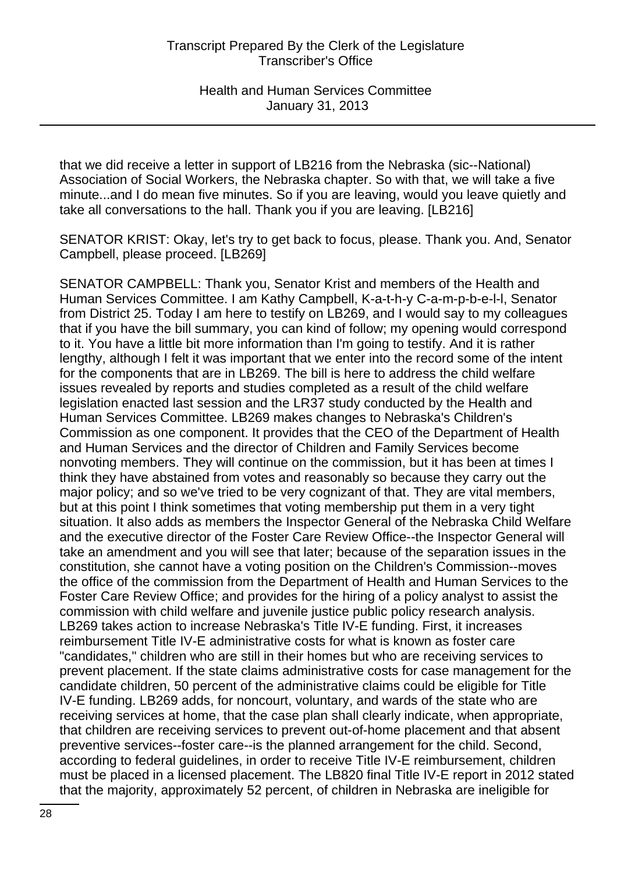that we did receive a letter in support of LB216 from the Nebraska (sic--National) Association of Social Workers, the Nebraska chapter. So with that, we will take a five minute...and I do mean five minutes. So if you are leaving, would you leave quietly and take all conversations to the hall. Thank you if you are leaving. [LB216]

SENATOR KRIST: Okay, let's try to get back to focus, please. Thank you. And, Senator Campbell, please proceed. [LB269]

SENATOR CAMPBELL: Thank you, Senator Krist and members of the Health and Human Services Committee. I am Kathy Campbell, K-a-t-h-y C-a-m-p-b-e-l-l, Senator from District 25. Today I am here to testify on LB269, and I would say to my colleagues that if you have the bill summary, you can kind of follow; my opening would correspond to it. You have a little bit more information than I'm going to testify. And it is rather lengthy, although I felt it was important that we enter into the record some of the intent for the components that are in LB269. The bill is here to address the child welfare issues revealed by reports and studies completed as a result of the child welfare legislation enacted last session and the LR37 study conducted by the Health and Human Services Committee. LB269 makes changes to Nebraska's Children's Commission as one component. It provides that the CEO of the Department of Health and Human Services and the director of Children and Family Services become nonvoting members. They will continue on the commission, but it has been at times I think they have abstained from votes and reasonably so because they carry out the major policy; and so we've tried to be very cognizant of that. They are vital members, but at this point I think sometimes that voting membership put them in a very tight situation. It also adds as members the Inspector General of the Nebraska Child Welfare and the executive director of the Foster Care Review Office--the Inspector General will take an amendment and you will see that later; because of the separation issues in the constitution, she cannot have a voting position on the Children's Commission--moves the office of the commission from the Department of Health and Human Services to the Foster Care Review Office; and provides for the hiring of a policy analyst to assist the commission with child welfare and juvenile justice public policy research analysis. LB269 takes action to increase Nebraska's Title IV-E funding. First, it increases reimbursement Title IV-E administrative costs for what is known as foster care "candidates," children who are still in their homes but who are receiving services to prevent placement. If the state claims administrative costs for case management for the candidate children, 50 percent of the administrative claims could be eligible for Title IV-E funding. LB269 adds, for noncourt, voluntary, and wards of the state who are receiving services at home, that the case plan shall clearly indicate, when appropriate, that children are receiving services to prevent out-of-home placement and that absent preventive services--foster care--is the planned arrangement for the child. Second, according to federal guidelines, in order to receive Title IV-E reimbursement, children must be placed in a licensed placement. The LB820 final Title IV-E report in 2012 stated that the majority, approximately 52 percent, of children in Nebraska are ineligible for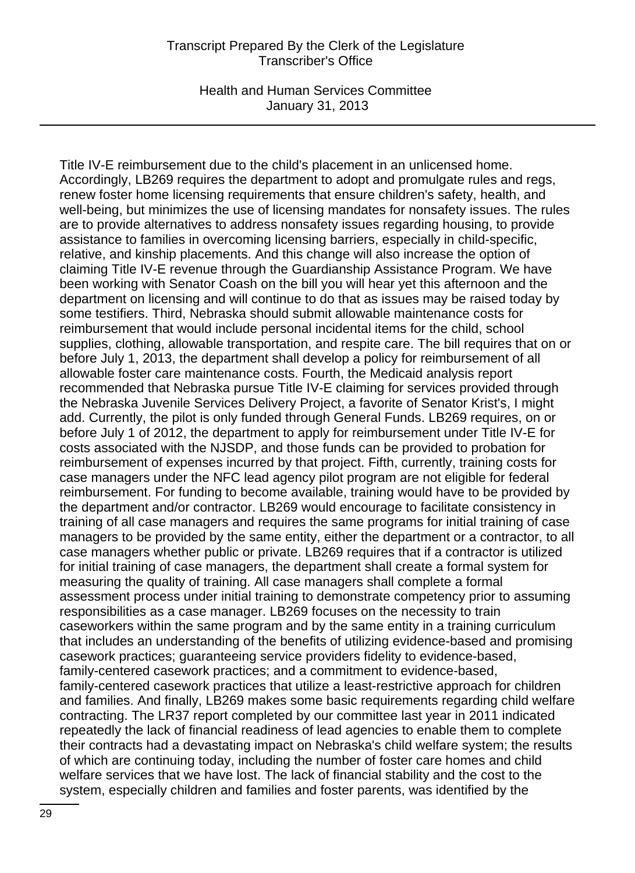Health and Human Services Committee January 31, 2013

Title IV-E reimbursement due to the child's placement in an unlicensed home. Accordingly, LB269 requires the department to adopt and promulgate rules and regs, renew foster home licensing requirements that ensure children's safety, health, and well-being, but minimizes the use of licensing mandates for nonsafety issues. The rules are to provide alternatives to address nonsafety issues regarding housing, to provide assistance to families in overcoming licensing barriers, especially in child-specific, relative, and kinship placements. And this change will also increase the option of claiming Title IV-E revenue through the Guardianship Assistance Program. We have been working with Senator Coash on the bill you will hear yet this afternoon and the department on licensing and will continue to do that as issues may be raised today by some testifiers. Third, Nebraska should submit allowable maintenance costs for reimbursement that would include personal incidental items for the child, school supplies, clothing, allowable transportation, and respite care. The bill requires that on or before July 1, 2013, the department shall develop a policy for reimbursement of all allowable foster care maintenance costs. Fourth, the Medicaid analysis report recommended that Nebraska pursue Title IV-E claiming for services provided through the Nebraska Juvenile Services Delivery Project, a favorite of Senator Krist's, I might add. Currently, the pilot is only funded through General Funds. LB269 requires, on or before July 1 of 2012, the department to apply for reimbursement under Title IV-E for costs associated with the NJSDP, and those funds can be provided to probation for reimbursement of expenses incurred by that project. Fifth, currently, training costs for case managers under the NFC lead agency pilot program are not eligible for federal reimbursement. For funding to become available, training would have to be provided by the department and/or contractor. LB269 would encourage to facilitate consistency in training of all case managers and requires the same programs for initial training of case managers to be provided by the same entity, either the department or a contractor, to all case managers whether public or private. LB269 requires that if a contractor is utilized for initial training of case managers, the department shall create a formal system for measuring the quality of training. All case managers shall complete a formal assessment process under initial training to demonstrate competency prior to assuming responsibilities as a case manager. LB269 focuses on the necessity to train caseworkers within the same program and by the same entity in a training curriculum that includes an understanding of the benefits of utilizing evidence-based and promising casework practices; guaranteeing service providers fidelity to evidence-based, family-centered casework practices; and a commitment to evidence-based, family-centered casework practices that utilize a least-restrictive approach for children and families. And finally, LB269 makes some basic requirements regarding child welfare contracting. The LR37 report completed by our committee last year in 2011 indicated repeatedly the lack of financial readiness of lead agencies to enable them to complete their contracts had a devastating impact on Nebraska's child welfare system; the results of which are continuing today, including the number of foster care homes and child welfare services that we have lost. The lack of financial stability and the cost to the system, especially children and families and foster parents, was identified by the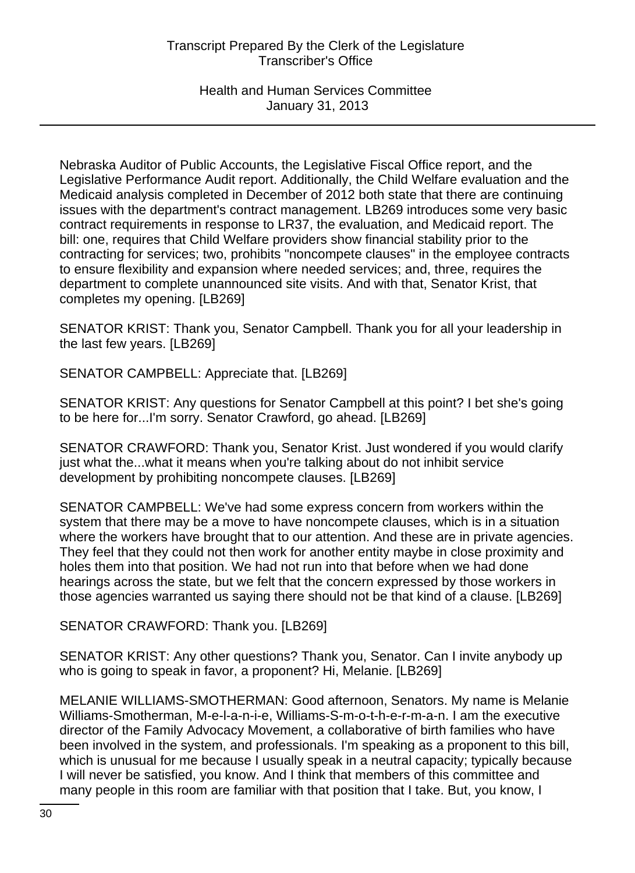Health and Human Services Committee January 31, 2013

Nebraska Auditor of Public Accounts, the Legislative Fiscal Office report, and the Legislative Performance Audit report. Additionally, the Child Welfare evaluation and the Medicaid analysis completed in December of 2012 both state that there are continuing issues with the department's contract management. LB269 introduces some very basic contract requirements in response to LR37, the evaluation, and Medicaid report. The bill: one, requires that Child Welfare providers show financial stability prior to the contracting for services; two, prohibits "noncompete clauses" in the employee contracts to ensure flexibility and expansion where needed services; and, three, requires the department to complete unannounced site visits. And with that, Senator Krist, that completes my opening. [LB269]

SENATOR KRIST: Thank you, Senator Campbell. Thank you for all your leadership in the last few years. [LB269]

SENATOR CAMPBELL: Appreciate that. [LB269]

SENATOR KRIST: Any questions for Senator Campbell at this point? I bet she's going to be here for...I'm sorry. Senator Crawford, go ahead. [LB269]

SENATOR CRAWFORD: Thank you, Senator Krist. Just wondered if you would clarify just what the...what it means when you're talking about do not inhibit service development by prohibiting noncompete clauses. [LB269]

SENATOR CAMPBELL: We've had some express concern from workers within the system that there may be a move to have noncompete clauses, which is in a situation where the workers have brought that to our attention. And these are in private agencies. They feel that they could not then work for another entity maybe in close proximity and holes them into that position. We had not run into that before when we had done hearings across the state, but we felt that the concern expressed by those workers in those agencies warranted us saying there should not be that kind of a clause. [LB269]

SENATOR CRAWFORD: Thank you. [LB269]

SENATOR KRIST: Any other questions? Thank you, Senator. Can I invite anybody up who is going to speak in favor, a proponent? Hi, Melanie. [LB269]

MELANIE WILLIAMS-SMOTHERMAN: Good afternoon, Senators. My name is Melanie Williams-Smotherman, M-e-l-a-n-i-e, Williams-S-m-o-t-h-e-r-m-a-n. I am the executive director of the Family Advocacy Movement, a collaborative of birth families who have been involved in the system, and professionals. I'm speaking as a proponent to this bill, which is unusual for me because I usually speak in a neutral capacity; typically because I will never be satisfied, you know. And I think that members of this committee and many people in this room are familiar with that position that I take. But, you know, I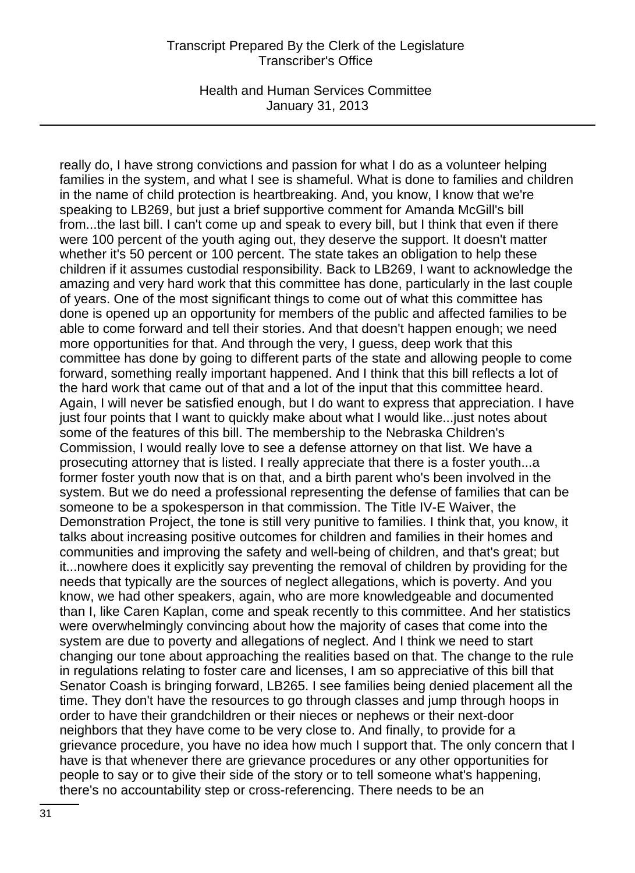Health and Human Services Committee January 31, 2013

really do, I have strong convictions and passion for what I do as a volunteer helping families in the system, and what I see is shameful. What is done to families and children in the name of child protection is heartbreaking. And, you know, I know that we're speaking to LB269, but just a brief supportive comment for Amanda McGill's bill from...the last bill. I can't come up and speak to every bill, but I think that even if there were 100 percent of the youth aging out, they deserve the support. It doesn't matter whether it's 50 percent or 100 percent. The state takes an obligation to help these children if it assumes custodial responsibility. Back to LB269, I want to acknowledge the amazing and very hard work that this committee has done, particularly in the last couple of years. One of the most significant things to come out of what this committee has done is opened up an opportunity for members of the public and affected families to be able to come forward and tell their stories. And that doesn't happen enough; we need more opportunities for that. And through the very, I guess, deep work that this committee has done by going to different parts of the state and allowing people to come forward, something really important happened. And I think that this bill reflects a lot of the hard work that came out of that and a lot of the input that this committee heard. Again, I will never be satisfied enough, but I do want to express that appreciation. I have just four points that I want to quickly make about what I would like...just notes about some of the features of this bill. The membership to the Nebraska Children's Commission, I would really love to see a defense attorney on that list. We have a prosecuting attorney that is listed. I really appreciate that there is a foster youth...a former foster youth now that is on that, and a birth parent who's been involved in the system. But we do need a professional representing the defense of families that can be someone to be a spokesperson in that commission. The Title IV-E Waiver, the Demonstration Project, the tone is still very punitive to families. I think that, you know, it talks about increasing positive outcomes for children and families in their homes and communities and improving the safety and well-being of children, and that's great; but it...nowhere does it explicitly say preventing the removal of children by providing for the needs that typically are the sources of neglect allegations, which is poverty. And you know, we had other speakers, again, who are more knowledgeable and documented than I, like Caren Kaplan, come and speak recently to this committee. And her statistics were overwhelmingly convincing about how the majority of cases that come into the system are due to poverty and allegations of neglect. And I think we need to start changing our tone about approaching the realities based on that. The change to the rule in regulations relating to foster care and licenses, I am so appreciative of this bill that Senator Coash is bringing forward, LB265. I see families being denied placement all the time. They don't have the resources to go through classes and jump through hoops in order to have their grandchildren or their nieces or nephews or their next-door neighbors that they have come to be very close to. And finally, to provide for a grievance procedure, you have no idea how much I support that. The only concern that I have is that whenever there are grievance procedures or any other opportunities for people to say or to give their side of the story or to tell someone what's happening, there's no accountability step or cross-referencing. There needs to be an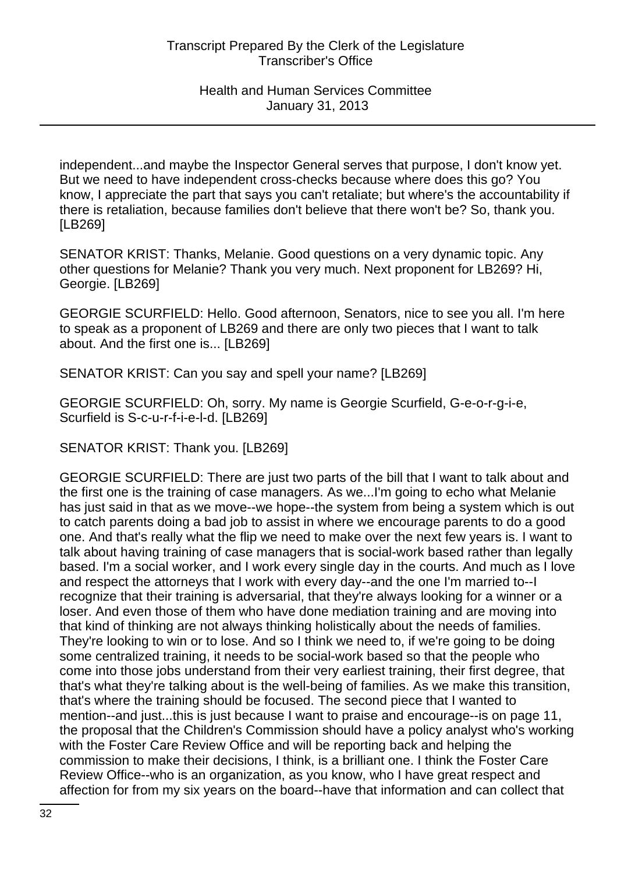independent...and maybe the Inspector General serves that purpose, I don't know yet. But we need to have independent cross-checks because where does this go? You know, I appreciate the part that says you can't retaliate; but where's the accountability if there is retaliation, because families don't believe that there won't be? So, thank you. [LB269]

SENATOR KRIST: Thanks, Melanie. Good questions on a very dynamic topic. Any other questions for Melanie? Thank you very much. Next proponent for LB269? Hi, Georgie. [LB269]

GEORGIE SCURFIELD: Hello. Good afternoon, Senators, nice to see you all. I'm here to speak as a proponent of LB269 and there are only two pieces that I want to talk about. And the first one is... [LB269]

SENATOR KRIST: Can you say and spell your name? [LB269]

GEORGIE SCURFIELD: Oh, sorry. My name is Georgie Scurfield, G-e-o-r-g-i-e, Scurfield is S-c-u-r-f-i-e-l-d. [LB269]

SENATOR KRIST: Thank you. [LB269]

GEORGIE SCURFIELD: There are just two parts of the bill that I want to talk about and the first one is the training of case managers. As we...I'm going to echo what Melanie has just said in that as we move--we hope--the system from being a system which is out to catch parents doing a bad job to assist in where we encourage parents to do a good one. And that's really what the flip we need to make over the next few years is. I want to talk about having training of case managers that is social-work based rather than legally based. I'm a social worker, and I work every single day in the courts. And much as I love and respect the attorneys that I work with every day--and the one I'm married to--I recognize that their training is adversarial, that they're always looking for a winner or a loser. And even those of them who have done mediation training and are moving into that kind of thinking are not always thinking holistically about the needs of families. They're looking to win or to lose. And so I think we need to, if we're going to be doing some centralized training, it needs to be social-work based so that the people who come into those jobs understand from their very earliest training, their first degree, that that's what they're talking about is the well-being of families. As we make this transition, that's where the training should be focused. The second piece that I wanted to mention--and just...this is just because I want to praise and encourage--is on page 11, the proposal that the Children's Commission should have a policy analyst who's working with the Foster Care Review Office and will be reporting back and helping the commission to make their decisions, I think, is a brilliant one. I think the Foster Care Review Office--who is an organization, as you know, who I have great respect and affection for from my six years on the board--have that information and can collect that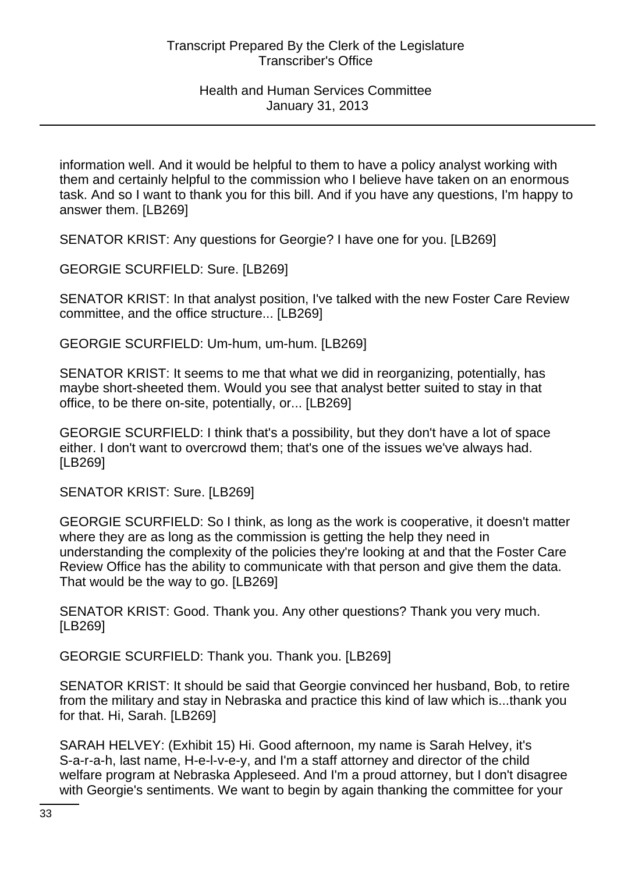information well. And it would be helpful to them to have a policy analyst working with them and certainly helpful to the commission who I believe have taken on an enormous task. And so I want to thank you for this bill. And if you have any questions, I'm happy to answer them. [LB269]

SENATOR KRIST: Any questions for Georgie? I have one for you. [LB269]

GEORGIE SCURFIELD: Sure. [LB269]

SENATOR KRIST: In that analyst position, I've talked with the new Foster Care Review committee, and the office structure... [LB269]

GEORGIE SCURFIELD: Um-hum, um-hum. [LB269]

SENATOR KRIST: It seems to me that what we did in reorganizing, potentially, has maybe short-sheeted them. Would you see that analyst better suited to stay in that office, to be there on-site, potentially, or... [LB269]

GEORGIE SCURFIELD: I think that's a possibility, but they don't have a lot of space either. I don't want to overcrowd them; that's one of the issues we've always had. [LB269]

SENATOR KRIST: Sure. [LB269]

GEORGIE SCURFIELD: So I think, as long as the work is cooperative, it doesn't matter where they are as long as the commission is getting the help they need in understanding the complexity of the policies they're looking at and that the Foster Care Review Office has the ability to communicate with that person and give them the data. That would be the way to go. [LB269]

SENATOR KRIST: Good. Thank you. Any other questions? Thank you very much. [LB269]

GEORGIE SCURFIELD: Thank you. Thank you. [LB269]

SENATOR KRIST: It should be said that Georgie convinced her husband, Bob, to retire from the military and stay in Nebraska and practice this kind of law which is...thank you for that. Hi, Sarah. [LB269]

SARAH HELVEY: (Exhibit 15) Hi. Good afternoon, my name is Sarah Helvey, it's S-a-r-a-h, last name, H-e-l-v-e-y, and I'm a staff attorney and director of the child welfare program at Nebraska Appleseed. And I'm a proud attorney, but I don't disagree with Georgie's sentiments. We want to begin by again thanking the committee for your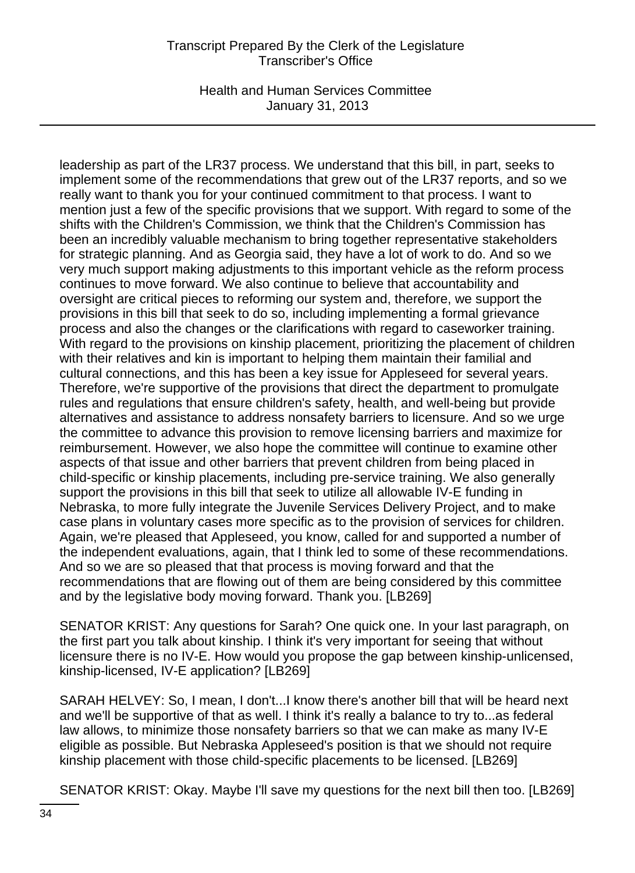Health and Human Services Committee January 31, 2013

leadership as part of the LR37 process. We understand that this bill, in part, seeks to implement some of the recommendations that grew out of the LR37 reports, and so we really want to thank you for your continued commitment to that process. I want to mention just a few of the specific provisions that we support. With regard to some of the shifts with the Children's Commission, we think that the Children's Commission has been an incredibly valuable mechanism to bring together representative stakeholders for strategic planning. And as Georgia said, they have a lot of work to do. And so we very much support making adjustments to this important vehicle as the reform process continues to move forward. We also continue to believe that accountability and oversight are critical pieces to reforming our system and, therefore, we support the provisions in this bill that seek to do so, including implementing a formal grievance process and also the changes or the clarifications with regard to caseworker training. With regard to the provisions on kinship placement, prioritizing the placement of children with their relatives and kin is important to helping them maintain their familial and cultural connections, and this has been a key issue for Appleseed for several years. Therefore, we're supportive of the provisions that direct the department to promulgate rules and regulations that ensure children's safety, health, and well-being but provide alternatives and assistance to address nonsafety barriers to licensure. And so we urge the committee to advance this provision to remove licensing barriers and maximize for reimbursement. However, we also hope the committee will continue to examine other aspects of that issue and other barriers that prevent children from being placed in child-specific or kinship placements, including pre-service training. We also generally support the provisions in this bill that seek to utilize all allowable IV-E funding in Nebraska, to more fully integrate the Juvenile Services Delivery Project, and to make case plans in voluntary cases more specific as to the provision of services for children. Again, we're pleased that Appleseed, you know, called for and supported a number of the independent evaluations, again, that I think led to some of these recommendations. And so we are so pleased that that process is moving forward and that the recommendations that are flowing out of them are being considered by this committee and by the legislative body moving forward. Thank you. [LB269]

SENATOR KRIST: Any questions for Sarah? One quick one. In your last paragraph, on the first part you talk about kinship. I think it's very important for seeing that without licensure there is no IV-E. How would you propose the gap between kinship-unlicensed, kinship-licensed, IV-E application? [LB269]

SARAH HELVEY: So, I mean, I don't...I know there's another bill that will be heard next and we'll be supportive of that as well. I think it's really a balance to try to...as federal law allows, to minimize those nonsafety barriers so that we can make as many IV-E eligible as possible. But Nebraska Appleseed's position is that we should not require kinship placement with those child-specific placements to be licensed. [LB269]

SENATOR KRIST: Okay. Maybe I'll save my questions for the next bill then too. [LB269]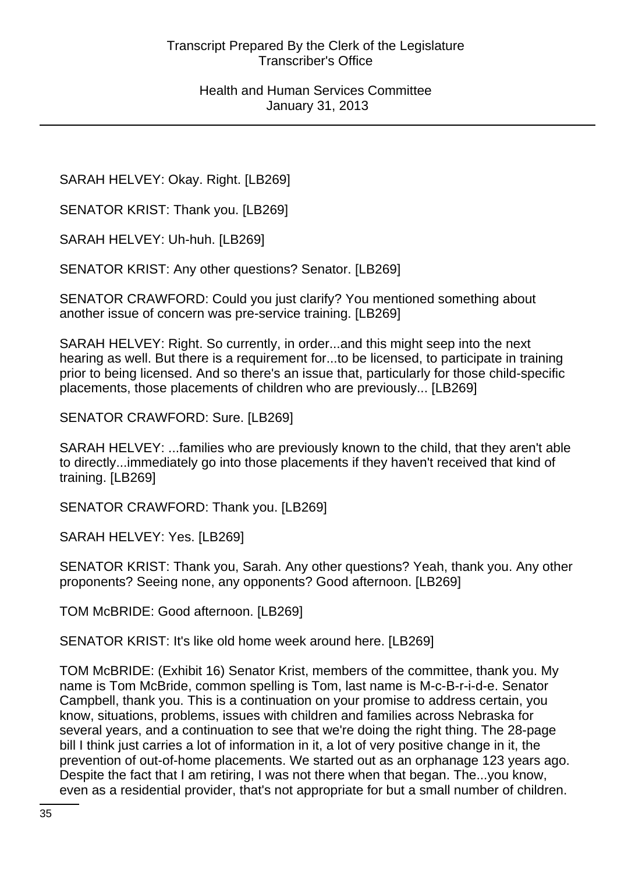SARAH HELVEY: Okay. Right. [LB269]

SENATOR KRIST: Thank you. [LB269]

SARAH HELVEY: Uh-huh. [LB269]

SENATOR KRIST: Any other questions? Senator. [LB269]

SENATOR CRAWFORD: Could you just clarify? You mentioned something about another issue of concern was pre-service training. [LB269]

SARAH HELVEY: Right. So currently, in order...and this might seep into the next hearing as well. But there is a requirement for...to be licensed, to participate in training prior to being licensed. And so there's an issue that, particularly for those child-specific placements, those placements of children who are previously... [LB269]

SENATOR CRAWFORD: Sure. [LB269]

SARAH HELVEY: ...families who are previously known to the child, that they aren't able to directly...immediately go into those placements if they haven't received that kind of training. [LB269]

SENATOR CRAWFORD: Thank you. [LB269]

SARAH HELVEY: Yes. [LB269]

SENATOR KRIST: Thank you, Sarah. Any other questions? Yeah, thank you. Any other proponents? Seeing none, any opponents? Good afternoon. [LB269]

TOM McBRIDE: Good afternoon. [LB269]

SENATOR KRIST: It's like old home week around here. [LB269]

TOM McBRIDE: (Exhibit 16) Senator Krist, members of the committee, thank you. My name is Tom McBride, common spelling is Tom, last name is M-c-B-r-i-d-e. Senator Campbell, thank you. This is a continuation on your promise to address certain, you know, situations, problems, issues with children and families across Nebraska for several years, and a continuation to see that we're doing the right thing. The 28-page bill I think just carries a lot of information in it, a lot of very positive change in it, the prevention of out-of-home placements. We started out as an orphanage 123 years ago. Despite the fact that I am retiring, I was not there when that began. The...you know, even as a residential provider, that's not appropriate for but a small number of children.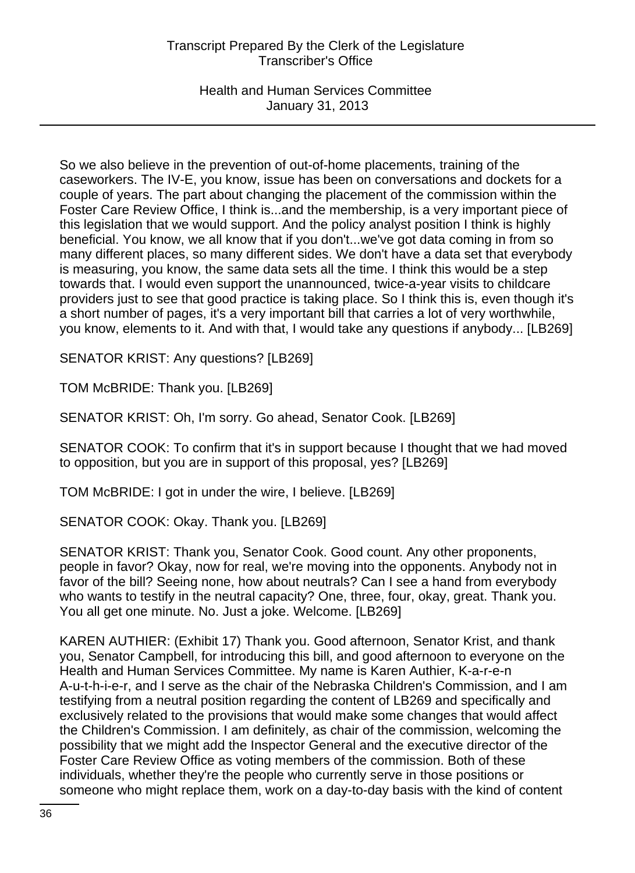Health and Human Services Committee January 31, 2013

So we also believe in the prevention of out-of-home placements, training of the caseworkers. The IV-E, you know, issue has been on conversations and dockets for a couple of years. The part about changing the placement of the commission within the Foster Care Review Office, I think is...and the membership, is a very important piece of this legislation that we would support. And the policy analyst position I think is highly beneficial. You know, we all know that if you don't...we've got data coming in from so many different places, so many different sides. We don't have a data set that everybody is measuring, you know, the same data sets all the time. I think this would be a step towards that. I would even support the unannounced, twice-a-year visits to childcare providers just to see that good practice is taking place. So I think this is, even though it's a short number of pages, it's a very important bill that carries a lot of very worthwhile, you know, elements to it. And with that, I would take any questions if anybody... [LB269]

SENATOR KRIST: Any questions? [LB269]

TOM McBRIDE: Thank you. [LB269]

SENATOR KRIST: Oh, I'm sorry. Go ahead, Senator Cook. [LB269]

SENATOR COOK: To confirm that it's in support because I thought that we had moved to opposition, but you are in support of this proposal, yes? [LB269]

TOM McBRIDE: I got in under the wire, I believe. [LB269]

SENATOR COOK: Okay. Thank you. [LB269]

SENATOR KRIST: Thank you, Senator Cook. Good count. Any other proponents, people in favor? Okay, now for real, we're moving into the opponents. Anybody not in favor of the bill? Seeing none, how about neutrals? Can I see a hand from everybody who wants to testify in the neutral capacity? One, three, four, okay, great. Thank you. You all get one minute. No. Just a joke. Welcome. [LB269]

KAREN AUTHIER: (Exhibit 17) Thank you. Good afternoon, Senator Krist, and thank you, Senator Campbell, for introducing this bill, and good afternoon to everyone on the Health and Human Services Committee. My name is Karen Authier, K-a-r-e-n A-u-t-h-i-e-r, and I serve as the chair of the Nebraska Children's Commission, and I am testifying from a neutral position regarding the content of LB269 and specifically and exclusively related to the provisions that would make some changes that would affect the Children's Commission. I am definitely, as chair of the commission, welcoming the possibility that we might add the Inspector General and the executive director of the Foster Care Review Office as voting members of the commission. Both of these individuals, whether they're the people who currently serve in those positions or someone who might replace them, work on a day-to-day basis with the kind of content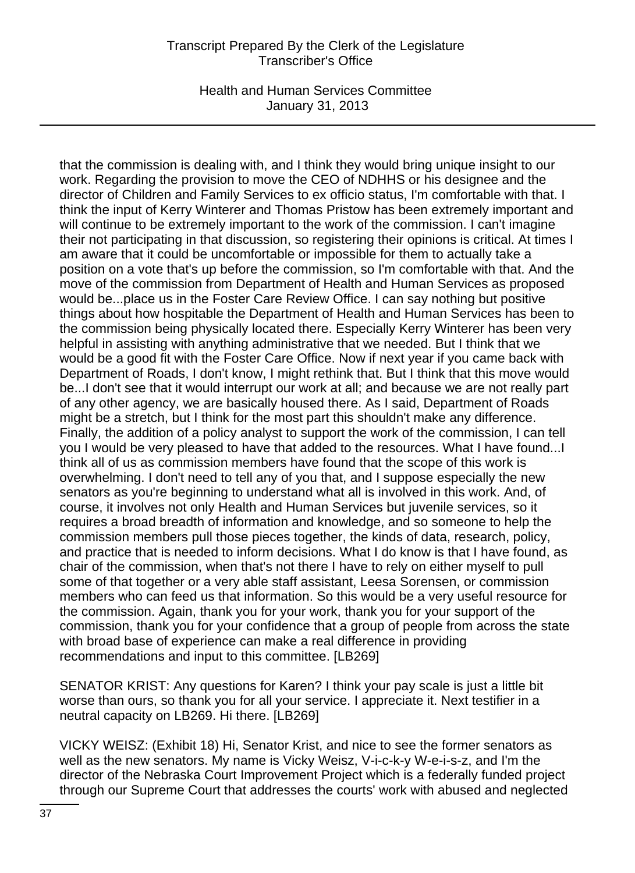Health and Human Services Committee January 31, 2013

that the commission is dealing with, and I think they would bring unique insight to our work. Regarding the provision to move the CEO of NDHHS or his designee and the director of Children and Family Services to ex officio status, I'm comfortable with that. I think the input of Kerry Winterer and Thomas Pristow has been extremely important and will continue to be extremely important to the work of the commission. I can't imagine their not participating in that discussion, so registering their opinions is critical. At times I am aware that it could be uncomfortable or impossible for them to actually take a position on a vote that's up before the commission, so I'm comfortable with that. And the move of the commission from Department of Health and Human Services as proposed would be...place us in the Foster Care Review Office. I can say nothing but positive things about how hospitable the Department of Health and Human Services has been to the commission being physically located there. Especially Kerry Winterer has been very helpful in assisting with anything administrative that we needed. But I think that we would be a good fit with the Foster Care Office. Now if next year if you came back with Department of Roads, I don't know, I might rethink that. But I think that this move would be...I don't see that it would interrupt our work at all; and because we are not really part of any other agency, we are basically housed there. As I said, Department of Roads might be a stretch, but I think for the most part this shouldn't make any difference. Finally, the addition of a policy analyst to support the work of the commission, I can tell you I would be very pleased to have that added to the resources. What I have found...I think all of us as commission members have found that the scope of this work is overwhelming. I don't need to tell any of you that, and I suppose especially the new senators as you're beginning to understand what all is involved in this work. And, of course, it involves not only Health and Human Services but juvenile services, so it requires a broad breadth of information and knowledge, and so someone to help the commission members pull those pieces together, the kinds of data, research, policy, and practice that is needed to inform decisions. What I do know is that I have found, as chair of the commission, when that's not there I have to rely on either myself to pull some of that together or a very able staff assistant, Leesa Sorensen, or commission members who can feed us that information. So this would be a very useful resource for the commission. Again, thank you for your work, thank you for your support of the commission, thank you for your confidence that a group of people from across the state with broad base of experience can make a real difference in providing recommendations and input to this committee. [LB269]

SENATOR KRIST: Any questions for Karen? I think your pay scale is just a little bit worse than ours, so thank you for all your service. I appreciate it. Next testifier in a neutral capacity on LB269. Hi there. [LB269]

VICKY WEISZ: (Exhibit 18) Hi, Senator Krist, and nice to see the former senators as well as the new senators. My name is Vicky Weisz, V-i-c-k-y W-e-i-s-z, and I'm the director of the Nebraska Court Improvement Project which is a federally funded project through our Supreme Court that addresses the courts' work with abused and neglected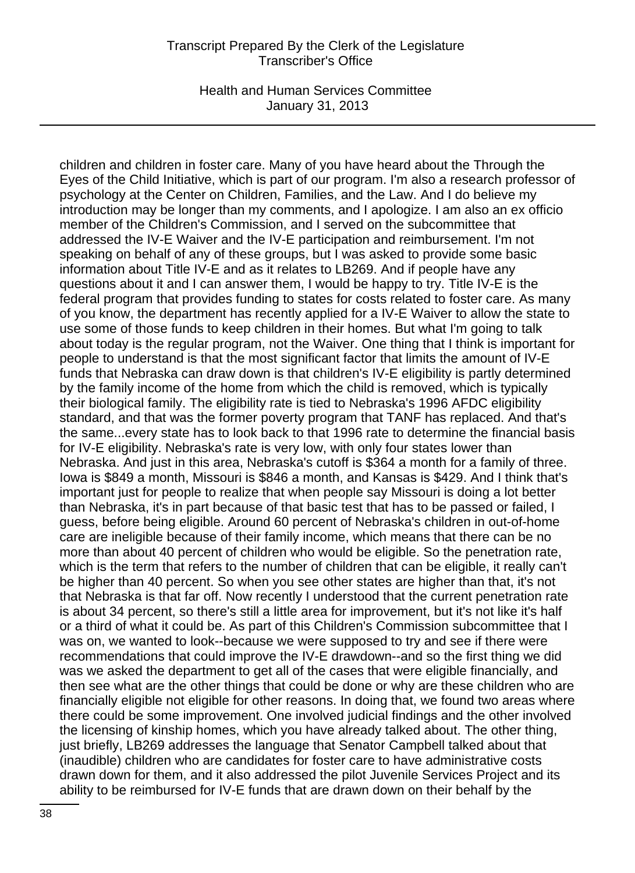Health and Human Services Committee January 31, 2013

children and children in foster care. Many of you have heard about the Through the Eyes of the Child Initiative, which is part of our program. I'm also a research professor of psychology at the Center on Children, Families, and the Law. And I do believe my introduction may be longer than my comments, and I apologize. I am also an ex officio member of the Children's Commission, and I served on the subcommittee that addressed the IV-E Waiver and the IV-E participation and reimbursement. I'm not speaking on behalf of any of these groups, but I was asked to provide some basic information about Title IV-E and as it relates to LB269. And if people have any questions about it and I can answer them, I would be happy to try. Title IV-E is the federal program that provides funding to states for costs related to foster care. As many of you know, the department has recently applied for a IV-E Waiver to allow the state to use some of those funds to keep children in their homes. But what I'm going to talk about today is the regular program, not the Waiver. One thing that I think is important for people to understand is that the most significant factor that limits the amount of IV-E funds that Nebraska can draw down is that children's IV-E eligibility is partly determined by the family income of the home from which the child is removed, which is typically their biological family. The eligibility rate is tied to Nebraska's 1996 AFDC eligibility standard, and that was the former poverty program that TANF has replaced. And that's the same...every state has to look back to that 1996 rate to determine the financial basis for IV-E eligibility. Nebraska's rate is very low, with only four states lower than Nebraska. And just in this area, Nebraska's cutoff is \$364 a month for a family of three. Iowa is \$849 a month, Missouri is \$846 a month, and Kansas is \$429. And I think that's important just for people to realize that when people say Missouri is doing a lot better than Nebraska, it's in part because of that basic test that has to be passed or failed, I guess, before being eligible. Around 60 percent of Nebraska's children in out-of-home care are ineligible because of their family income, which means that there can be no more than about 40 percent of children who would be eligible. So the penetration rate, which is the term that refers to the number of children that can be eligible, it really can't be higher than 40 percent. So when you see other states are higher than that, it's not that Nebraska is that far off. Now recently I understood that the current penetration rate is about 34 percent, so there's still a little area for improvement, but it's not like it's half or a third of what it could be. As part of this Children's Commission subcommittee that I was on, we wanted to look--because we were supposed to try and see if there were recommendations that could improve the IV-E drawdown--and so the first thing we did was we asked the department to get all of the cases that were eligible financially, and then see what are the other things that could be done or why are these children who are financially eligible not eligible for other reasons. In doing that, we found two areas where there could be some improvement. One involved judicial findings and the other involved the licensing of kinship homes, which you have already talked about. The other thing, just briefly, LB269 addresses the language that Senator Campbell talked about that (inaudible) children who are candidates for foster care to have administrative costs drawn down for them, and it also addressed the pilot Juvenile Services Project and its ability to be reimbursed for IV-E funds that are drawn down on their behalf by the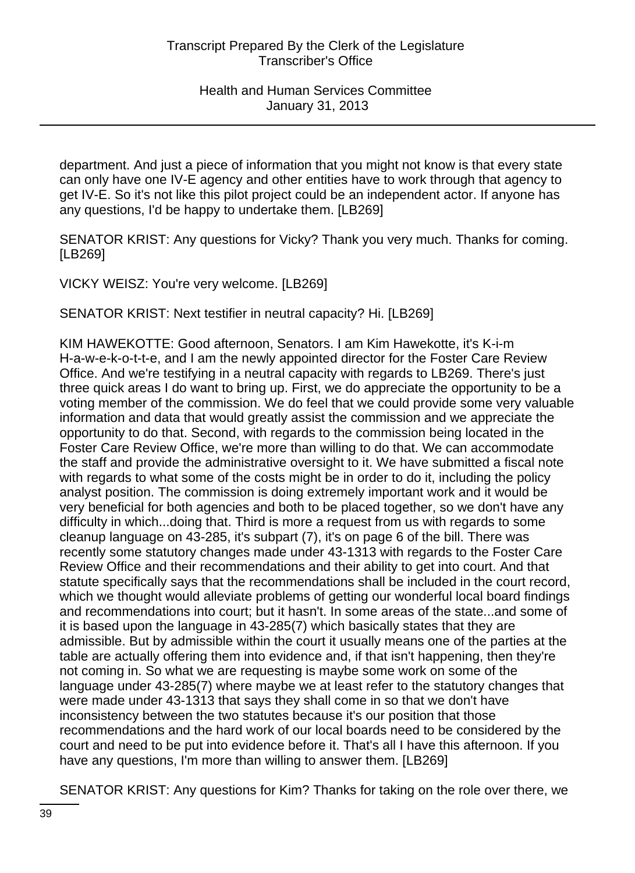department. And just a piece of information that you might not know is that every state can only have one IV-E agency and other entities have to work through that agency to get IV-E. So it's not like this pilot project could be an independent actor. If anyone has any questions, I'd be happy to undertake them. [LB269]

SENATOR KRIST: Any questions for Vicky? Thank you very much. Thanks for coming. [LB269]

VICKY WEISZ: You're very welcome. [LB269]

SENATOR KRIST: Next testifier in neutral capacity? Hi. [LB269]

KIM HAWEKOTTE: Good afternoon, Senators. I am Kim Hawekotte, it's K-i-m H-a-w-e-k-o-t-t-e, and I am the newly appointed director for the Foster Care Review Office. And we're testifying in a neutral capacity with regards to LB269. There's just three quick areas I do want to bring up. First, we do appreciate the opportunity to be a voting member of the commission. We do feel that we could provide some very valuable information and data that would greatly assist the commission and we appreciate the opportunity to do that. Second, with regards to the commission being located in the Foster Care Review Office, we're more than willing to do that. We can accommodate the staff and provide the administrative oversight to it. We have submitted a fiscal note with regards to what some of the costs might be in order to do it, including the policy analyst position. The commission is doing extremely important work and it would be very beneficial for both agencies and both to be placed together, so we don't have any difficulty in which...doing that. Third is more a request from us with regards to some cleanup language on 43-285, it's subpart (7), it's on page 6 of the bill. There was recently some statutory changes made under 43-1313 with regards to the Foster Care Review Office and their recommendations and their ability to get into court. And that statute specifically says that the recommendations shall be included in the court record, which we thought would alleviate problems of getting our wonderful local board findings and recommendations into court; but it hasn't. In some areas of the state...and some of it is based upon the language in 43-285(7) which basically states that they are admissible. But by admissible within the court it usually means one of the parties at the table are actually offering them into evidence and, if that isn't happening, then they're not coming in. So what we are requesting is maybe some work on some of the language under 43-285(7) where maybe we at least refer to the statutory changes that were made under 43-1313 that says they shall come in so that we don't have inconsistency between the two statutes because it's our position that those recommendations and the hard work of our local boards need to be considered by the court and need to be put into evidence before it. That's all I have this afternoon. If you have any questions, I'm more than willing to answer them. [LB269]

SENATOR KRIST: Any questions for Kim? Thanks for taking on the role over there, we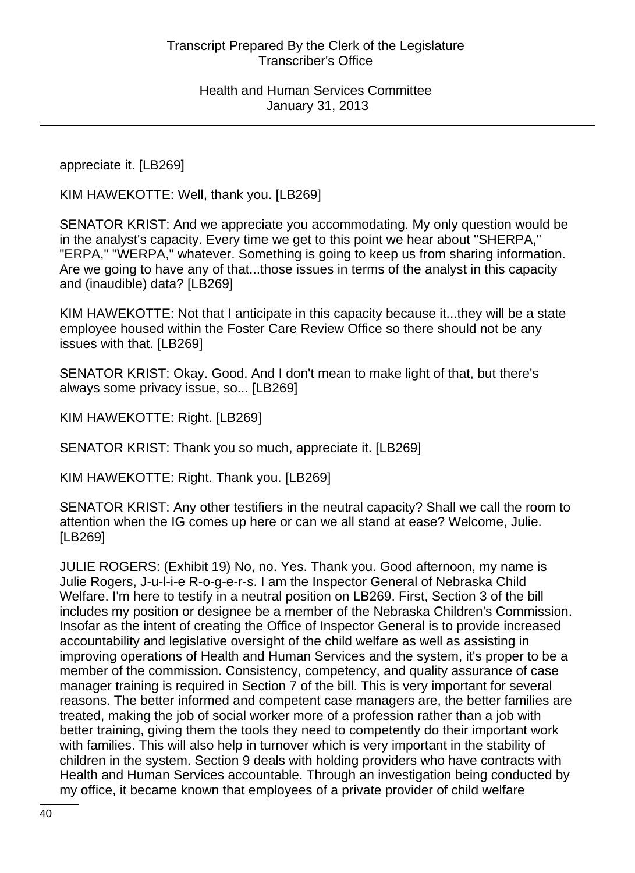appreciate it. [LB269]

KIM HAWEKOTTE: Well, thank you. [LB269]

SENATOR KRIST: And we appreciate you accommodating. My only question would be in the analyst's capacity. Every time we get to this point we hear about "SHERPA," "ERPA," "WERPA," whatever. Something is going to keep us from sharing information. Are we going to have any of that...those issues in terms of the analyst in this capacity and (inaudible) data? [LB269]

KIM HAWEKOTTE: Not that I anticipate in this capacity because it...they will be a state employee housed within the Foster Care Review Office so there should not be any issues with that. [LB269]

SENATOR KRIST: Okay. Good. And I don't mean to make light of that, but there's always some privacy issue, so... [LB269]

KIM HAWEKOTTE: Right. [LB269]

SENATOR KRIST: Thank you so much, appreciate it. [LB269]

KIM HAWEKOTTE: Right. Thank you. [LB269]

SENATOR KRIST: Any other testifiers in the neutral capacity? Shall we call the room to attention when the IG comes up here or can we all stand at ease? Welcome, Julie. [LB269]

JULIE ROGERS: (Exhibit 19) No, no. Yes. Thank you. Good afternoon, my name is Julie Rogers, J-u-l-i-e R-o-g-e-r-s. I am the Inspector General of Nebraska Child Welfare. I'm here to testify in a neutral position on LB269. First, Section 3 of the bill includes my position or designee be a member of the Nebraska Children's Commission. Insofar as the intent of creating the Office of Inspector General is to provide increased accountability and legislative oversight of the child welfare as well as assisting in improving operations of Health and Human Services and the system, it's proper to be a member of the commission. Consistency, competency, and quality assurance of case manager training is required in Section 7 of the bill. This is very important for several reasons. The better informed and competent case managers are, the better families are treated, making the job of social worker more of a profession rather than a job with better training, giving them the tools they need to competently do their important work with families. This will also help in turnover which is very important in the stability of children in the system. Section 9 deals with holding providers who have contracts with Health and Human Services accountable. Through an investigation being conducted by my office, it became known that employees of a private provider of child welfare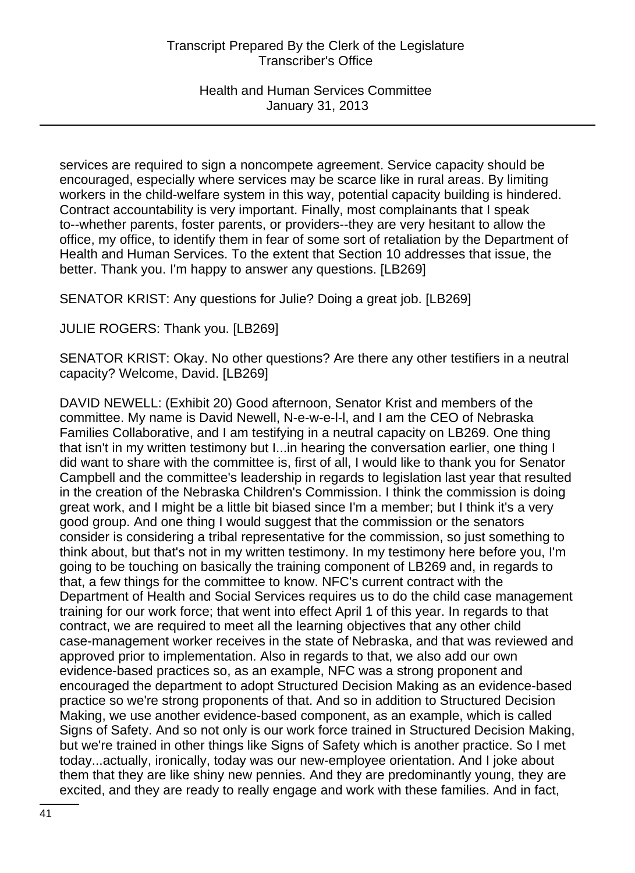services are required to sign a noncompete agreement. Service capacity should be encouraged, especially where services may be scarce like in rural areas. By limiting workers in the child-welfare system in this way, potential capacity building is hindered. Contract accountability is very important. Finally, most complainants that I speak to--whether parents, foster parents, or providers--they are very hesitant to allow the office, my office, to identify them in fear of some sort of retaliation by the Department of Health and Human Services. To the extent that Section 10 addresses that issue, the better. Thank you. I'm happy to answer any questions. [LB269]

SENATOR KRIST: Any questions for Julie? Doing a great job. [LB269]

JULIE ROGERS: Thank you. [LB269]

SENATOR KRIST: Okay. No other questions? Are there any other testifiers in a neutral capacity? Welcome, David. [LB269]

DAVID NEWELL: (Exhibit 20) Good afternoon, Senator Krist and members of the committee. My name is David Newell, N-e-w-e-l-l, and I am the CEO of Nebraska Families Collaborative, and I am testifying in a neutral capacity on LB269. One thing that isn't in my written testimony but I...in hearing the conversation earlier, one thing I did want to share with the committee is, first of all, I would like to thank you for Senator Campbell and the committee's leadership in regards to legislation last year that resulted in the creation of the Nebraska Children's Commission. I think the commission is doing great work, and I might be a little bit biased since I'm a member; but I think it's a very good group. And one thing I would suggest that the commission or the senators consider is considering a tribal representative for the commission, so just something to think about, but that's not in my written testimony. In my testimony here before you, I'm going to be touching on basically the training component of LB269 and, in regards to that, a few things for the committee to know. NFC's current contract with the Department of Health and Social Services requires us to do the child case management training for our work force; that went into effect April 1 of this year. In regards to that contract, we are required to meet all the learning objectives that any other child case-management worker receives in the state of Nebraska, and that was reviewed and approved prior to implementation. Also in regards to that, we also add our own evidence-based practices so, as an example, NFC was a strong proponent and encouraged the department to adopt Structured Decision Making as an evidence-based practice so we're strong proponents of that. And so in addition to Structured Decision Making, we use another evidence-based component, as an example, which is called Signs of Safety. And so not only is our work force trained in Structured Decision Making, but we're trained in other things like Signs of Safety which is another practice. So I met today...actually, ironically, today was our new-employee orientation. And I joke about them that they are like shiny new pennies. And they are predominantly young, they are excited, and they are ready to really engage and work with these families. And in fact,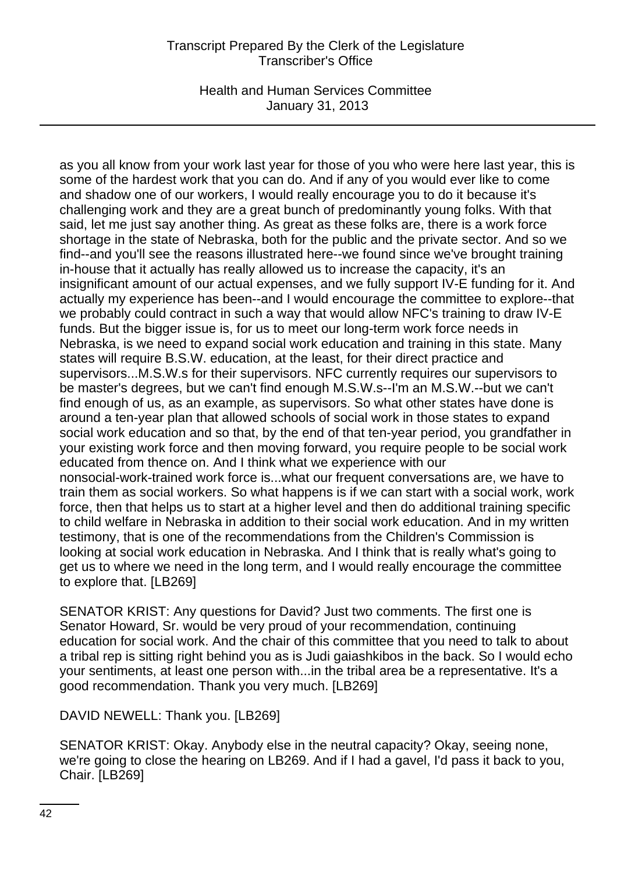Health and Human Services Committee January 31, 2013

as you all know from your work last year for those of you who were here last year, this is some of the hardest work that you can do. And if any of you would ever like to come and shadow one of our workers, I would really encourage you to do it because it's challenging work and they are a great bunch of predominantly young folks. With that said, let me just say another thing. As great as these folks are, there is a work force shortage in the state of Nebraska, both for the public and the private sector. And so we find--and you'll see the reasons illustrated here--we found since we've brought training in-house that it actually has really allowed us to increase the capacity, it's an insignificant amount of our actual expenses, and we fully support IV-E funding for it. And actually my experience has been--and I would encourage the committee to explore--that we probably could contract in such a way that would allow NFC's training to draw IV-E funds. But the bigger issue is, for us to meet our long-term work force needs in Nebraska, is we need to expand social work education and training in this state. Many states will require B.S.W. education, at the least, for their direct practice and supervisors...M.S.W.s for their supervisors. NFC currently requires our supervisors to be master's degrees, but we can't find enough M.S.W.s--I'm an M.S.W.--but we can't find enough of us, as an example, as supervisors. So what other states have done is around a ten-year plan that allowed schools of social work in those states to expand social work education and so that, by the end of that ten-year period, you grandfather in your existing work force and then moving forward, you require people to be social work educated from thence on. And I think what we experience with our nonsocial-work-trained work force is...what our frequent conversations are, we have to train them as social workers. So what happens is if we can start with a social work, work force, then that helps us to start at a higher level and then do additional training specific to child welfare in Nebraska in addition to their social work education. And in my written testimony, that is one of the recommendations from the Children's Commission is looking at social work education in Nebraska. And I think that is really what's going to get us to where we need in the long term, and I would really encourage the committee to explore that. [LB269]

SENATOR KRIST: Any questions for David? Just two comments. The first one is Senator Howard, Sr. would be very proud of your recommendation, continuing education for social work. And the chair of this committee that you need to talk to about a tribal rep is sitting right behind you as is Judi gaiashkibos in the back. So I would echo your sentiments, at least one person with...in the tribal area be a representative. It's a good recommendation. Thank you very much. [LB269]

DAVID NEWELL: Thank you. [LB269]

SENATOR KRIST: Okay. Anybody else in the neutral capacity? Okay, seeing none, we're going to close the hearing on LB269. And if I had a gavel, I'd pass it back to you, Chair. [LB269]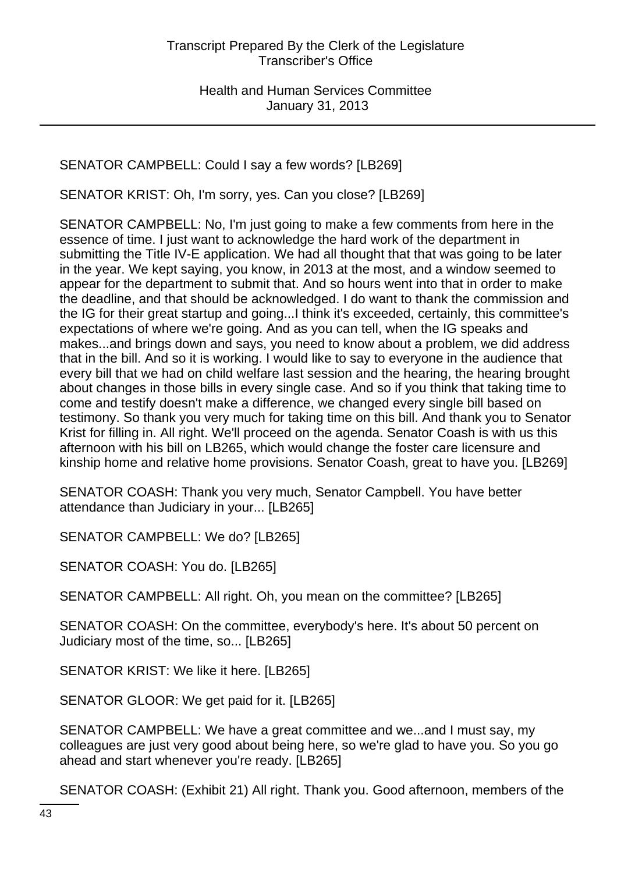SENATOR CAMPBELL: Could I say a few words? [LB269]

SENATOR KRIST: Oh, I'm sorry, yes. Can you close? [LB269]

SENATOR CAMPBELL: No, I'm just going to make a few comments from here in the essence of time. I just want to acknowledge the hard work of the department in submitting the Title IV-E application. We had all thought that that was going to be later in the year. We kept saying, you know, in 2013 at the most, and a window seemed to appear for the department to submit that. And so hours went into that in order to make the deadline, and that should be acknowledged. I do want to thank the commission and the IG for their great startup and going...I think it's exceeded, certainly, this committee's expectations of where we're going. And as you can tell, when the IG speaks and makes...and brings down and says, you need to know about a problem, we did address that in the bill. And so it is working. I would like to say to everyone in the audience that every bill that we had on child welfare last session and the hearing, the hearing brought about changes in those bills in every single case. And so if you think that taking time to come and testify doesn't make a difference, we changed every single bill based on testimony. So thank you very much for taking time on this bill. And thank you to Senator Krist for filling in. All right. We'll proceed on the agenda. Senator Coash is with us this afternoon with his bill on LB265, which would change the foster care licensure and kinship home and relative home provisions. Senator Coash, great to have you. [LB269]

SENATOR COASH: Thank you very much, Senator Campbell. You have better attendance than Judiciary in your... [LB265]

SENATOR CAMPBELL: We do? [LB265]

SENATOR COASH: You do. [LB265]

SENATOR CAMPBELL: All right. Oh, you mean on the committee? [LB265]

SENATOR COASH: On the committee, everybody's here. It's about 50 percent on Judiciary most of the time, so... [LB265]

SENATOR KRIST: We like it here. [LB265]

SENATOR GLOOR: We get paid for it. [LB265]

SENATOR CAMPBELL: We have a great committee and we...and I must say, my colleagues are just very good about being here, so we're glad to have you. So you go ahead and start whenever you're ready. [LB265]

SENATOR COASH: (Exhibit 21) All right. Thank you. Good afternoon, members of the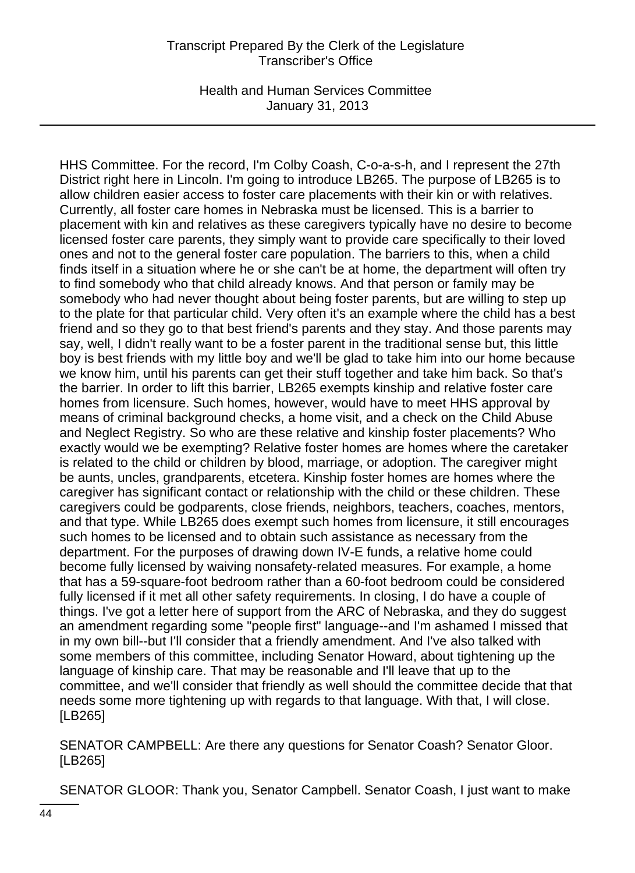Health and Human Services Committee January 31, 2013

HHS Committee. For the record, I'm Colby Coash, C-o-a-s-h, and I represent the 27th District right here in Lincoln. I'm going to introduce LB265. The purpose of LB265 is to allow children easier access to foster care placements with their kin or with relatives. Currently, all foster care homes in Nebraska must be licensed. This is a barrier to placement with kin and relatives as these caregivers typically have no desire to become licensed foster care parents, they simply want to provide care specifically to their loved ones and not to the general foster care population. The barriers to this, when a child finds itself in a situation where he or she can't be at home, the department will often try to find somebody who that child already knows. And that person or family may be somebody who had never thought about being foster parents, but are willing to step up to the plate for that particular child. Very often it's an example where the child has a best friend and so they go to that best friend's parents and they stay. And those parents may say, well, I didn't really want to be a foster parent in the traditional sense but, this little boy is best friends with my little boy and we'll be glad to take him into our home because we know him, until his parents can get their stuff together and take him back. So that's the barrier. In order to lift this barrier, LB265 exempts kinship and relative foster care homes from licensure. Such homes, however, would have to meet HHS approval by means of criminal background checks, a home visit, and a check on the Child Abuse and Neglect Registry. So who are these relative and kinship foster placements? Who exactly would we be exempting? Relative foster homes are homes where the caretaker is related to the child or children by blood, marriage, or adoption. The caregiver might be aunts, uncles, grandparents, etcetera. Kinship foster homes are homes where the caregiver has significant contact or relationship with the child or these children. These caregivers could be godparents, close friends, neighbors, teachers, coaches, mentors, and that type. While LB265 does exempt such homes from licensure, it still encourages such homes to be licensed and to obtain such assistance as necessary from the department. For the purposes of drawing down IV-E funds, a relative home could become fully licensed by waiving nonsafety-related measures. For example, a home that has a 59-square-foot bedroom rather than a 60-foot bedroom could be considered fully licensed if it met all other safety requirements. In closing, I do have a couple of things. I've got a letter here of support from the ARC of Nebraska, and they do suggest an amendment regarding some "people first" language--and I'm ashamed I missed that in my own bill--but I'll consider that a friendly amendment. And I've also talked with some members of this committee, including Senator Howard, about tightening up the language of kinship care. That may be reasonable and I'll leave that up to the committee, and we'll consider that friendly as well should the committee decide that that needs some more tightening up with regards to that language. With that, I will close. [LB265]

SENATOR CAMPBELL: Are there any questions for Senator Coash? Senator Gloor. [LB265]

SENATOR GLOOR: Thank you, Senator Campbell. Senator Coash, I just want to make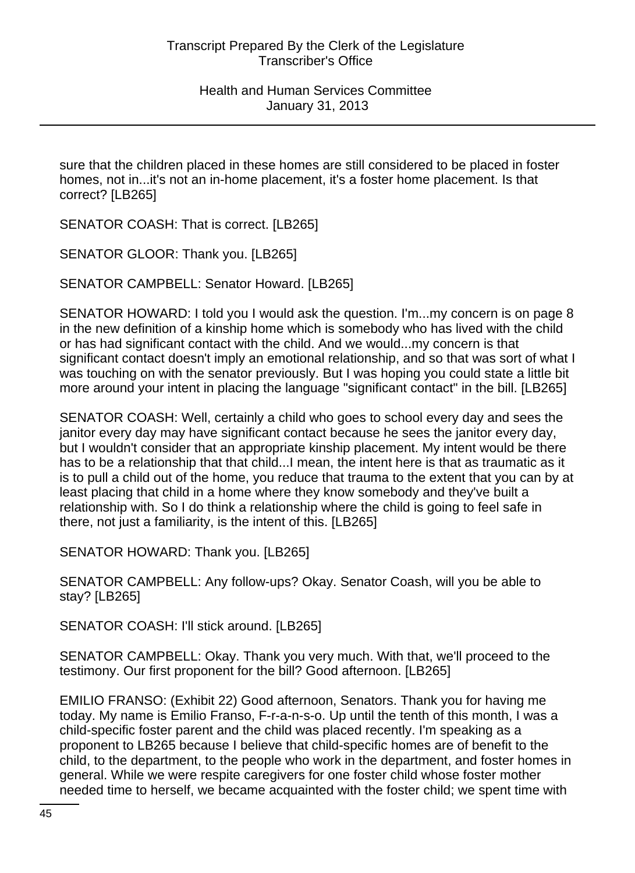sure that the children placed in these homes are still considered to be placed in foster homes, not in...it's not an in-home placement, it's a foster home placement. Is that correct? [LB265]

SENATOR COASH: That is correct. [LB265]

SENATOR GLOOR: Thank you. [LB265]

SENATOR CAMPBELL: Senator Howard. [LB265]

SENATOR HOWARD: I told you I would ask the question. I'm...my concern is on page 8 in the new definition of a kinship home which is somebody who has lived with the child or has had significant contact with the child. And we would...my concern is that significant contact doesn't imply an emotional relationship, and so that was sort of what I was touching on with the senator previously. But I was hoping you could state a little bit more around your intent in placing the language "significant contact" in the bill. [LB265]

SENATOR COASH: Well, certainly a child who goes to school every day and sees the janitor every day may have significant contact because he sees the janitor every day, but I wouldn't consider that an appropriate kinship placement. My intent would be there has to be a relationship that that child...I mean, the intent here is that as traumatic as it is to pull a child out of the home, you reduce that trauma to the extent that you can by at least placing that child in a home where they know somebody and they've built a relationship with. So I do think a relationship where the child is going to feel safe in there, not just a familiarity, is the intent of this. [LB265]

SENATOR HOWARD: Thank you. [LB265]

SENATOR CAMPBELL: Any follow-ups? Okay. Senator Coash, will you be able to stay? [LB265]

SENATOR COASH: I'll stick around. [LB265]

SENATOR CAMPBELL: Okay. Thank you very much. With that, we'll proceed to the testimony. Our first proponent for the bill? Good afternoon. [LB265]

EMILIO FRANSO: (Exhibit 22) Good afternoon, Senators. Thank you for having me today. My name is Emilio Franso, F-r-a-n-s-o. Up until the tenth of this month, I was a child-specific foster parent and the child was placed recently. I'm speaking as a proponent to LB265 because I believe that child-specific homes are of benefit to the child, to the department, to the people who work in the department, and foster homes in general. While we were respite caregivers for one foster child whose foster mother needed time to herself, we became acquainted with the foster child; we spent time with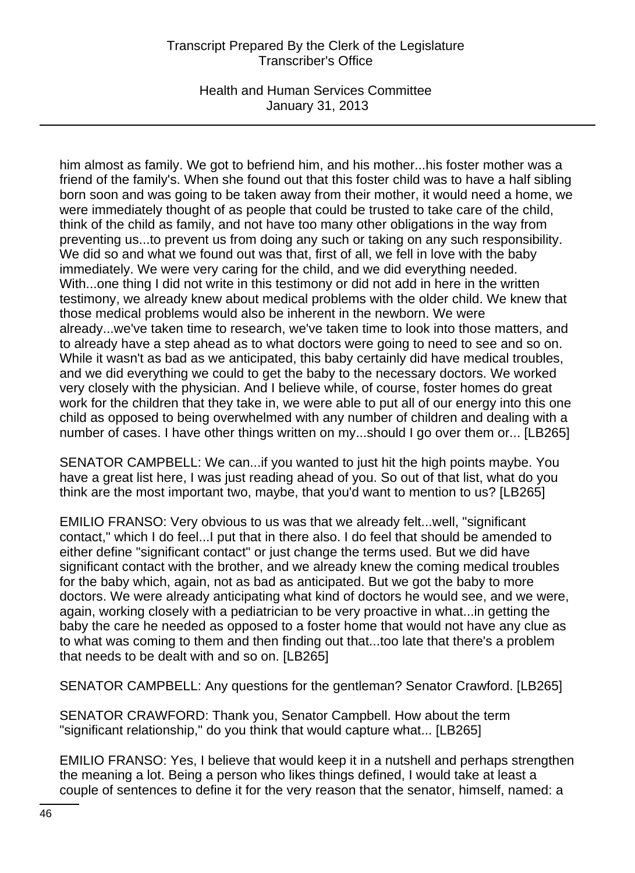Health and Human Services Committee January 31, 2013

him almost as family. We got to befriend him, and his mother...his foster mother was a friend of the family's. When she found out that this foster child was to have a half sibling born soon and was going to be taken away from their mother, it would need a home, we were immediately thought of as people that could be trusted to take care of the child, think of the child as family, and not have too many other obligations in the way from preventing us...to prevent us from doing any such or taking on any such responsibility. We did so and what we found out was that, first of all, we fell in love with the baby immediately. We were very caring for the child, and we did everything needed. With...one thing I did not write in this testimony or did not add in here in the written testimony, we already knew about medical problems with the older child. We knew that those medical problems would also be inherent in the newborn. We were already...we've taken time to research, we've taken time to look into those matters, and to already have a step ahead as to what doctors were going to need to see and so on. While it wasn't as bad as we anticipated, this baby certainly did have medical troubles, and we did everything we could to get the baby to the necessary doctors. We worked very closely with the physician. And I believe while, of course, foster homes do great work for the children that they take in, we were able to put all of our energy into this one child as opposed to being overwhelmed with any number of children and dealing with a number of cases. I have other things written on my...should I go over them or... [LB265]

SENATOR CAMPBELL: We can...if you wanted to just hit the high points maybe. You have a great list here, I was just reading ahead of you. So out of that list, what do you think are the most important two, maybe, that you'd want to mention to us? [LB265]

EMILIO FRANSO: Very obvious to us was that we already felt...well, "significant contact," which I do feel...I put that in there also. I do feel that should be amended to either define "significant contact" or just change the terms used. But we did have significant contact with the brother, and we already knew the coming medical troubles for the baby which, again, not as bad as anticipated. But we got the baby to more doctors. We were already anticipating what kind of doctors he would see, and we were, again, working closely with a pediatrician to be very proactive in what...in getting the baby the care he needed as opposed to a foster home that would not have any clue as to what was coming to them and then finding out that...too late that there's a problem that needs to be dealt with and so on. [LB265]

SENATOR CAMPBELL: Any questions for the gentleman? Senator Crawford. [LB265]

SENATOR CRAWFORD: Thank you, Senator Campbell. How about the term "significant relationship," do you think that would capture what... [LB265]

EMILIO FRANSO: Yes, I believe that would keep it in a nutshell and perhaps strengthen the meaning a lot. Being a person who likes things defined, I would take at least a couple of sentences to define it for the very reason that the senator, himself, named: a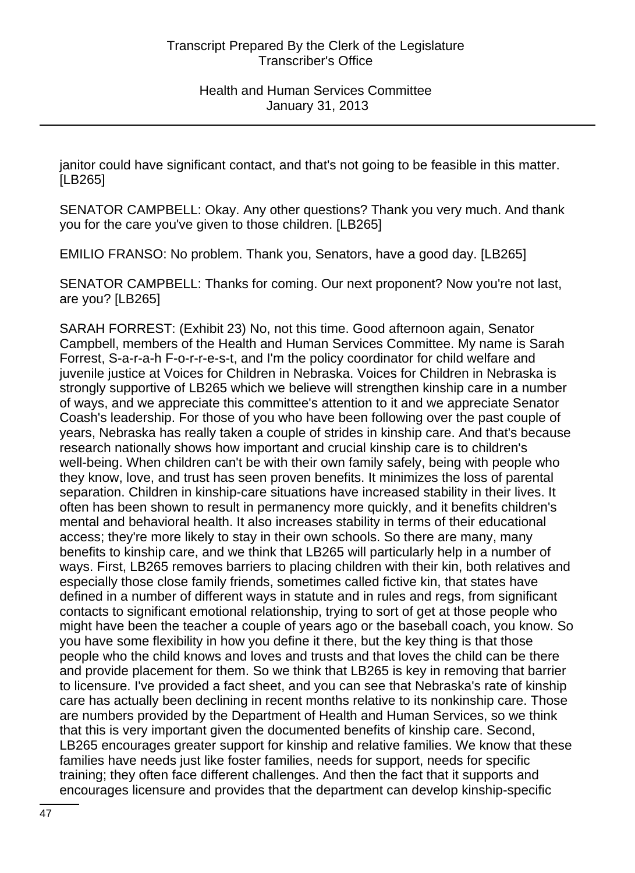janitor could have significant contact, and that's not going to be feasible in this matter. [LB265]

SENATOR CAMPBELL: Okay. Any other questions? Thank you very much. And thank you for the care you've given to those children. [LB265]

EMILIO FRANSO: No problem. Thank you, Senators, have a good day. [LB265]

SENATOR CAMPBELL: Thanks for coming. Our next proponent? Now you're not last, are you? [LB265]

SARAH FORREST: (Exhibit 23) No, not this time. Good afternoon again, Senator Campbell, members of the Health and Human Services Committee. My name is Sarah Forrest, S-a-r-a-h F-o-r-r-e-s-t, and I'm the policy coordinator for child welfare and juvenile justice at Voices for Children in Nebraska. Voices for Children in Nebraska is strongly supportive of LB265 which we believe will strengthen kinship care in a number of ways, and we appreciate this committee's attention to it and we appreciate Senator Coash's leadership. For those of you who have been following over the past couple of years, Nebraska has really taken a couple of strides in kinship care. And that's because research nationally shows how important and crucial kinship care is to children's well-being. When children can't be with their own family safely, being with people who they know, love, and trust has seen proven benefits. It minimizes the loss of parental separation. Children in kinship-care situations have increased stability in their lives. It often has been shown to result in permanency more quickly, and it benefits children's mental and behavioral health. It also increases stability in terms of their educational access; they're more likely to stay in their own schools. So there are many, many benefits to kinship care, and we think that LB265 will particularly help in a number of ways. First, LB265 removes barriers to placing children with their kin, both relatives and especially those close family friends, sometimes called fictive kin, that states have defined in a number of different ways in statute and in rules and regs, from significant contacts to significant emotional relationship, trying to sort of get at those people who might have been the teacher a couple of years ago or the baseball coach, you know. So you have some flexibility in how you define it there, but the key thing is that those people who the child knows and loves and trusts and that loves the child can be there and provide placement for them. So we think that LB265 is key in removing that barrier to licensure. I've provided a fact sheet, and you can see that Nebraska's rate of kinship care has actually been declining in recent months relative to its nonkinship care. Those are numbers provided by the Department of Health and Human Services, so we think that this is very important given the documented benefits of kinship care. Second, LB265 encourages greater support for kinship and relative families. We know that these families have needs just like foster families, needs for support, needs for specific training; they often face different challenges. And then the fact that it supports and encourages licensure and provides that the department can develop kinship-specific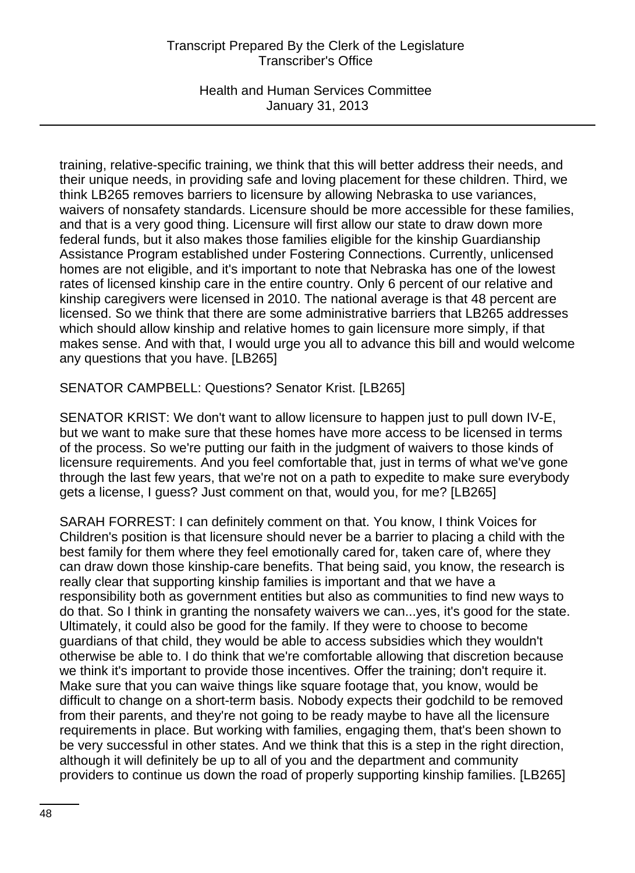Health and Human Services Committee January 31, 2013

training, relative-specific training, we think that this will better address their needs, and their unique needs, in providing safe and loving placement for these children. Third, we think LB265 removes barriers to licensure by allowing Nebraska to use variances, waivers of nonsafety standards. Licensure should be more accessible for these families, and that is a very good thing. Licensure will first allow our state to draw down more federal funds, but it also makes those families eligible for the kinship Guardianship Assistance Program established under Fostering Connections. Currently, unlicensed homes are not eligible, and it's important to note that Nebraska has one of the lowest rates of licensed kinship care in the entire country. Only 6 percent of our relative and kinship caregivers were licensed in 2010. The national average is that 48 percent are licensed. So we think that there are some administrative barriers that LB265 addresses which should allow kinship and relative homes to gain licensure more simply, if that makes sense. And with that, I would urge you all to advance this bill and would welcome any questions that you have. [LB265]

SENATOR CAMPBELL: Questions? Senator Krist. [LB265]

SENATOR KRIST: We don't want to allow licensure to happen just to pull down IV-E, but we want to make sure that these homes have more access to be licensed in terms of the process. So we're putting our faith in the judgment of waivers to those kinds of licensure requirements. And you feel comfortable that, just in terms of what we've gone through the last few years, that we're not on a path to expedite to make sure everybody gets a license, I guess? Just comment on that, would you, for me? [LB265]

SARAH FORREST: I can definitely comment on that. You know, I think Voices for Children's position is that licensure should never be a barrier to placing a child with the best family for them where they feel emotionally cared for, taken care of, where they can draw down those kinship-care benefits. That being said, you know, the research is really clear that supporting kinship families is important and that we have a responsibility both as government entities but also as communities to find new ways to do that. So I think in granting the nonsafety waivers we can...yes, it's good for the state. Ultimately, it could also be good for the family. If they were to choose to become guardians of that child, they would be able to access subsidies which they wouldn't otherwise be able to. I do think that we're comfortable allowing that discretion because we think it's important to provide those incentives. Offer the training; don't require it. Make sure that you can waive things like square footage that, you know, would be difficult to change on a short-term basis. Nobody expects their godchild to be removed from their parents, and they're not going to be ready maybe to have all the licensure requirements in place. But working with families, engaging them, that's been shown to be very successful in other states. And we think that this is a step in the right direction, although it will definitely be up to all of you and the department and community providers to continue us down the road of properly supporting kinship families. [LB265]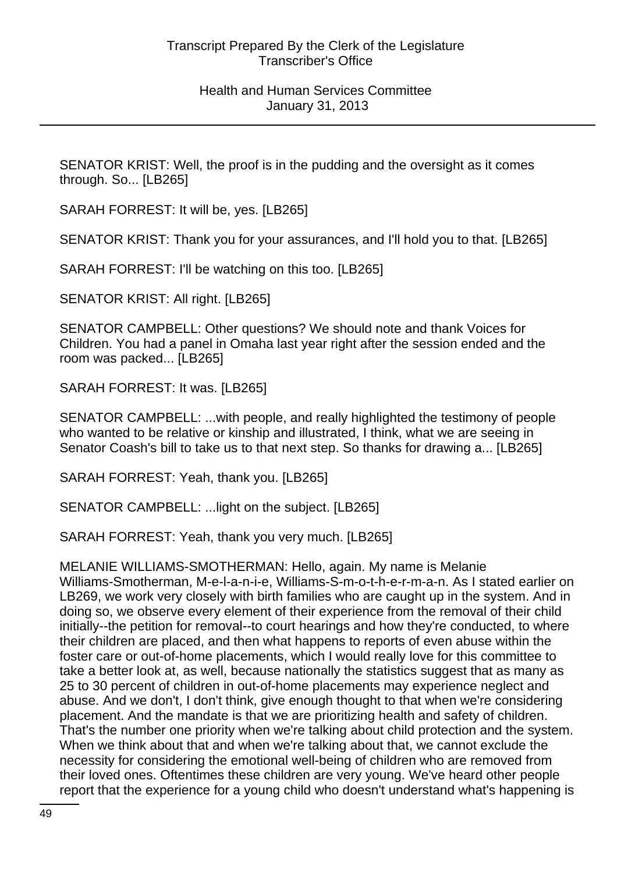SENATOR KRIST: Well, the proof is in the pudding and the oversight as it comes through. So... [LB265]

SARAH FORREST: It will be, yes. [LB265]

SENATOR KRIST: Thank you for your assurances, and I'll hold you to that. [LB265]

SARAH FORREST: I'll be watching on this too. [LB265]

SENATOR KRIST: All right. [LB265]

SENATOR CAMPBELL: Other questions? We should note and thank Voices for Children. You had a panel in Omaha last year right after the session ended and the room was packed... [LB265]

SARAH FORREST: It was. [LB265]

SENATOR CAMPBELL: ...with people, and really highlighted the testimony of people who wanted to be relative or kinship and illustrated, I think, what we are seeing in Senator Coash's bill to take us to that next step. So thanks for drawing a... [LB265]

SARAH FORREST: Yeah, thank you. [LB265]

SENATOR CAMPBELL: ...light on the subject. [LB265]

SARAH FORREST: Yeah, thank you very much. [LB265]

MELANIE WILLIAMS-SMOTHERMAN: Hello, again. My name is Melanie Williams-Smotherman, M-e-l-a-n-i-e, Williams-S-m-o-t-h-e-r-m-a-n. As I stated earlier on LB269, we work very closely with birth families who are caught up in the system. And in doing so, we observe every element of their experience from the removal of their child initially--the petition for removal--to court hearings and how they're conducted, to where their children are placed, and then what happens to reports of even abuse within the foster care or out-of-home placements, which I would really love for this committee to take a better look at, as well, because nationally the statistics suggest that as many as 25 to 30 percent of children in out-of-home placements may experience neglect and abuse. And we don't, I don't think, give enough thought to that when we're considering placement. And the mandate is that we are prioritizing health and safety of children. That's the number one priority when we're talking about child protection and the system. When we think about that and when we're talking about that, we cannot exclude the necessity for considering the emotional well-being of children who are removed from their loved ones. Oftentimes these children are very young. We've heard other people report that the experience for a young child who doesn't understand what's happening is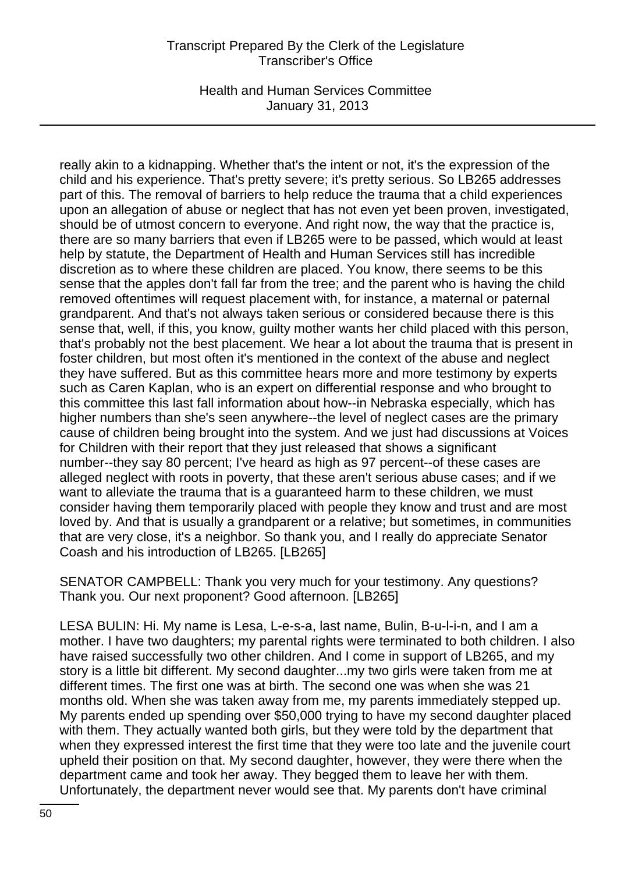Health and Human Services Committee January 31, 2013

really akin to a kidnapping. Whether that's the intent or not, it's the expression of the child and his experience. That's pretty severe; it's pretty serious. So LB265 addresses part of this. The removal of barriers to help reduce the trauma that a child experiences upon an allegation of abuse or neglect that has not even yet been proven, investigated, should be of utmost concern to everyone. And right now, the way that the practice is, there are so many barriers that even if LB265 were to be passed, which would at least help by statute, the Department of Health and Human Services still has incredible discretion as to where these children are placed. You know, there seems to be this sense that the apples don't fall far from the tree; and the parent who is having the child removed oftentimes will request placement with, for instance, a maternal or paternal grandparent. And that's not always taken serious or considered because there is this sense that, well, if this, you know, guilty mother wants her child placed with this person, that's probably not the best placement. We hear a lot about the trauma that is present in foster children, but most often it's mentioned in the context of the abuse and neglect they have suffered. But as this committee hears more and more testimony by experts such as Caren Kaplan, who is an expert on differential response and who brought to this committee this last fall information about how--in Nebraska especially, which has higher numbers than she's seen anywhere--the level of neglect cases are the primary cause of children being brought into the system. And we just had discussions at Voices for Children with their report that they just released that shows a significant number--they say 80 percent; I've heard as high as 97 percent--of these cases are alleged neglect with roots in poverty, that these aren't serious abuse cases; and if we want to alleviate the trauma that is a guaranteed harm to these children, we must consider having them temporarily placed with people they know and trust and are most loved by. And that is usually a grandparent or a relative; but sometimes, in communities that are very close, it's a neighbor. So thank you, and I really do appreciate Senator Coash and his introduction of LB265. [LB265]

SENATOR CAMPBELL: Thank you very much for your testimony. Any questions? Thank you. Our next proponent? Good afternoon. [LB265]

LESA BULIN: Hi. My name is Lesa, L-e-s-a, last name, Bulin, B-u-l-i-n, and I am a mother. I have two daughters; my parental rights were terminated to both children. I also have raised successfully two other children. And I come in support of LB265, and my story is a little bit different. My second daughter...my two girls were taken from me at different times. The first one was at birth. The second one was when she was 21 months old. When she was taken away from me, my parents immediately stepped up. My parents ended up spending over \$50,000 trying to have my second daughter placed with them. They actually wanted both girls, but they were told by the department that when they expressed interest the first time that they were too late and the juvenile court upheld their position on that. My second daughter, however, they were there when the department came and took her away. They begged them to leave her with them. Unfortunately, the department never would see that. My parents don't have criminal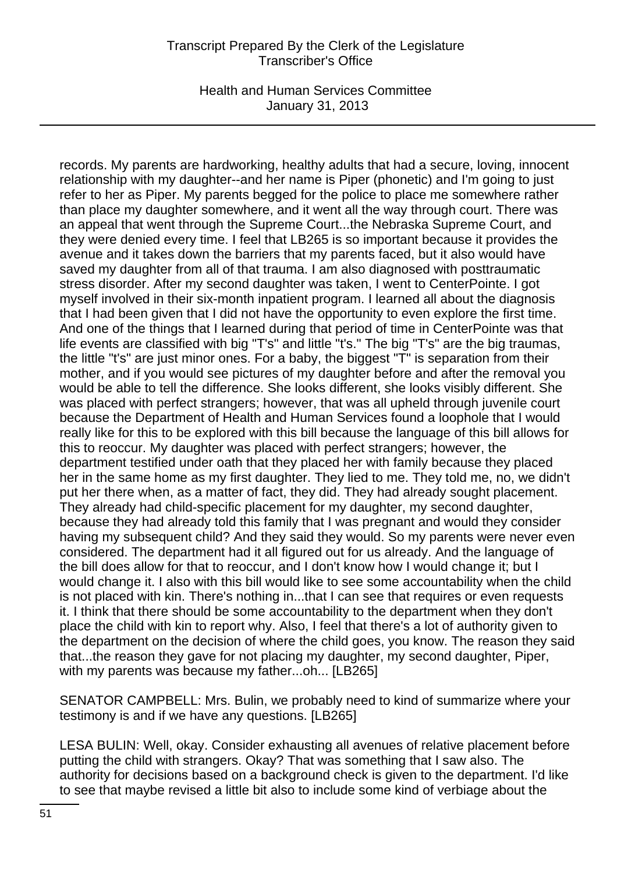Health and Human Services Committee January 31, 2013

records. My parents are hardworking, healthy adults that had a secure, loving, innocent relationship with my daughter--and her name is Piper (phonetic) and I'm going to just refer to her as Piper. My parents begged for the police to place me somewhere rather than place my daughter somewhere, and it went all the way through court. There was an appeal that went through the Supreme Court...the Nebraska Supreme Court, and they were denied every time. I feel that LB265 is so important because it provides the avenue and it takes down the barriers that my parents faced, but it also would have saved my daughter from all of that trauma. I am also diagnosed with posttraumatic stress disorder. After my second daughter was taken, I went to CenterPointe. I got myself involved in their six-month inpatient program. I learned all about the diagnosis that I had been given that I did not have the opportunity to even explore the first time. And one of the things that I learned during that period of time in CenterPointe was that life events are classified with big "T's" and little "t's." The big "T's" are the big traumas, the little "t's" are just minor ones. For a baby, the biggest "T" is separation from their mother, and if you would see pictures of my daughter before and after the removal you would be able to tell the difference. She looks different, she looks visibly different. She was placed with perfect strangers; however, that was all upheld through juvenile court because the Department of Health and Human Services found a loophole that I would really like for this to be explored with this bill because the language of this bill allows for this to reoccur. My daughter was placed with perfect strangers; however, the department testified under oath that they placed her with family because they placed her in the same home as my first daughter. They lied to me. They told me, no, we didn't put her there when, as a matter of fact, they did. They had already sought placement. They already had child-specific placement for my daughter, my second daughter, because they had already told this family that I was pregnant and would they consider having my subsequent child? And they said they would. So my parents were never even considered. The department had it all figured out for us already. And the language of the bill does allow for that to reoccur, and I don't know how I would change it; but I would change it. I also with this bill would like to see some accountability when the child is not placed with kin. There's nothing in...that I can see that requires or even requests it. I think that there should be some accountability to the department when they don't place the child with kin to report why. Also, I feel that there's a lot of authority given to the department on the decision of where the child goes, you know. The reason they said that...the reason they gave for not placing my daughter, my second daughter, Piper, with my parents was because my father...oh... [LB265]

SENATOR CAMPBELL: Mrs. Bulin, we probably need to kind of summarize where your testimony is and if we have any questions. [LB265]

LESA BULIN: Well, okay. Consider exhausting all avenues of relative placement before putting the child with strangers. Okay? That was something that I saw also. The authority for decisions based on a background check is given to the department. I'd like to see that maybe revised a little bit also to include some kind of verbiage about the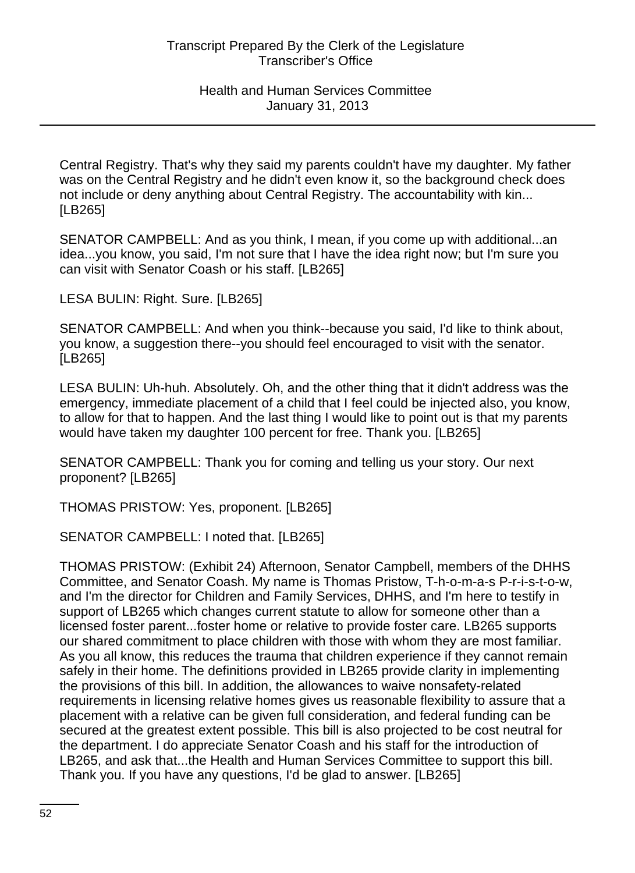Central Registry. That's why they said my parents couldn't have my daughter. My father was on the Central Registry and he didn't even know it, so the background check does not include or deny anything about Central Registry. The accountability with kin... [LB265]

SENATOR CAMPBELL: And as you think, I mean, if you come up with additional...an idea...you know, you said, I'm not sure that I have the idea right now; but I'm sure you can visit with Senator Coash or his staff. [LB265]

LESA BULIN: Right. Sure. [LB265]

SENATOR CAMPBELL: And when you think--because you said, I'd like to think about, you know, a suggestion there--you should feel encouraged to visit with the senator. [LB265]

LESA BULIN: Uh-huh. Absolutely. Oh, and the other thing that it didn't address was the emergency, immediate placement of a child that I feel could be injected also, you know, to allow for that to happen. And the last thing I would like to point out is that my parents would have taken my daughter 100 percent for free. Thank you. [LB265]

SENATOR CAMPBELL: Thank you for coming and telling us your story. Our next proponent? [LB265]

THOMAS PRISTOW: Yes, proponent. [LB265]

SENATOR CAMPBELL: I noted that. [LB265]

THOMAS PRISTOW: (Exhibit 24) Afternoon, Senator Campbell, members of the DHHS Committee, and Senator Coash. My name is Thomas Pristow, T-h-o-m-a-s P-r-i-s-t-o-w, and I'm the director for Children and Family Services, DHHS, and I'm here to testify in support of LB265 which changes current statute to allow for someone other than a licensed foster parent...foster home or relative to provide foster care. LB265 supports our shared commitment to place children with those with whom they are most familiar. As you all know, this reduces the trauma that children experience if they cannot remain safely in their home. The definitions provided in LB265 provide clarity in implementing the provisions of this bill. In addition, the allowances to waive nonsafety-related requirements in licensing relative homes gives us reasonable flexibility to assure that a placement with a relative can be given full consideration, and federal funding can be secured at the greatest extent possible. This bill is also projected to be cost neutral for the department. I do appreciate Senator Coash and his staff for the introduction of LB265, and ask that...the Health and Human Services Committee to support this bill. Thank you. If you have any questions, I'd be glad to answer. [LB265]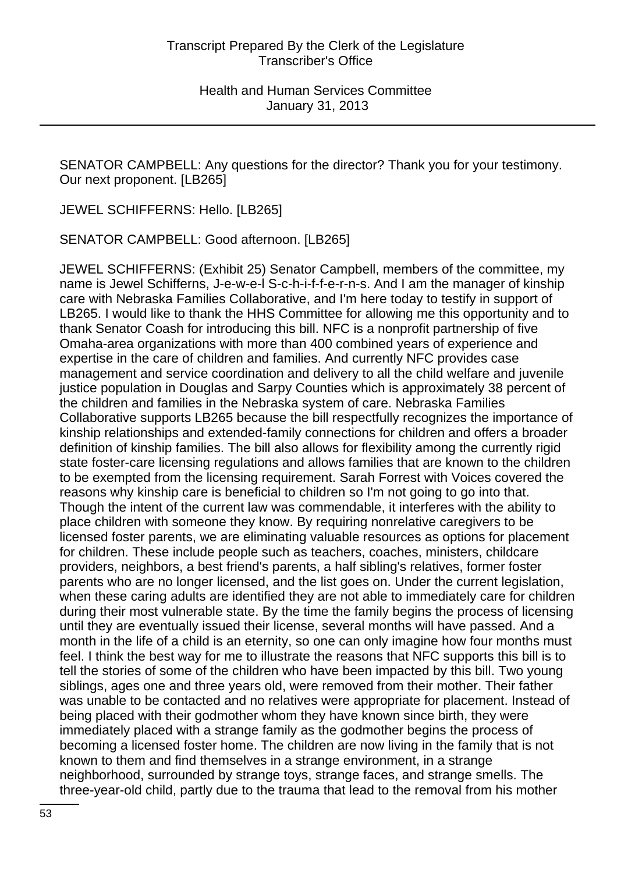SENATOR CAMPBELL: Any questions for the director? Thank you for your testimony. Our next proponent. [LB265]

JEWEL SCHIFFERNS: Hello. [LB265]

SENATOR CAMPBELL: Good afternoon. [LB265]

JEWEL SCHIFFERNS: (Exhibit 25) Senator Campbell, members of the committee, my name is Jewel Schifferns, J-e-w-e-l S-c-h-i-f-f-e-r-n-s. And I am the manager of kinship care with Nebraska Families Collaborative, and I'm here today to testify in support of LB265. I would like to thank the HHS Committee for allowing me this opportunity and to thank Senator Coash for introducing this bill. NFC is a nonprofit partnership of five Omaha-area organizations with more than 400 combined years of experience and expertise in the care of children and families. And currently NFC provides case management and service coordination and delivery to all the child welfare and juvenile justice population in Douglas and Sarpy Counties which is approximately 38 percent of the children and families in the Nebraska system of care. Nebraska Families Collaborative supports LB265 because the bill respectfully recognizes the importance of kinship relationships and extended-family connections for children and offers a broader definition of kinship families. The bill also allows for flexibility among the currently rigid state foster-care licensing regulations and allows families that are known to the children to be exempted from the licensing requirement. Sarah Forrest with Voices covered the reasons why kinship care is beneficial to children so I'm not going to go into that. Though the intent of the current law was commendable, it interferes with the ability to place children with someone they know. By requiring nonrelative caregivers to be licensed foster parents, we are eliminating valuable resources as options for placement for children. These include people such as teachers, coaches, ministers, childcare providers, neighbors, a best friend's parents, a half sibling's relatives, former foster parents who are no longer licensed, and the list goes on. Under the current legislation, when these caring adults are identified they are not able to immediately care for children during their most vulnerable state. By the time the family begins the process of licensing until they are eventually issued their license, several months will have passed. And a month in the life of a child is an eternity, so one can only imagine how four months must feel. I think the best way for me to illustrate the reasons that NFC supports this bill is to tell the stories of some of the children who have been impacted by this bill. Two young siblings, ages one and three years old, were removed from their mother. Their father was unable to be contacted and no relatives were appropriate for placement. Instead of being placed with their godmother whom they have known since birth, they were immediately placed with a strange family as the godmother begins the process of becoming a licensed foster home. The children are now living in the family that is not known to them and find themselves in a strange environment, in a strange neighborhood, surrounded by strange toys, strange faces, and strange smells. The three-year-old child, partly due to the trauma that lead to the removal from his mother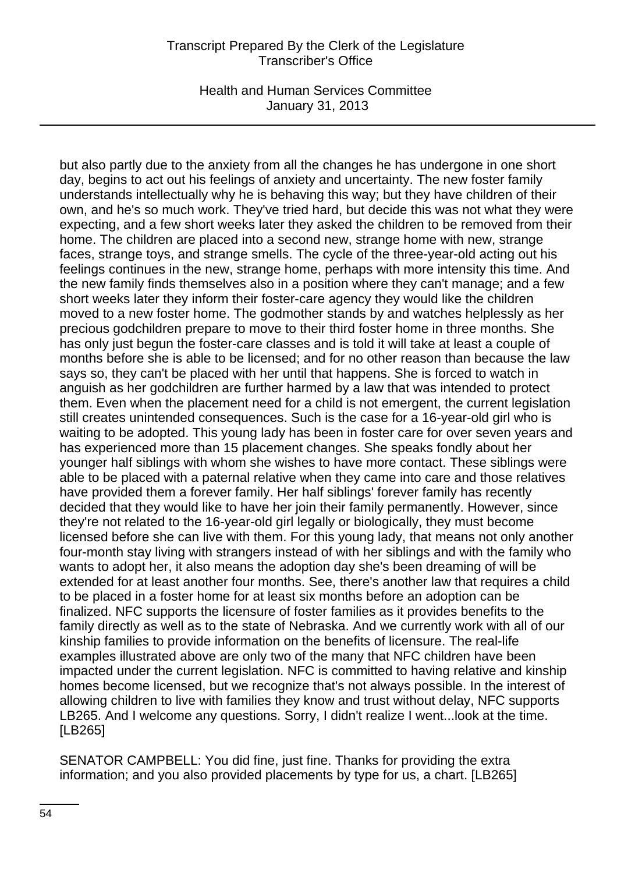Health and Human Services Committee January 31, 2013

but also partly due to the anxiety from all the changes he has undergone in one short day, begins to act out his feelings of anxiety and uncertainty. The new foster family understands intellectually why he is behaving this way; but they have children of their own, and he's so much work. They've tried hard, but decide this was not what they were expecting, and a few short weeks later they asked the children to be removed from their home. The children are placed into a second new, strange home with new, strange faces, strange toys, and strange smells. The cycle of the three-year-old acting out his feelings continues in the new, strange home, perhaps with more intensity this time. And the new family finds themselves also in a position where they can't manage; and a few short weeks later they inform their foster-care agency they would like the children moved to a new foster home. The godmother stands by and watches helplessly as her precious godchildren prepare to move to their third foster home in three months. She has only just begun the foster-care classes and is told it will take at least a couple of months before she is able to be licensed; and for no other reason than because the law says so, they can't be placed with her until that happens. She is forced to watch in anguish as her godchildren are further harmed by a law that was intended to protect them. Even when the placement need for a child is not emergent, the current legislation still creates unintended consequences. Such is the case for a 16-year-old girl who is waiting to be adopted. This young lady has been in foster care for over seven years and has experienced more than 15 placement changes. She speaks fondly about her younger half siblings with whom she wishes to have more contact. These siblings were able to be placed with a paternal relative when they came into care and those relatives have provided them a forever family. Her half siblings' forever family has recently decided that they would like to have her join their family permanently. However, since they're not related to the 16-year-old girl legally or biologically, they must become licensed before she can live with them. For this young lady, that means not only another four-month stay living with strangers instead of with her siblings and with the family who wants to adopt her, it also means the adoption day she's been dreaming of will be extended for at least another four months. See, there's another law that requires a child to be placed in a foster home for at least six months before an adoption can be finalized. NFC supports the licensure of foster families as it provides benefits to the family directly as well as to the state of Nebraska. And we currently work with all of our kinship families to provide information on the benefits of licensure. The real-life examples illustrated above are only two of the many that NFC children have been impacted under the current legislation. NFC is committed to having relative and kinship homes become licensed, but we recognize that's not always possible. In the interest of allowing children to live with families they know and trust without delay, NFC supports LB265. And I welcome any questions. Sorry, I didn't realize I went...look at the time. [LB265]

SENATOR CAMPBELL: You did fine, just fine. Thanks for providing the extra information; and you also provided placements by type for us, a chart. [LB265]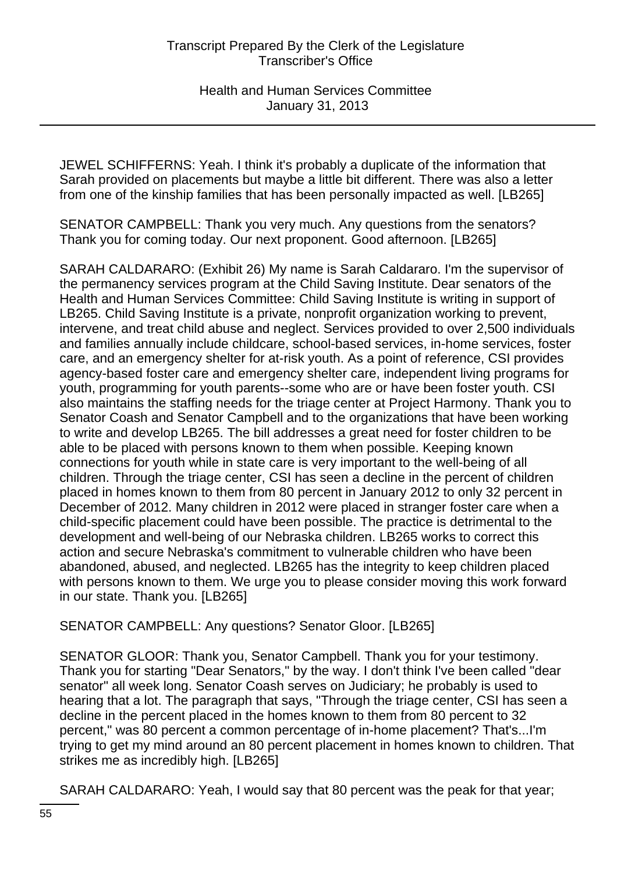JEWEL SCHIFFERNS: Yeah. I think it's probably a duplicate of the information that Sarah provided on placements but maybe a little bit different. There was also a letter from one of the kinship families that has been personally impacted as well. [LB265]

SENATOR CAMPBELL: Thank you very much. Any questions from the senators? Thank you for coming today. Our next proponent. Good afternoon. [LB265]

SARAH CALDARARO: (Exhibit 26) My name is Sarah Caldararo. I'm the supervisor of the permanency services program at the Child Saving Institute. Dear senators of the Health and Human Services Committee: Child Saving Institute is writing in support of LB265. Child Saving Institute is a private, nonprofit organization working to prevent, intervene, and treat child abuse and neglect. Services provided to over 2,500 individuals and families annually include childcare, school-based services, in-home services, foster care, and an emergency shelter for at-risk youth. As a point of reference, CSI provides agency-based foster care and emergency shelter care, independent living programs for youth, programming for youth parents--some who are or have been foster youth. CSI also maintains the staffing needs for the triage center at Project Harmony. Thank you to Senator Coash and Senator Campbell and to the organizations that have been working to write and develop LB265. The bill addresses a great need for foster children to be able to be placed with persons known to them when possible. Keeping known connections for youth while in state care is very important to the well-being of all children. Through the triage center, CSI has seen a decline in the percent of children placed in homes known to them from 80 percent in January 2012 to only 32 percent in December of 2012. Many children in 2012 were placed in stranger foster care when a child-specific placement could have been possible. The practice is detrimental to the development and well-being of our Nebraska children. LB265 works to correct this action and secure Nebraska's commitment to vulnerable children who have been abandoned, abused, and neglected. LB265 has the integrity to keep children placed with persons known to them. We urge you to please consider moving this work forward in our state. Thank you. [LB265]

SENATOR CAMPBELL: Any questions? Senator Gloor. [LB265]

SENATOR GLOOR: Thank you, Senator Campbell. Thank you for your testimony. Thank you for starting "Dear Senators," by the way. I don't think I've been called "dear senator" all week long. Senator Coash serves on Judiciary; he probably is used to hearing that a lot. The paragraph that says, "Through the triage center, CSI has seen a decline in the percent placed in the homes known to them from 80 percent to 32 percent," was 80 percent a common percentage of in-home placement? That's...I'm trying to get my mind around an 80 percent placement in homes known to children. That strikes me as incredibly high. [LB265]

SARAH CALDARARO: Yeah, I would say that 80 percent was the peak for that year;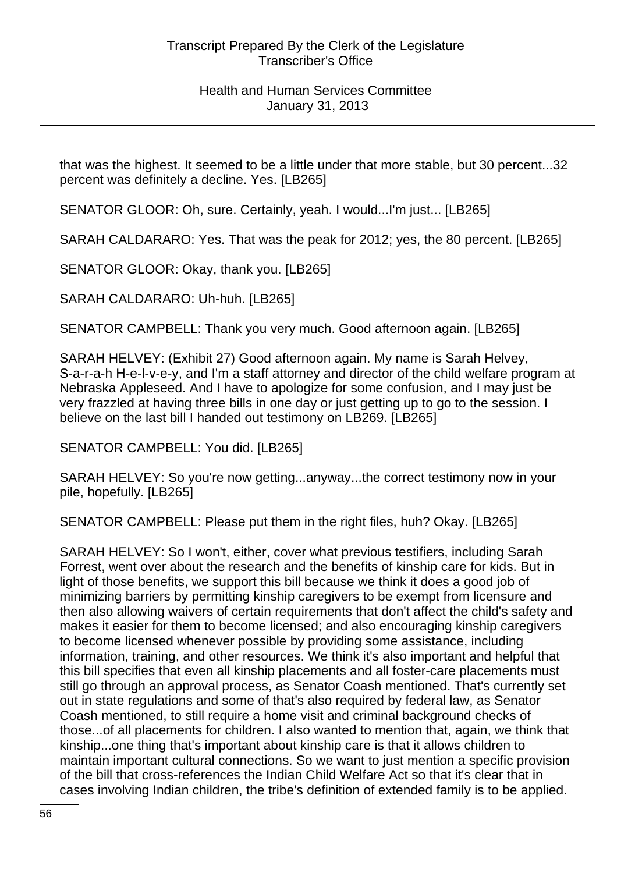that was the highest. It seemed to be a little under that more stable, but 30 percent...32 percent was definitely a decline. Yes. [LB265]

SENATOR GLOOR: Oh, sure. Certainly, yeah. I would...I'm just... [LB265]

SARAH CALDARARO: Yes. That was the peak for 2012; yes, the 80 percent. [LB265]

SENATOR GLOOR: Okay, thank you. [LB265]

SARAH CALDARARO: Uh-huh. [LB265]

SENATOR CAMPBELL: Thank you very much. Good afternoon again. [LB265]

SARAH HELVEY: (Exhibit 27) Good afternoon again. My name is Sarah Helvey, S-a-r-a-h H-e-l-v-e-y, and I'm a staff attorney and director of the child welfare program at Nebraska Appleseed. And I have to apologize for some confusion, and I may just be very frazzled at having three bills in one day or just getting up to go to the session. I believe on the last bill I handed out testimony on LB269. [LB265]

SENATOR CAMPBELL: You did. [LB265]

SARAH HELVEY: So you're now getting...anyway...the correct testimony now in your pile, hopefully. [LB265]

SENATOR CAMPBELL: Please put them in the right files, huh? Okay. [LB265]

SARAH HELVEY: So I won't, either, cover what previous testifiers, including Sarah Forrest, went over about the research and the benefits of kinship care for kids. But in light of those benefits, we support this bill because we think it does a good job of minimizing barriers by permitting kinship caregivers to be exempt from licensure and then also allowing waivers of certain requirements that don't affect the child's safety and makes it easier for them to become licensed; and also encouraging kinship caregivers to become licensed whenever possible by providing some assistance, including information, training, and other resources. We think it's also important and helpful that this bill specifies that even all kinship placements and all foster-care placements must still go through an approval process, as Senator Coash mentioned. That's currently set out in state regulations and some of that's also required by federal law, as Senator Coash mentioned, to still require a home visit and criminal background checks of those...of all placements for children. I also wanted to mention that, again, we think that kinship...one thing that's important about kinship care is that it allows children to maintain important cultural connections. So we want to just mention a specific provision of the bill that cross-references the Indian Child Welfare Act so that it's clear that in cases involving Indian children, the tribe's definition of extended family is to be applied.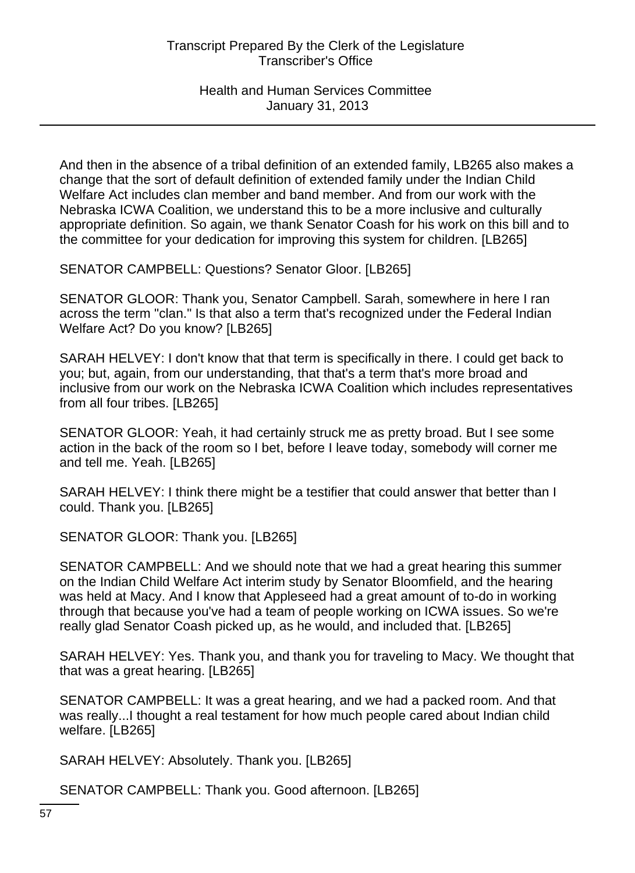And then in the absence of a tribal definition of an extended family, LB265 also makes a change that the sort of default definition of extended family under the Indian Child Welfare Act includes clan member and band member. And from our work with the Nebraska ICWA Coalition, we understand this to be a more inclusive and culturally appropriate definition. So again, we thank Senator Coash for his work on this bill and to the committee for your dedication for improving this system for children. [LB265]

SENATOR CAMPBELL: Questions? Senator Gloor. [LB265]

SENATOR GLOOR: Thank you, Senator Campbell. Sarah, somewhere in here I ran across the term "clan." Is that also a term that's recognized under the Federal Indian Welfare Act? Do you know? [LB265]

SARAH HELVEY: I don't know that that term is specifically in there. I could get back to you; but, again, from our understanding, that that's a term that's more broad and inclusive from our work on the Nebraska ICWA Coalition which includes representatives from all four tribes. [LB265]

SENATOR GLOOR: Yeah, it had certainly struck me as pretty broad. But I see some action in the back of the room so I bet, before I leave today, somebody will corner me and tell me. Yeah. [LB265]

SARAH HELVEY: I think there might be a testifier that could answer that better than I could. Thank you. [LB265]

SENATOR GLOOR: Thank you. [LB265]

SENATOR CAMPBELL: And we should note that we had a great hearing this summer on the Indian Child Welfare Act interim study by Senator Bloomfield, and the hearing was held at Macy. And I know that Appleseed had a great amount of to-do in working through that because you've had a team of people working on ICWA issues. So we're really glad Senator Coash picked up, as he would, and included that. [LB265]

SARAH HELVEY: Yes. Thank you, and thank you for traveling to Macy. We thought that that was a great hearing. [LB265]

SENATOR CAMPBELL: It was a great hearing, and we had a packed room. And that was really...I thought a real testament for how much people cared about Indian child welfare. [LB265]

SARAH HELVEY: Absolutely. Thank you. [LB265]

SENATOR CAMPBELL: Thank you. Good afternoon. [LB265]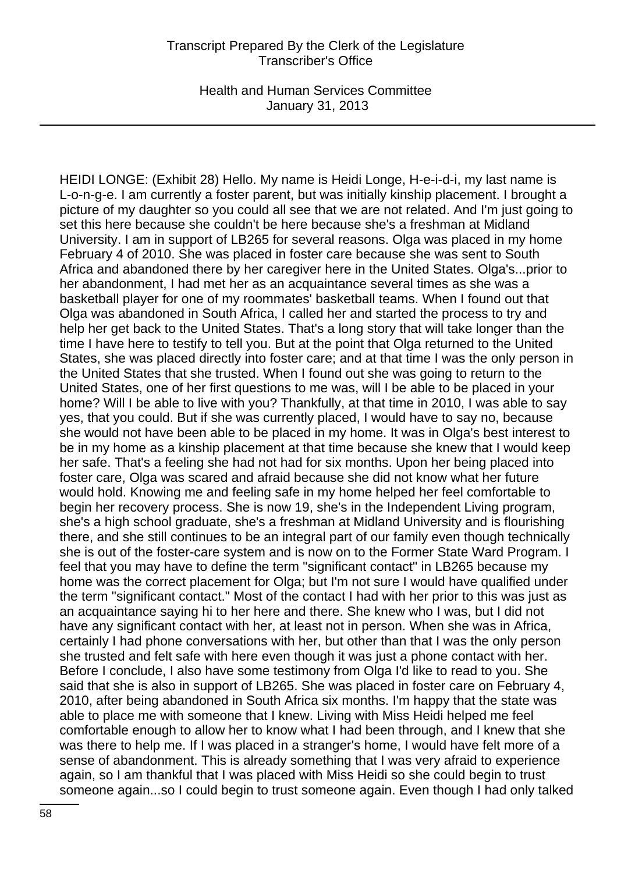Health and Human Services Committee January 31, 2013

HEIDI LONGE: (Exhibit 28) Hello. My name is Heidi Longe, H-e-i-d-i, my last name is L-o-n-g-e. I am currently a foster parent, but was initially kinship placement. I brought a picture of my daughter so you could all see that we are not related. And I'm just going to set this here because she couldn't be here because she's a freshman at Midland University. I am in support of LB265 for several reasons. Olga was placed in my home February 4 of 2010. She was placed in foster care because she was sent to South Africa and abandoned there by her caregiver here in the United States. Olga's...prior to her abandonment, I had met her as an acquaintance several times as she was a basketball player for one of my roommates' basketball teams. When I found out that Olga was abandoned in South Africa, I called her and started the process to try and help her get back to the United States. That's a long story that will take longer than the time I have here to testify to tell you. But at the point that Olga returned to the United States, she was placed directly into foster care; and at that time I was the only person in the United States that she trusted. When I found out she was going to return to the United States, one of her first questions to me was, will I be able to be placed in your home? Will I be able to live with you? Thankfully, at that time in 2010, I was able to say yes, that you could. But if she was currently placed, I would have to say no, because she would not have been able to be placed in my home. It was in Olga's best interest to be in my home as a kinship placement at that time because she knew that I would keep her safe. That's a feeling she had not had for six months. Upon her being placed into foster care, Olga was scared and afraid because she did not know what her future would hold. Knowing me and feeling safe in my home helped her feel comfortable to begin her recovery process. She is now 19, she's in the Independent Living program, she's a high school graduate, she's a freshman at Midland University and is flourishing there, and she still continues to be an integral part of our family even though technically she is out of the foster-care system and is now on to the Former State Ward Program. I feel that you may have to define the term "significant contact" in LB265 because my home was the correct placement for Olga; but I'm not sure I would have qualified under the term "significant contact." Most of the contact I had with her prior to this was just as an acquaintance saying hi to her here and there. She knew who I was, but I did not have any significant contact with her, at least not in person. When she was in Africa, certainly I had phone conversations with her, but other than that I was the only person she trusted and felt safe with here even though it was just a phone contact with her. Before I conclude, I also have some testimony from Olga I'd like to read to you. She said that she is also in support of LB265. She was placed in foster care on February 4, 2010, after being abandoned in South Africa six months. I'm happy that the state was able to place me with someone that I knew. Living with Miss Heidi helped me feel comfortable enough to allow her to know what I had been through, and I knew that she was there to help me. If I was placed in a stranger's home, I would have felt more of a sense of abandonment. This is already something that I was very afraid to experience again, so I am thankful that I was placed with Miss Heidi so she could begin to trust someone again...so I could begin to trust someone again. Even though I had only talked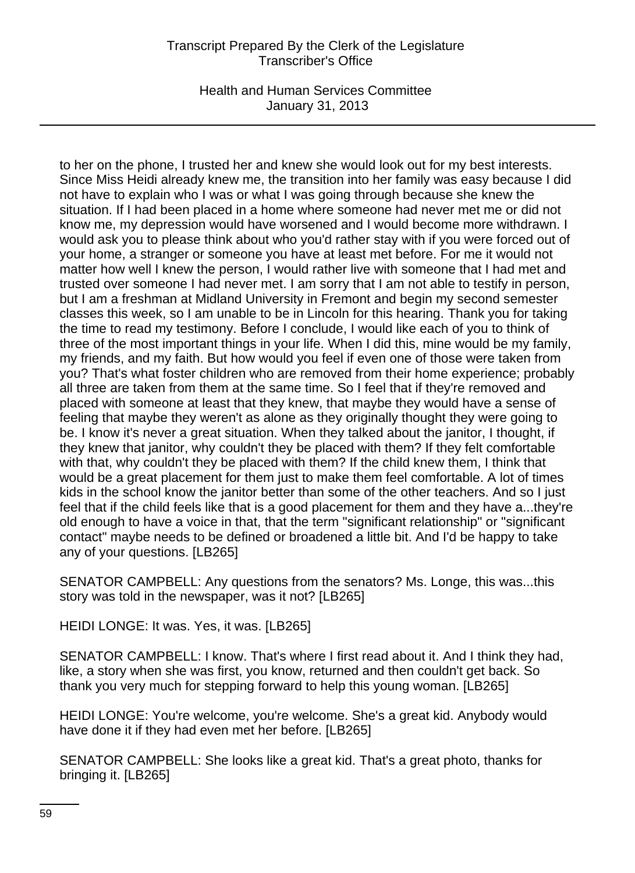Health and Human Services Committee January 31, 2013

to her on the phone, I trusted her and knew she would look out for my best interests. Since Miss Heidi already knew me, the transition into her family was easy because I did not have to explain who I was or what I was going through because she knew the situation. If I had been placed in a home where someone had never met me or did not know me, my depression would have worsened and I would become more withdrawn. I would ask you to please think about who you'd rather stay with if you were forced out of your home, a stranger or someone you have at least met before. For me it would not matter how well I knew the person, I would rather live with someone that I had met and trusted over someone I had never met. I am sorry that I am not able to testify in person, but I am a freshman at Midland University in Fremont and begin my second semester classes this week, so I am unable to be in Lincoln for this hearing. Thank you for taking the time to read my testimony. Before I conclude, I would like each of you to think of three of the most important things in your life. When I did this, mine would be my family, my friends, and my faith. But how would you feel if even one of those were taken from you? That's what foster children who are removed from their home experience; probably all three are taken from them at the same time. So I feel that if they're removed and placed with someone at least that they knew, that maybe they would have a sense of feeling that maybe they weren't as alone as they originally thought they were going to be. I know it's never a great situation. When they talked about the janitor, I thought, if they knew that janitor, why couldn't they be placed with them? If they felt comfortable with that, why couldn't they be placed with them? If the child knew them, I think that would be a great placement for them just to make them feel comfortable. A lot of times kids in the school know the janitor better than some of the other teachers. And so I just feel that if the child feels like that is a good placement for them and they have a...they're old enough to have a voice in that, that the term "significant relationship" or "significant contact" maybe needs to be defined or broadened a little bit. And I'd be happy to take any of your questions. [LB265]

SENATOR CAMPBELL: Any questions from the senators? Ms. Longe, this was...this story was told in the newspaper, was it not? [LB265]

HEIDI LONGE: It was. Yes, it was. [LB265]

SENATOR CAMPBELL: I know. That's where I first read about it. And I think they had, like, a story when she was first, you know, returned and then couldn't get back. So thank you very much for stepping forward to help this young woman. [LB265]

HEIDI LONGE: You're welcome, you're welcome. She's a great kid. Anybody would have done it if they had even met her before. [LB265]

SENATOR CAMPBELL: She looks like a great kid. That's a great photo, thanks for bringing it. [LB265]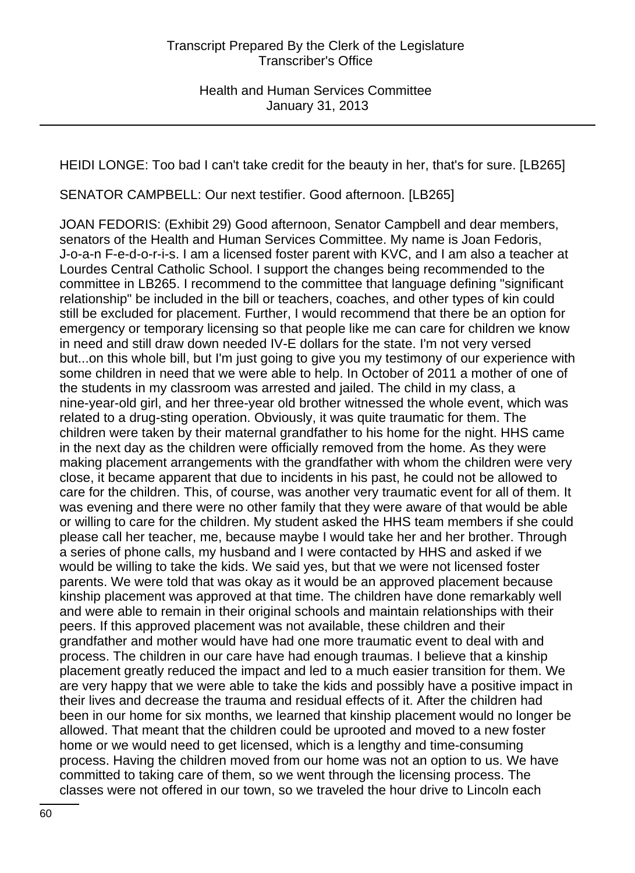HEIDI LONGE: Too bad I can't take credit for the beauty in her, that's for sure. [LB265]

SENATOR CAMPBELL: Our next testifier. Good afternoon. [LB265]

JOAN FEDORIS: (Exhibit 29) Good afternoon, Senator Campbell and dear members, senators of the Health and Human Services Committee. My name is Joan Fedoris, J-o-a-n F-e-d-o-r-i-s. I am a licensed foster parent with KVC, and I am also a teacher at Lourdes Central Catholic School. I support the changes being recommended to the committee in LB265. I recommend to the committee that language defining "significant relationship" be included in the bill or teachers, coaches, and other types of kin could still be excluded for placement. Further, I would recommend that there be an option for emergency or temporary licensing so that people like me can care for children we know in need and still draw down needed IV-E dollars for the state. I'm not very versed but...on this whole bill, but I'm just going to give you my testimony of our experience with some children in need that we were able to help. In October of 2011 a mother of one of the students in my classroom was arrested and jailed. The child in my class, a nine-year-old girl, and her three-year old brother witnessed the whole event, which was related to a drug-sting operation. Obviously, it was quite traumatic for them. The children were taken by their maternal grandfather to his home for the night. HHS came in the next day as the children were officially removed from the home. As they were making placement arrangements with the grandfather with whom the children were very close, it became apparent that due to incidents in his past, he could not be allowed to care for the children. This, of course, was another very traumatic event for all of them. It was evening and there were no other family that they were aware of that would be able or willing to care for the children. My student asked the HHS team members if she could please call her teacher, me, because maybe I would take her and her brother. Through a series of phone calls, my husband and I were contacted by HHS and asked if we would be willing to take the kids. We said yes, but that we were not licensed foster parents. We were told that was okay as it would be an approved placement because kinship placement was approved at that time. The children have done remarkably well and were able to remain in their original schools and maintain relationships with their peers. If this approved placement was not available, these children and their grandfather and mother would have had one more traumatic event to deal with and process. The children in our care have had enough traumas. I believe that a kinship placement greatly reduced the impact and led to a much easier transition for them. We are very happy that we were able to take the kids and possibly have a positive impact in their lives and decrease the trauma and residual effects of it. After the children had been in our home for six months, we learned that kinship placement would no longer be allowed. That meant that the children could be uprooted and moved to a new foster home or we would need to get licensed, which is a lengthy and time-consuming process. Having the children moved from our home was not an option to us. We have committed to taking care of them, so we went through the licensing process. The classes were not offered in our town, so we traveled the hour drive to Lincoln each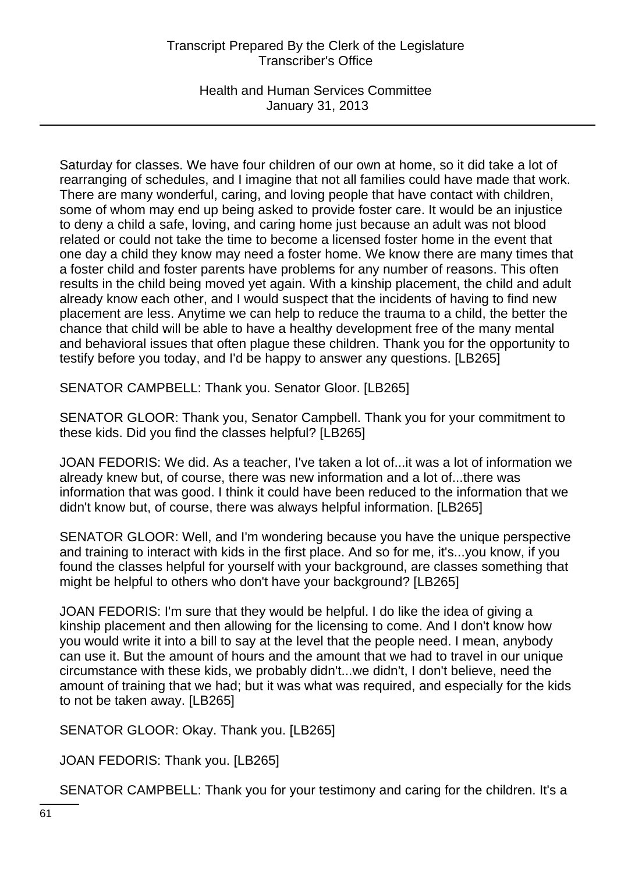Health and Human Services Committee January 31, 2013

Saturday for classes. We have four children of our own at home, so it did take a lot of rearranging of schedules, and I imagine that not all families could have made that work. There are many wonderful, caring, and loving people that have contact with children, some of whom may end up being asked to provide foster care. It would be an injustice to deny a child a safe, loving, and caring home just because an adult was not blood related or could not take the time to become a licensed foster home in the event that one day a child they know may need a foster home. We know there are many times that a foster child and foster parents have problems for any number of reasons. This often results in the child being moved yet again. With a kinship placement, the child and adult already know each other, and I would suspect that the incidents of having to find new placement are less. Anytime we can help to reduce the trauma to a child, the better the chance that child will be able to have a healthy development free of the many mental and behavioral issues that often plague these children. Thank you for the opportunity to testify before you today, and I'd be happy to answer any questions. [LB265]

SENATOR CAMPBELL: Thank you. Senator Gloor. [LB265]

SENATOR GLOOR: Thank you, Senator Campbell. Thank you for your commitment to these kids. Did you find the classes helpful? [LB265]

JOAN FEDORIS: We did. As a teacher, I've taken a lot of...it was a lot of information we already knew but, of course, there was new information and a lot of...there was information that was good. I think it could have been reduced to the information that we didn't know but, of course, there was always helpful information. [LB265]

SENATOR GLOOR: Well, and I'm wondering because you have the unique perspective and training to interact with kids in the first place. And so for me, it's...you know, if you found the classes helpful for yourself with your background, are classes something that might be helpful to others who don't have your background? [LB265]

JOAN FEDORIS: I'm sure that they would be helpful. I do like the idea of giving a kinship placement and then allowing for the licensing to come. And I don't know how you would write it into a bill to say at the level that the people need. I mean, anybody can use it. But the amount of hours and the amount that we had to travel in our unique circumstance with these kids, we probably didn't...we didn't, I don't believe, need the amount of training that we had; but it was what was required, and especially for the kids to not be taken away. [LB265]

SENATOR GLOOR: Okay. Thank you. [LB265]

JOAN FEDORIS: Thank you. [LB265]

SENATOR CAMPBELL: Thank you for your testimony and caring for the children. It's a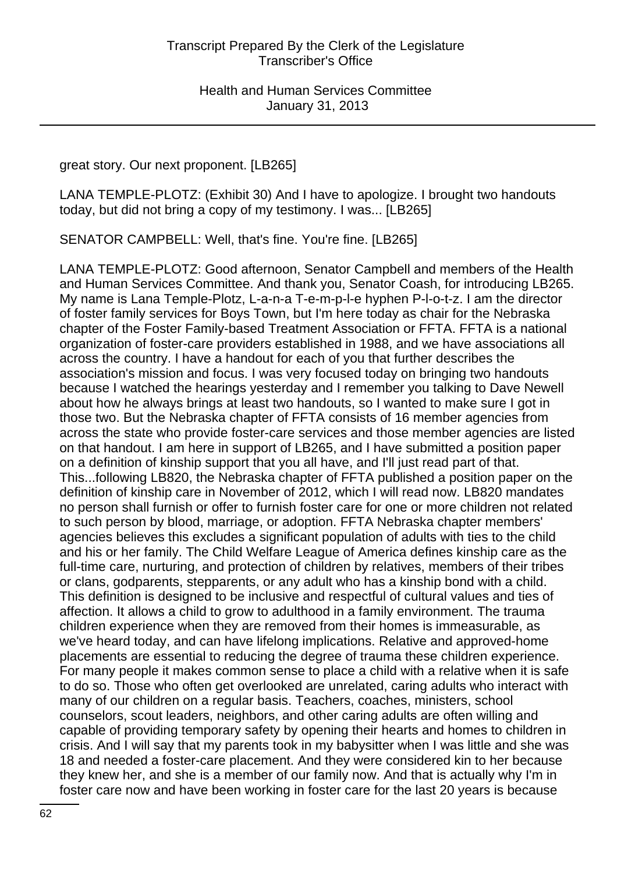great story. Our next proponent. [LB265]

LANA TEMPLE-PLOTZ: (Exhibit 30) And I have to apologize. I brought two handouts today, but did not bring a copy of my testimony. I was... [LB265]

SENATOR CAMPBELL: Well, that's fine. You're fine. [LB265]

LANA TEMPLE-PLOTZ: Good afternoon, Senator Campbell and members of the Health and Human Services Committee. And thank you, Senator Coash, for introducing LB265. My name is Lana Temple-Plotz, L-a-n-a T-e-m-p-l-e hyphen P-l-o-t-z. I am the director of foster family services for Boys Town, but I'm here today as chair for the Nebraska chapter of the Foster Family-based Treatment Association or FFTA. FFTA is a national organization of foster-care providers established in 1988, and we have associations all across the country. I have a handout for each of you that further describes the association's mission and focus. I was very focused today on bringing two handouts because I watched the hearings yesterday and I remember you talking to Dave Newell about how he always brings at least two handouts, so I wanted to make sure I got in those two. But the Nebraska chapter of FFTA consists of 16 member agencies from across the state who provide foster-care services and those member agencies are listed on that handout. I am here in support of LB265, and I have submitted a position paper on a definition of kinship support that you all have, and I'll just read part of that. This...following LB820, the Nebraska chapter of FFTA published a position paper on the definition of kinship care in November of 2012, which I will read now. LB820 mandates no person shall furnish or offer to furnish foster care for one or more children not related to such person by blood, marriage, or adoption. FFTA Nebraska chapter members' agencies believes this excludes a significant population of adults with ties to the child and his or her family. The Child Welfare League of America defines kinship care as the full-time care, nurturing, and protection of children by relatives, members of their tribes or clans, godparents, stepparents, or any adult who has a kinship bond with a child. This definition is designed to be inclusive and respectful of cultural values and ties of affection. It allows a child to grow to adulthood in a family environment. The trauma children experience when they are removed from their homes is immeasurable, as we've heard today, and can have lifelong implications. Relative and approved-home placements are essential to reducing the degree of trauma these children experience. For many people it makes common sense to place a child with a relative when it is safe to do so. Those who often get overlooked are unrelated, caring adults who interact with many of our children on a regular basis. Teachers, coaches, ministers, school counselors, scout leaders, neighbors, and other caring adults are often willing and capable of providing temporary safety by opening their hearts and homes to children in crisis. And I will say that my parents took in my babysitter when I was little and she was 18 and needed a foster-care placement. And they were considered kin to her because they knew her, and she is a member of our family now. And that is actually why I'm in foster care now and have been working in foster care for the last 20 years is because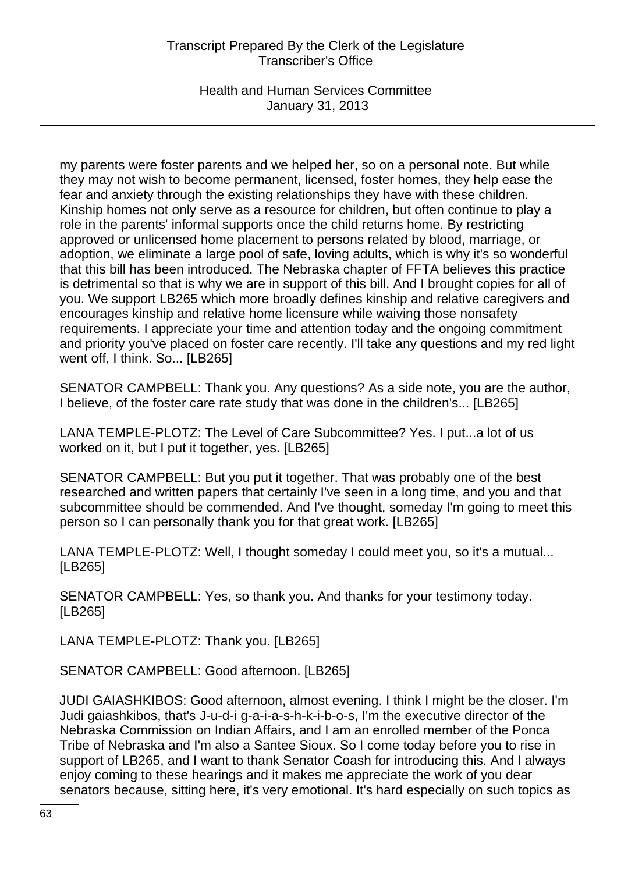Health and Human Services Committee January 31, 2013

my parents were foster parents and we helped her, so on a personal note. But while they may not wish to become permanent, licensed, foster homes, they help ease the fear and anxiety through the existing relationships they have with these children. Kinship homes not only serve as a resource for children, but often continue to play a role in the parents' informal supports once the child returns home. By restricting approved or unlicensed home placement to persons related by blood, marriage, or adoption, we eliminate a large pool of safe, loving adults, which is why it's so wonderful that this bill has been introduced. The Nebraska chapter of FFTA believes this practice is detrimental so that is why we are in support of this bill. And I brought copies for all of you. We support LB265 which more broadly defines kinship and relative caregivers and encourages kinship and relative home licensure while waiving those nonsafety requirements. I appreciate your time and attention today and the ongoing commitment and priority you've placed on foster care recently. I'll take any questions and my red light went off, I think. So... [LB265]

SENATOR CAMPBELL: Thank you. Any questions? As a side note, you are the author, I believe, of the foster care rate study that was done in the children's... [LB265]

LANA TEMPLE-PLOTZ: The Level of Care Subcommittee? Yes. I put...a lot of us worked on it, but I put it together, yes. [LB265]

SENATOR CAMPBELL: But you put it together. That was probably one of the best researched and written papers that certainly I've seen in a long time, and you and that subcommittee should be commended. And I've thought, someday I'm going to meet this person so I can personally thank you for that great work. [LB265]

LANA TEMPLE-PLOTZ: Well, I thought someday I could meet you, so it's a mutual... [LB265]

SENATOR CAMPBELL: Yes, so thank you. And thanks for your testimony today. [LB265]

LANA TEMPLE-PLOTZ: Thank you. [LB265]

SENATOR CAMPBELL: Good afternoon. [LB265]

JUDI GAIASHKIBOS: Good afternoon, almost evening. I think I might be the closer. I'm Judi gaiashkibos, that's J-u-d-i g-a-i-a-s-h-k-i-b-o-s, I'm the executive director of the Nebraska Commission on Indian Affairs, and I am an enrolled member of the Ponca Tribe of Nebraska and I'm also a Santee Sioux. So I come today before you to rise in support of LB265, and I want to thank Senator Coash for introducing this. And I always enjoy coming to these hearings and it makes me appreciate the work of you dear senators because, sitting here, it's very emotional. It's hard especially on such topics as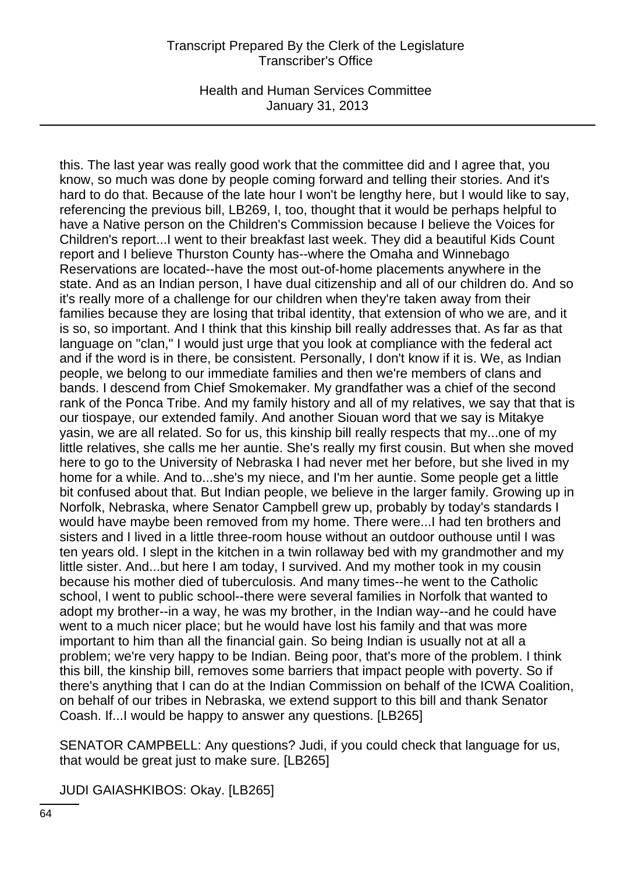Health and Human Services Committee January 31, 2013

this. The last year was really good work that the committee did and I agree that, you know, so much was done by people coming forward and telling their stories. And it's hard to do that. Because of the late hour I won't be lengthy here, but I would like to say, referencing the previous bill, LB269, I, too, thought that it would be perhaps helpful to have a Native person on the Children's Commission because I believe the Voices for Children's report...I went to their breakfast last week. They did a beautiful Kids Count report and I believe Thurston County has--where the Omaha and Winnebago Reservations are located--have the most out-of-home placements anywhere in the state. And as an Indian person, I have dual citizenship and all of our children do. And so it's really more of a challenge for our children when they're taken away from their families because they are losing that tribal identity, that extension of who we are, and it is so, so important. And I think that this kinship bill really addresses that. As far as that language on "clan," I would just urge that you look at compliance with the federal act and if the word is in there, be consistent. Personally, I don't know if it is. We, as Indian people, we belong to our immediate families and then we're members of clans and bands. I descend from Chief Smokemaker. My grandfather was a chief of the second rank of the Ponca Tribe. And my family history and all of my relatives, we say that that is our tiospaye, our extended family. And another Siouan word that we say is Mitakye yasin, we are all related. So for us, this kinship bill really respects that my...one of my little relatives, she calls me her auntie. She's really my first cousin. But when she moved here to go to the University of Nebraska I had never met her before, but she lived in my home for a while. And to...she's my niece, and I'm her auntie. Some people get a little bit confused about that. But Indian people, we believe in the larger family. Growing up in Norfolk, Nebraska, where Senator Campbell grew up, probably by today's standards I would have maybe been removed from my home. There were...I had ten brothers and sisters and I lived in a little three-room house without an outdoor outhouse until I was ten years old. I slept in the kitchen in a twin rollaway bed with my grandmother and my little sister. And...but here I am today, I survived. And my mother took in my cousin because his mother died of tuberculosis. And many times--he went to the Catholic school, I went to public school--there were several families in Norfolk that wanted to adopt my brother--in a way, he was my brother, in the Indian way--and he could have went to a much nicer place; but he would have lost his family and that was more important to him than all the financial gain. So being Indian is usually not at all a problem; we're very happy to be Indian. Being poor, that's more of the problem. I think this bill, the kinship bill, removes some barriers that impact people with poverty. So if there's anything that I can do at the Indian Commission on behalf of the ICWA Coalition, on behalf of our tribes in Nebraska, we extend support to this bill and thank Senator Coash. If...I would be happy to answer any questions. [LB265]

SENATOR CAMPBELL: Any questions? Judi, if you could check that language for us, that would be great just to make sure. [LB265]

JUDI GAIASHKIBOS: Okay. [LB265]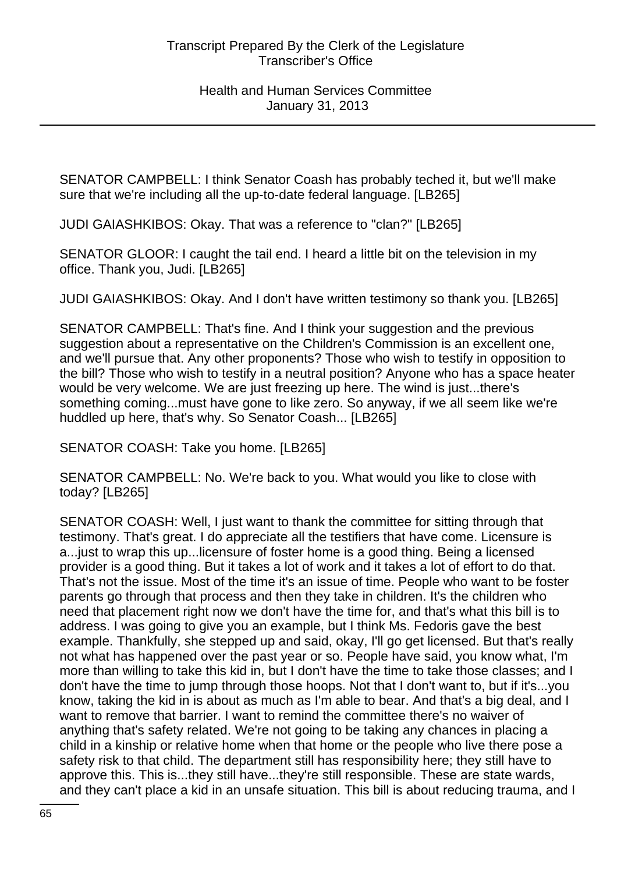SENATOR CAMPBELL: I think Senator Coash has probably teched it, but we'll make sure that we're including all the up-to-date federal language. [LB265]

JUDI GAIASHKIBOS: Okay. That was a reference to "clan?" [LB265]

SENATOR GLOOR: I caught the tail end. I heard a little bit on the television in my office. Thank you, Judi. [LB265]

JUDI GAIASHKIBOS: Okay. And I don't have written testimony so thank you. [LB265]

SENATOR CAMPBELL: That's fine. And I think your suggestion and the previous suggestion about a representative on the Children's Commission is an excellent one, and we'll pursue that. Any other proponents? Those who wish to testify in opposition to the bill? Those who wish to testify in a neutral position? Anyone who has a space heater would be very welcome. We are just freezing up here. The wind is just...there's something coming...must have gone to like zero. So anyway, if we all seem like we're huddled up here, that's why. So Senator Coash... [LB265]

SENATOR COASH: Take you home. [LB265]

SENATOR CAMPBELL: No. We're back to you. What would you like to close with today? [LB265]

SENATOR COASH: Well, I just want to thank the committee for sitting through that testimony. That's great. I do appreciate all the testifiers that have come. Licensure is a...just to wrap this up...licensure of foster home is a good thing. Being a licensed provider is a good thing. But it takes a lot of work and it takes a lot of effort to do that. That's not the issue. Most of the time it's an issue of time. People who want to be foster parents go through that process and then they take in children. It's the children who need that placement right now we don't have the time for, and that's what this bill is to address. I was going to give you an example, but I think Ms. Fedoris gave the best example. Thankfully, she stepped up and said, okay, I'll go get licensed. But that's really not what has happened over the past year or so. People have said, you know what, I'm more than willing to take this kid in, but I don't have the time to take those classes; and I don't have the time to jump through those hoops. Not that I don't want to, but if it's...you know, taking the kid in is about as much as I'm able to bear. And that's a big deal, and I want to remove that barrier. I want to remind the committee there's no waiver of anything that's safety related. We're not going to be taking any chances in placing a child in a kinship or relative home when that home or the people who live there pose a safety risk to that child. The department still has responsibility here; they still have to approve this. This is...they still have...they're still responsible. These are state wards, and they can't place a kid in an unsafe situation. This bill is about reducing trauma, and I